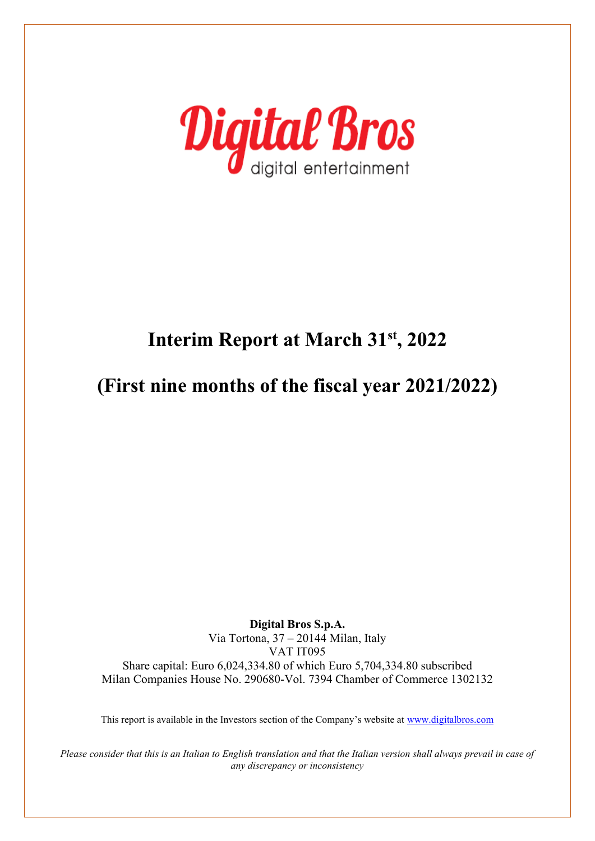

# **Interim Report at March 31st, 2022**

# **(First nine months of the fiscal year 2021/2022)**

**Digital Bros S.p.A.**  Via Tortona, 37 – 20144 Milan, Italy VAT IT095 Share capital: Euro 6,024,334.80 of which Euro 5,704,334.80 subscribed Milan Companies House No. 290680-Vol. 7394 Chamber of Commerce 1302132

This report is available in the Investors section of the Company's website at [www.digitalbros.com](http://www.digitalbros.com/) 

*Please consider that this is an Italian to English translation and that the Italian version shall always prevail in case of any discrepancy or inconsistency*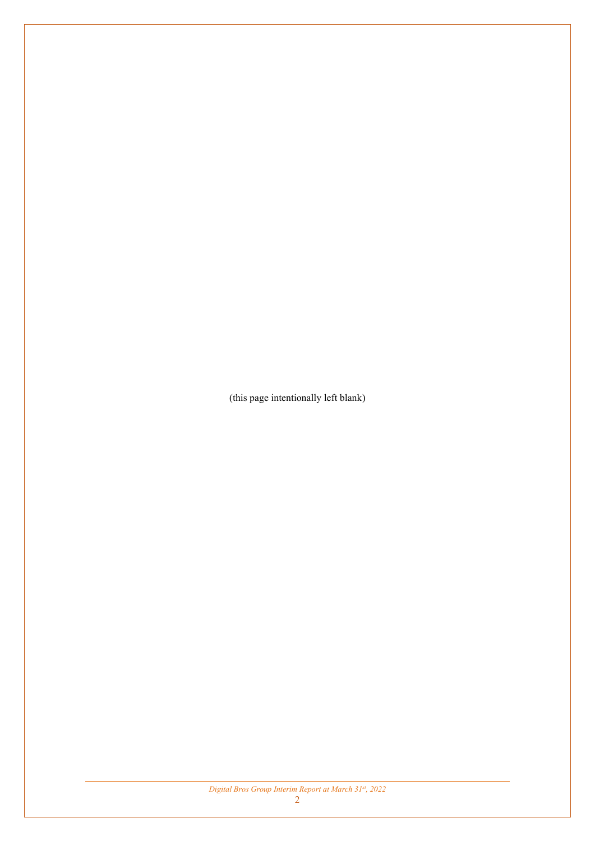(this page intentionally left blank)

#### *Digital Bros Group Interim Report at March 31st, 2022*  2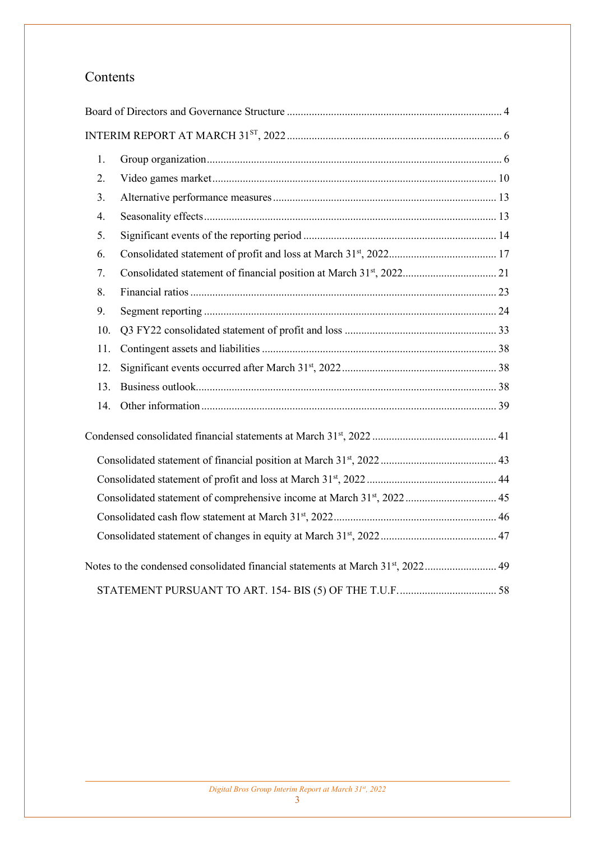## Contents

| 1.             |  |
|----------------|--|
| 2.             |  |
| 3 <sub>1</sub> |  |
| 4.             |  |
| 5.             |  |
| 6.             |  |
| 7.             |  |
| 8.             |  |
| 9.             |  |
| 10.            |  |
| 11.            |  |
| 12.            |  |
| 13.            |  |
| 14.            |  |
|                |  |
|                |  |
|                |  |
|                |  |
|                |  |
|                |  |
|                |  |
|                |  |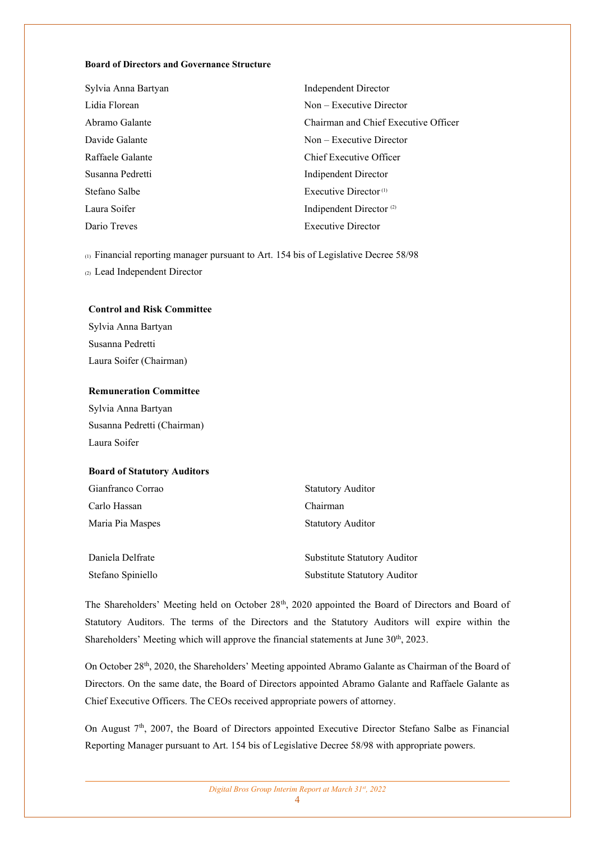#### <span id="page-3-0"></span>**Board of Directors and Governance Structure**

| Sylvia Anna Bartyan | <b>Independent Director</b>          |
|---------------------|--------------------------------------|
| Lidia Florean       | Non – Executive Director             |
| Abramo Galante      | Chairman and Chief Executive Officer |
| Davide Galante      | Non – Executive Director             |
| Raffaele Galante    | Chief Executive Officer              |
| Susanna Pedretti    | Indipendent Director                 |
| Stefano Salbe       | Executive Director $(1)$             |
| Laura Soifer        | Indipendent Director <sup>(2)</sup>  |
| Dario Treves        | <b>Executive Director</b>            |

(1) Financial reporting manager pursuant to Art. 154 bis of Legislative Decree 58/98

(2) Lead Independent Director

### **Control and Risk Committee**

Sylvia Anna Bartyan Susanna Pedretti Laura Soifer (Chairman)

## **Remuneration Committee**

Sylvia Anna Bartyan Susanna Pedretti (Chairman) Laura Soifer

#### **Board of Statutory Auditors**

| Gianfranco Corrao | <b>Statutory Auditor</b>            |
|-------------------|-------------------------------------|
| Carlo Hassan      | Chairman                            |
| Maria Pia Maspes  | <b>Statutory Auditor</b>            |
| Daniela Delfrate  | <b>Substitute Statutory Auditor</b> |
| Stefano Spiniello | <b>Substitute Statutory Auditor</b> |

The Shareholders' Meeting held on October 28<sup>th</sup>, 2020 appointed the Board of Directors and Board of Statutory Auditors. The terms of the Directors and the Statutory Auditors will expire within the Shareholders' Meeting which will approve the financial statements at June 30<sup>th</sup>, 2023.

On October 28th, 2020, the Shareholders' Meeting appointed Abramo Galante as Chairman of the Board of Directors. On the same date, the Board of Directors appointed Abramo Galante and Raffaele Galante as Chief Executive Officers. The CEOs received appropriate powers of attorney.

On August  $7<sup>th</sup>$ , 2007, the Board of Directors appointed Executive Director Stefano Salbe as Financial Reporting Manager pursuant to Art. 154 bis of Legislative Decree 58/98 with appropriate powers.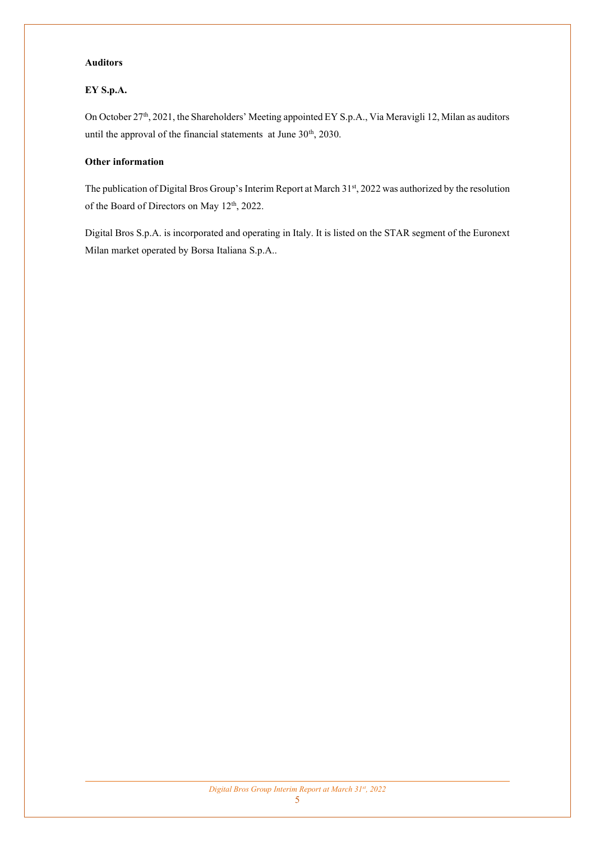## **Auditors**

### **EY S.p.A.**

On October 27<sup>th</sup>, 2021, the Shareholders' Meeting appointed EY S.p.A., Via Meravigli 12, Milan as auditors until the approval of the financial statements at June  $30<sup>th</sup>$ ,  $2030$ .

## **Other information**

The publication of Digital Bros Group's Interim Report at March 31st, 2022 was authorized by the resolution of the Board of Directors on May 12th, 2022.

Digital Bros S.p.A. is incorporated and operating in Italy. It is listed on the STAR segment of the Euronext Milan market operated by Borsa Italiana S.p.A..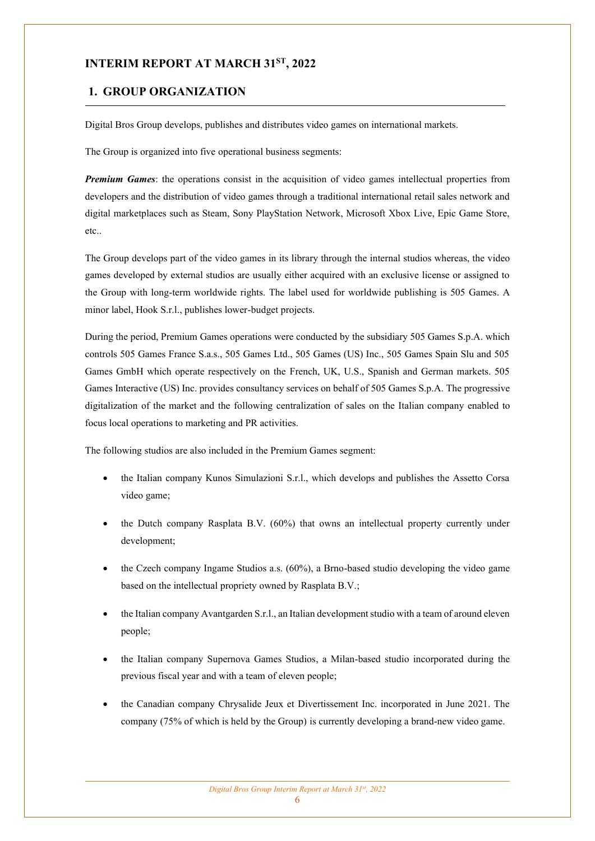## <span id="page-5-0"></span>**INTERIM REPORT AT MARCH 31ST, 2022**

## <span id="page-5-1"></span>**1. GROUP ORGANIZATION**

Digital Bros Group develops, publishes and distributes video games on international markets.

The Group is organized into five operational business segments:

*Premium Games*: the operations consist in the acquisition of video games intellectual properties from developers and the distribution of video games through a traditional international retail sales network and digital marketplaces such as Steam, Sony PlayStation Network, Microsoft Xbox Live, Epic Game Store, etc..

The Group develops part of the video games in its library through the internal studios whereas, the video games developed by external studios are usually either acquired with an exclusive license or assigned to the Group with long-term worldwide rights. The label used for worldwide publishing is 505 Games. A minor label, Hook S.r.l., publishes lower-budget projects.

During the period, Premium Games operations were conducted by the subsidiary 505 Games S.p.A. which controls 505 Games France S.a.s., 505 Games Ltd., 505 Games (US) Inc., 505 Games Spain Slu and 505 Games GmbH which operate respectively on the French, UK, U.S., Spanish and German markets. 505 Games Interactive (US) Inc. provides consultancy services on behalf of 505 Games S.p.A. The progressive digitalization of the market and the following centralization of sales on the Italian company enabled to focus local operations to marketing and PR activities.

The following studios are also included in the Premium Games segment:

- the Italian company Kunos Simulazioni S.r.l., which develops and publishes the Assetto Corsa video game;
- the Dutch company Rasplata B.V. (60%) that owns an intellectual property currently under development;
- the Czech company Ingame Studios a.s. (60%), a Brno-based studio developing the video game based on the intellectual propriety owned by Rasplata B.V.;
- the Italian company Avantgarden S.r.l., an Italian development studio with a team of around eleven people;
- the Italian company Supernova Games Studios, a Milan-based studio incorporated during the previous fiscal year and with a team of eleven people;
- the Canadian company Chrysalide Jeux et Divertissement Inc. incorporated in June 2021. The company (75% of which is held by the Group) is currently developing a brand-new video game.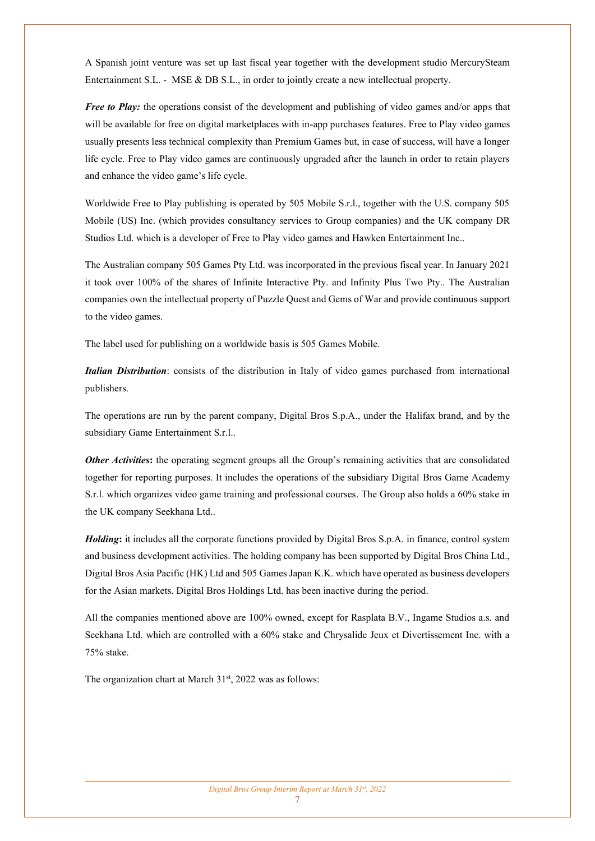A Spanish joint venture was set up last fiscal year together with the development studio MercurySteam Entertainment S.L. - MSE & DB S.L., in order to jointly create a new intellectual property.

*Free to Play:* the operations consist of the development and publishing of video games and/or apps that will be available for free on digital marketplaces with in-app purchases features. Free to Play video games usually presents less technical complexity than Premium Games but, in case of success, will have a longer life cycle. Free to Play video games are continuously upgraded after the launch in order to retain players and enhance the video game's life cycle.

Worldwide Free to Play publishing is operated by 505 Mobile S.r.l., together with the U.S. company 505 Mobile (US) Inc. (which provides consultancy services to Group companies) and the UK company DR Studios Ltd. which is a developer of Free to Play video games and Hawken Entertainment Inc..

The Australian company 505 Games Pty Ltd. was incorporated in the previous fiscal year. In January 2021 it took over 100% of the shares of Infinite Interactive Pty. and Infinity Plus Two Pty.. The Australian companies own the intellectual property of Puzzle Quest and Gems of War and provide continuous support to the video games.

The label used for publishing on a worldwide basis is 505 Games Mobile.

*Italian Distribution*: consists of the distribution in Italy of video games purchased from international publishers.

The operations are run by the parent company, Digital Bros S.p.A., under the Halifax brand, and by the subsidiary Game Entertainment S.r.l..

**Other Activities:** the operating segment groups all the Group's remaining activities that are consolidated together for reporting purposes. It includes the operations of the subsidiary Digital Bros Game Academy S.r.l. which organizes video game training and professional courses. The Group also holds a 60% stake in the UK company Seekhana Ltd..

*Holding***:** it includes all the corporate functions provided by Digital Bros S.p.A. in finance, control system and business development activities. The holding company has been supported by Digital Bros China Ltd., Digital Bros Asia Pacific (HK) Ltd and 505 Games Japan K.K. which have operated as business developers for the Asian markets. Digital Bros Holdings Ltd. has been inactive during the period.

All the companies mentioned above are 100% owned, except for Rasplata B.V., Ingame Studios a.s. and Seekhana Ltd. which are controlled with a 60% stake and Chrysalide Jeux et Divertissement Inc. with a 75% stake.

The organization chart at March  $31<sup>st</sup>$ , 2022 was as follows: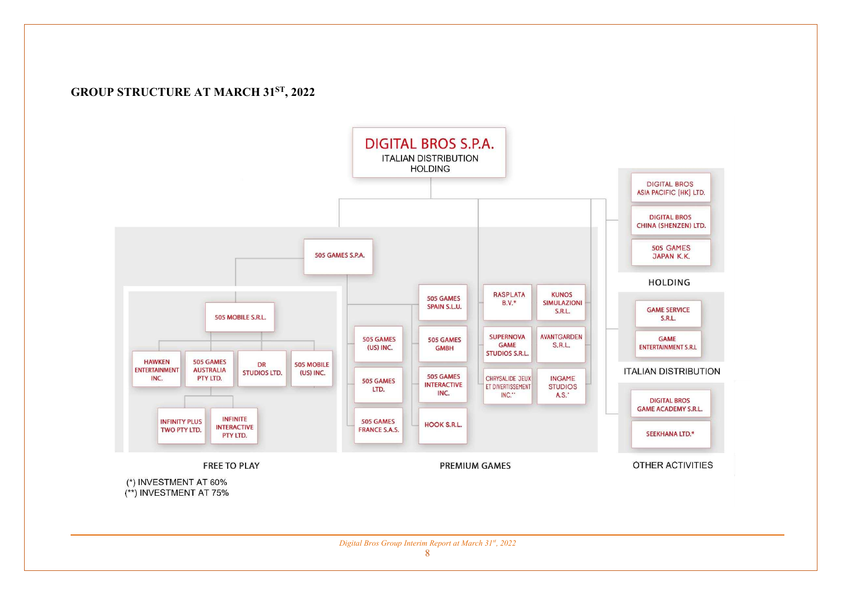## **GROUP STRUCTURE AT MARCH 31ST, 2022**

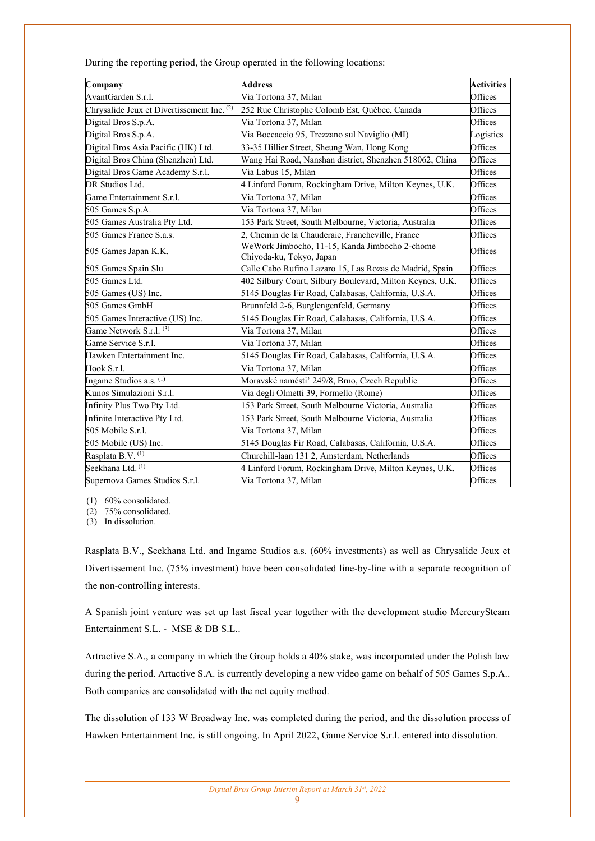During the reporting period, the Group operated in the following locations:

| Company                                    | <b>Address</b>                                            | <b>Activities</b> |
|--------------------------------------------|-----------------------------------------------------------|-------------------|
| AvantGarden S.r.l.                         | Via Tortona 37, Milan                                     | Offices           |
| Chrysalide Jeux et Divertissement Inc. (2) | 252 Rue Christophe Colomb Est, Québec, Canada             | Offices           |
| Digital Bros S.p.A.                        | Via Tortona 37, Milan                                     | Offices           |
| Digital Bros S.p.A.                        | Via Boccaccio 95, Trezzano sul Naviglio (MI)              | Logistics         |
| Digital Bros Asia Pacific (HK) Ltd.        | 33-35 Hillier Street, Sheung Wan, Hong Kong               | Offices           |
| Digital Bros China (Shenzhen) Ltd.         | Wang Hai Road, Nanshan district, Shenzhen 518062, China   | Offices           |
| Digital Bros Game Academy S.r.l.           | Via Labus 15, Milan                                       | Offices           |
| DR Studios Ltd.                            | 4 Linford Forum, Rockingham Drive, Milton Keynes, U.K.    | Offices           |
| Game Entertainment S.r.l.                  | Via Tortona 37, Milan                                     | Offices           |
| 505 Games S.p.A.                           | Via Tortona 37, Milan                                     | Offices           |
| 505 Games Australia Pty Ltd.               | 153 Park Street, South Melbourne, Victoria, Australia     | Offices           |
| 505 Games France S.a.s.                    | 2, Chemin de la Chauderaie, Francheville, France          | Offices           |
| 505 Games Japan K.K.                       | WeWork Jimbocho, 11-15, Kanda Jimbocho 2-chome            | Offices           |
|                                            | Chiyoda-ku, Tokyo, Japan                                  |                   |
| 505 Games Spain Slu                        | Calle Cabo Rufino Lazaro 15, Las Rozas de Madrid, Spain   | Offices           |
| 505 Games Ltd.                             | 402 Silbury Court, Silbury Boulevard, Milton Keynes, U.K. | Offices           |
| 505 Games (US) Inc.                        | 5145 Douglas Fir Road, Calabasas, California, U.S.A.      | Offices           |
| 505 Games GmbH                             | Brunnfeld 2-6, Burglengenfeld, Germany                    | Offices           |
| 505 Games Interactive (US) Inc.            | 5145 Douglas Fir Road, Calabasas, California, U.S.A.      | Offices           |
| Game Network S.r.l. <sup>(3)</sup>         | Via Tortona 37, Milan                                     | Offices           |
| Game Service S.r.l.                        | Via Tortona 37, Milan                                     | Offices           |
| Hawken Entertainment Inc.                  | 5145 Douglas Fir Road, Calabasas, California, U.S.A.      | Offices           |
| Hook S.r.l.                                | Via Tortona 37, Milan                                     | Offices           |
| Ingame Studios a.s. (1)                    | Moravské namésti' 249/8, Brno, Czech Republic             | Offices           |
| Kunos Simulazioni S.r.l.                   | Via degli Olmetti 39, Formello (Rome)                     | Offices           |
| Infinity Plus Two Pty Ltd.                 | 153 Park Street, South Melbourne Victoria, Australia      | Offices           |
| Infinite Interactive Pty Ltd.              | 153 Park Street, South Melbourne Victoria, Australia      | Offices           |
| 505 Mobile S.r.l.                          | Via Tortona 37, Milan                                     | Offices           |
| 505 Mobile (US) Inc.                       | 5145 Douglas Fir Road, Calabasas, California, U.S.A.      | Offices           |
| Rasplata B.V. <sup>(1)</sup>               | Churchill-laan 131 2, Amsterdam, Netherlands              | Offices           |
| Seekhana Ltd. <sup>(1)</sup>               | 4 Linford Forum, Rockingham Drive, Milton Keynes, U.K.    | Offices           |
| Supernova Games Studios S.r.l.             | Via Tortona 37, Milan                                     | Offices           |

(1) 60% consolidated.

(2) 75% consolidated.

(3) In dissolution.

Rasplata B.V., Seekhana Ltd. and Ingame Studios a.s. (60% investments) as well as Chrysalide Jeux et Divertissement Inc. (75% investment) have been consolidated line-by-line with a separate recognition of the non-controlling interests.

A Spanish joint venture was set up last fiscal year together with the development studio MercurySteam Entertainment S.L. - MSE & DB S.L..

Artractive S.A., a company in which the Group holds a 40% stake, was incorporated under the Polish law during the period. Artactive S.A. is currently developing a new video game on behalf of 505 Games S.p.A.. Both companies are consolidated with the net equity method.

The dissolution of 133 W Broadway Inc. was completed during the period, and the dissolution process of Hawken Entertainment Inc. is still ongoing. In April 2022, Game Service S.r.l. entered into dissolution.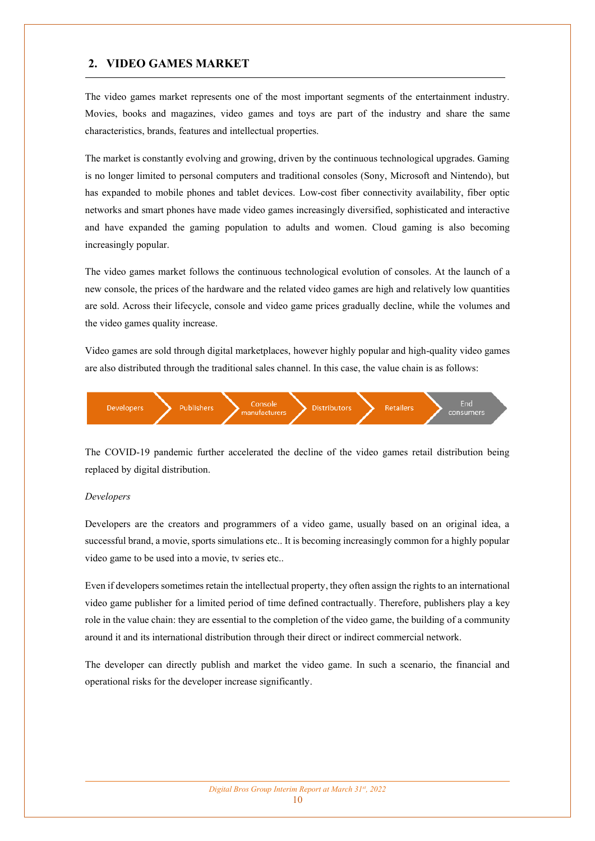## <span id="page-9-0"></span>**2. VIDEO GAMES MARKET**

The video games market represents one of the most important segments of the entertainment industry. Movies, books and magazines, video games and toys are part of the industry and share the same characteristics, brands, features and intellectual properties.

The market is constantly evolving and growing, driven by the continuous technological upgrades. Gaming is no longer limited to personal computers and traditional consoles (Sony, Microsoft and Nintendo), but has expanded to mobile phones and tablet devices. Low-cost fiber connectivity availability, fiber optic networks and smart phones have made video games increasingly diversified, sophisticated and interactive and have expanded the gaming population to adults and women. Cloud gaming is also becoming increasingly popular.

The video games market follows the continuous technological evolution of consoles. At the launch of a new console, the prices of the hardware and the related video games are high and relatively low quantities are sold. Across their lifecycle, console and video game prices gradually decline, while the volumes and the video games quality increase.

Video games are sold through digital marketplaces, however highly popular and high-quality video games are also distributed through the traditional sales channel. In this case, the value chain is as follows:



The COVID-19 pandemic further accelerated the decline of the video games retail distribution being replaced by digital distribution.

#### *Developers*

Developers are the creators and programmers of a video game, usually based on an original idea, a successful brand, a movie, sports simulations etc.. It is becoming increasingly common for a highly popular video game to be used into a movie, tv series etc..

Even if developers sometimes retain the intellectual property, they often assign the rights to an international video game publisher for a limited period of time defined contractually. Therefore, publishers play a key role in the value chain: they are essential to the completion of the video game, the building of a community around it and its international distribution through their direct or indirect commercial network.

The developer can directly publish and market the video game. In such a scenario, the financial and operational risks for the developer increase significantly.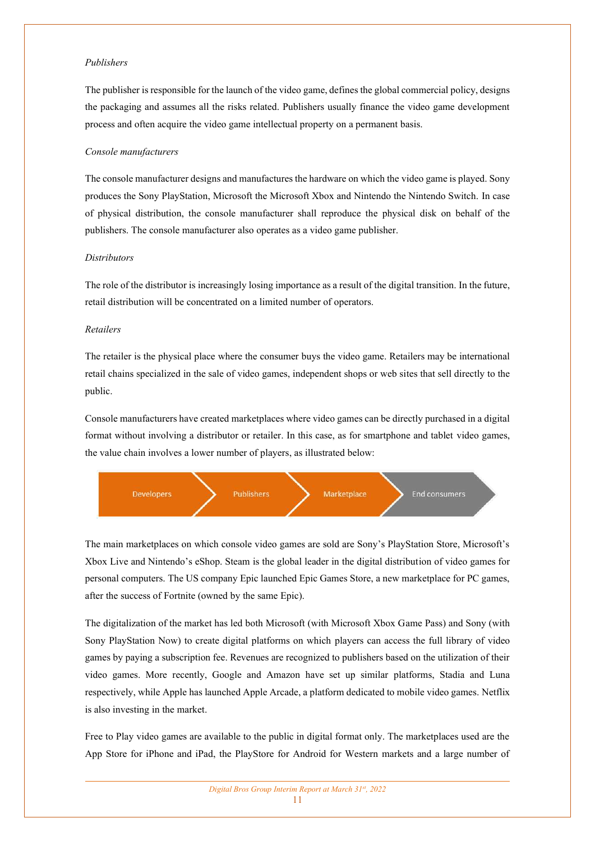#### *Publishers*

The publisher is responsible for the launch of the video game, defines the global commercial policy, designs the packaging and assumes all the risks related. Publishers usually finance the video game development process and often acquire the video game intellectual property on a permanent basis.

#### *Console manufacturers*

The console manufacturer designs and manufactures the hardware on which the video game is played. Sony produces the Sony PlayStation, Microsoft the Microsoft Xbox and Nintendo the Nintendo Switch. In case of physical distribution, the console manufacturer shall reproduce the physical disk on behalf of the publishers. The console manufacturer also operates as a video game publisher.

#### *Distributors*

The role of the distributor is increasingly losing importance as a result of the digital transition. In the future, retail distribution will be concentrated on a limited number of operators.

#### *Retailers*

The retailer is the physical place where the consumer buys the video game. Retailers may be international retail chains specialized in the sale of video games, independent shops or web sites that sell directly to the public.

Console manufacturers have created marketplaces where video games can be directly purchased in a digital format without involving a distributor or retailer. In this case, as for smartphone and tablet video games, the value chain involves a lower number of players, as illustrated below:



The main marketplaces on which console video games are sold are Sony's PlayStation Store, Microsoft's Xbox Live and Nintendo's eShop. Steam is the global leader in the digital distribution of video games for personal computers. The US company Epic launched Epic Games Store, a new marketplace for PC games, after the success of Fortnite (owned by the same Epic).

The digitalization of the market has led both Microsoft (with Microsoft Xbox Game Pass) and Sony (with Sony PlayStation Now) to create digital platforms on which players can access the full library of video games by paying a subscription fee. Revenues are recognized to publishers based on the utilization of their video games. More recently, Google and Amazon have set up similar platforms, Stadia and Luna respectively, while Apple has launched Apple Arcade, a platform dedicated to mobile video games. Netflix is also investing in the market.

Free to Play video games are available to the public in digital format only. The marketplaces used are the App Store for iPhone and iPad, the PlayStore for Android for Western markets and a large number of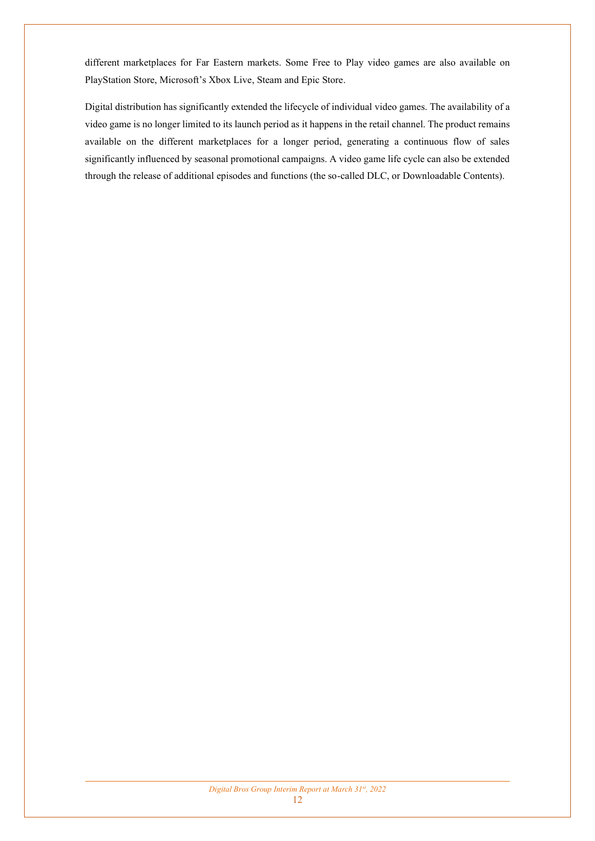different marketplaces for Far Eastern markets. Some Free to Play video games are also available on PlayStation Store, Microsoft's Xbox Live, Steam and Epic Store.

Digital distribution has significantly extended the lifecycle of individual video games. The availability of a video game is no longer limited to its launch period as it happens in the retail channel. The product remains available on the different marketplaces for a longer period, generating a continuous flow of sales significantly influenced by seasonal promotional campaigns. A video game life cycle can also be extended through the release of additional episodes and functions (the so-called DLC, or Downloadable Contents).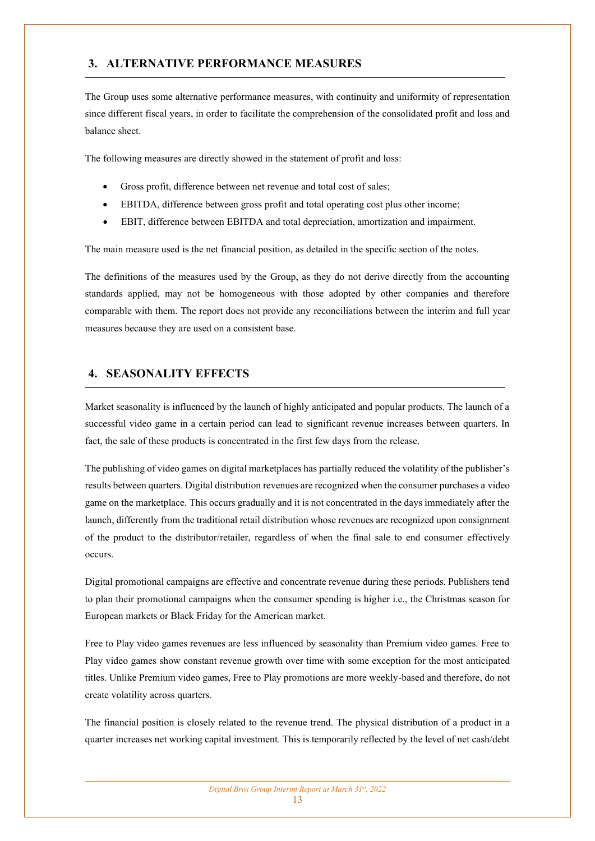## <span id="page-12-0"></span>**3. ALTERNATIVE PERFORMANCE MEASURES**

The Group uses some alternative performance measures, with continuity and uniformity of representation since different fiscal years, in order to facilitate the comprehension of the consolidated profit and loss and balance sheet.

The following measures are directly showed in the statement of profit and loss:

- Gross profit, difference between net revenue and total cost of sales;
- EBITDA, difference between gross profit and total operating cost plus other income;
- EBIT, difference between EBITDA and total depreciation, amortization and impairment.

The main measure used is the net financial position, as detailed in the specific section of the notes.

The definitions of the measures used by the Group, as they do not derive directly from the accounting standards applied, may not be homogeneous with those adopted by other companies and therefore comparable with them. The report does not provide any reconciliations between the interim and full year measures because they are used on a consistent base.

## <span id="page-12-1"></span>**4. SEASONALITY EFFECTS**

Market seasonality is influenced by the launch of highly anticipated and popular products. The launch of a successful video game in a certain period can lead to significant revenue increases between quarters. In fact, the sale of these products is concentrated in the first few days from the release.

The publishing of video games on digital marketplaces has partially reduced the volatility of the publisher's results between quarters. Digital distribution revenues are recognized when the consumer purchases a video game on the marketplace. This occurs gradually and it is not concentrated in the days immediately after the launch, differently from the traditional retail distribution whose revenues are recognized upon consignment of the product to the distributor/retailer, regardless of when the final sale to end consumer effectively occurs.

Digital promotional campaigns are effective and concentrate revenue during these periods. Publishers tend to plan their promotional campaigns when the consumer spending is higher i.e., the Christmas season for European markets or Black Friday for the American market.

Free to Play video games revenues are less influenced by seasonality than Premium video games. Free to Play video games show constant revenue growth over time with some exception for the most anticipated titles. Unlike Premium video games, Free to Play promotions are more weekly-based and therefore, do not create volatility across quarters.

The financial position is closely related to the revenue trend. The physical distribution of a product in a quarter increases net working capital investment. This is temporarily reflected by the level of net cash/debt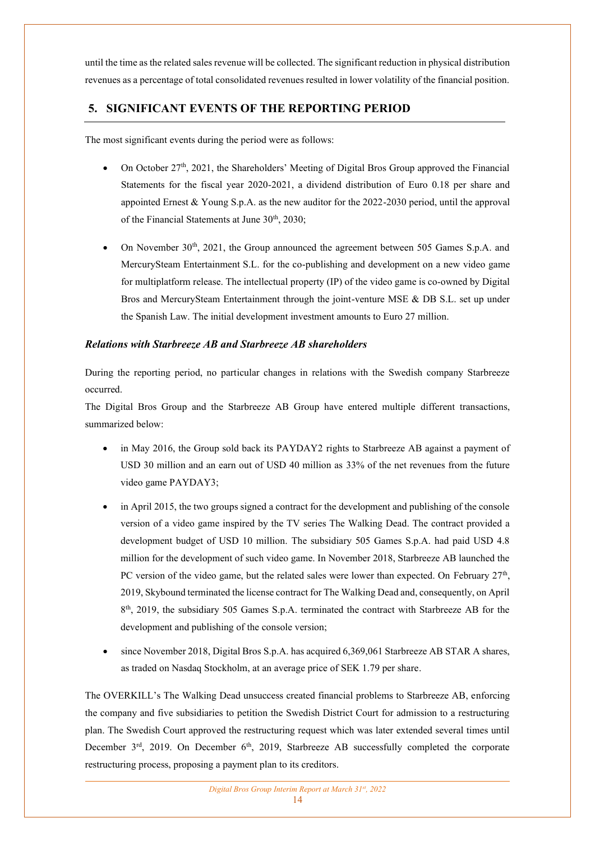until the time as the related sales revenue will be collected. The significant reduction in physical distribution revenues as a percentage of total consolidated revenues resulted in lower volatility of the financial position.

## <span id="page-13-0"></span>**5. SIGNIFICANT EVENTS OF THE REPORTING PERIOD**

The most significant events during the period were as follows:

- On October  $27<sup>th</sup>$ , 2021, the Shareholders' Meeting of Digital Bros Group approved the Financial Statements for the fiscal year 2020-2021, a dividend distribution of Euro 0.18 per share and appointed Ernest & Young S.p.A. as the new auditor for the 2022-2030 period, until the approval of the Financial Statements at June  $30<sup>th</sup>$ , 2030;
- On November 30<sup>th</sup>, 2021, the Group announced the agreement between 505 Games S.p.A. and MercurySteam Entertainment S.L. for the co-publishing and development on a new video game for multiplatform release. The intellectual property (IP) of the video game is co-owned by Digital Bros and MercurySteam Entertainment through the joint-venture MSE & DB S.L. set up under the Spanish Law. The initial development investment amounts to Euro 27 million.

## *Relations with Starbreeze AB and Starbreeze AB shareholders*

During the reporting period, no particular changes in relations with the Swedish company Starbreeze occurred.

The Digital Bros Group and the Starbreeze AB Group have entered multiple different transactions, summarized below:

- in May 2016, the Group sold back its PAYDAY2 rights to Starbreeze AB against a payment of USD 30 million and an earn out of USD 40 million as 33% of the net revenues from the future video game PAYDAY3;
- in April 2015, the two groups signed a contract for the development and publishing of the console version of a video game inspired by the TV series The Walking Dead. The contract provided a development budget of USD 10 million. The subsidiary 505 Games S.p.A. had paid USD 4.8 million for the development of such video game. In November 2018, Starbreeze AB launched the PC version of the video game, but the related sales were lower than expected. On February 27<sup>th</sup>, 2019, Skybound terminated the license contract for The Walking Dead and, consequently, on April 8<sup>th</sup>, 2019, the subsidiary 505 Games S.p.A. terminated the contract with Starbreeze AB for the development and publishing of the console version;
- since November 2018, Digital Bros S.p.A. has acquired 6,369,061 Starbreeze AB STAR A shares, as traded on Nasdaq Stockholm, at an average price of SEK 1.79 per share.

The OVERKILL's The Walking Dead unsuccess created financial problems to Starbreeze AB, enforcing the company and five subsidiaries to petition the Swedish District Court for admission to a restructuring plan. The Swedish Court approved the restructuring request which was later extended several times until December  $3<sup>rd</sup>$ , 2019. On December  $6<sup>th</sup>$ , 2019, Starbreeze AB successfully completed the corporate restructuring process, proposing a payment plan to its creditors.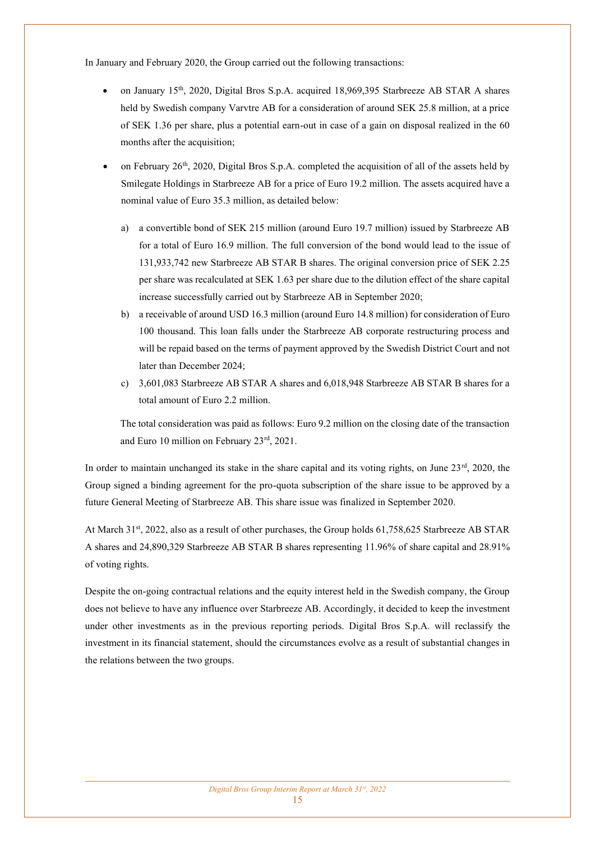In January and February 2020, the Group carried out the following transactions:

- on January 15th, 2020, Digital Bros S.p.A. acquired 18,969,395 Starbreeze AB STAR A shares held by Swedish company Varvtre AB for a consideration of around SEK 25.8 million, at a price of SEK 1.36 per share, plus a potential earn-out in case of a gain on disposal realized in the 60 months after the acquisition;
- on February 26<sup>th</sup>, 2020, Digital Bros S.p.A. completed the acquisition of all of the assets held by Smilegate Holdings in Starbreeze AB for a price of Euro 19.2 million. The assets acquired have a nominal value of Euro 35.3 million, as detailed below:
	- a) a convertible bond of SEK 215 million (around Euro 19.7 million) issued by Starbreeze AB for a total of Euro 16.9 million. The full conversion of the bond would lead to the issue of 131,933,742 new Starbreeze AB STAR B shares. The original conversion price of SEK 2.25 per share was recalculated at SEK 1.63 per share due to the dilution effect of the share capital increase successfully carried out by Starbreeze AB in September 2020;
	- b) a receivable of around USD 16.3 million (around Euro 14.8 million) for consideration of Euro 100 thousand. This loan falls under the Starbreeze AB corporate restructuring process and will be repaid based on the terms of payment approved by the Swedish District Court and not later than December 2024;
	- c) 3,601,083 Starbreeze AB STAR A shares and 6,018,948 Starbreeze AB STAR B shares for a total amount of Euro 2.2 million.

The total consideration was paid as follows: Euro 9.2 million on the closing date of the transaction and Euro 10 million on February 23rd, 2021.

In order to maintain unchanged its stake in the share capital and its voting rights, on June  $23<sup>rd</sup>$ , 2020, the Group signed a binding agreement for the pro-quota subscription of the share issue to be approved by a future General Meeting of Starbreeze AB. This share issue was finalized in September 2020.

At March 31st, 2022, also as a result of other purchases, the Group holds 61,758,625 Starbreeze AB STAR A shares and 24,890,329 Starbreeze AB STAR B shares representing 11.96% of share capital and 28.91% of voting rights.

Despite the on-going contractual relations and the equity interest held in the Swedish company, the Group does not believe to have any influence over Starbreeze AB. Accordingly, it decided to keep the investment under other investments as in the previous reporting periods. Digital Bros S.p.A. will reclassify the investment in its financial statement, should the circumstances evolve as a result of substantial changes in the relations between the two groups.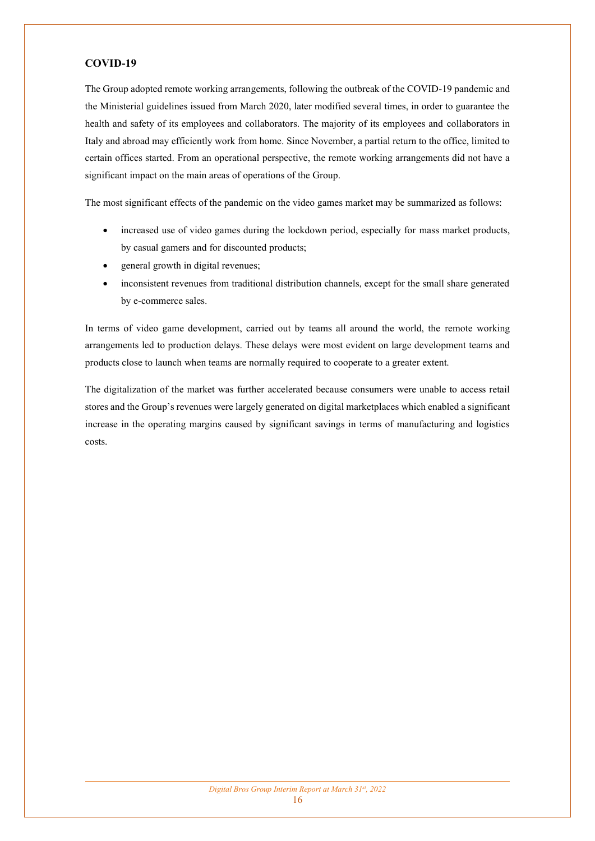## **COVID-19**

The Group adopted remote working arrangements, following the outbreak of the COVID-19 pandemic and the Ministerial guidelines issued from March 2020, later modified several times, in order to guarantee the health and safety of its employees and collaborators. The majority of its employees and collaborators in Italy and abroad may efficiently work from home. Since November, a partial return to the office, limited to certain offices started. From an operational perspective, the remote working arrangements did not have a significant impact on the main areas of operations of the Group.

The most significant effects of the pandemic on the video games market may be summarized as follows:

- increased use of video games during the lockdown period, especially for mass market products, by casual gamers and for discounted products;
- general growth in digital revenues;
- inconsistent revenues from traditional distribution channels, except for the small share generated by e-commerce sales.

In terms of video game development, carried out by teams all around the world, the remote working arrangements led to production delays. These delays were most evident on large development teams and products close to launch when teams are normally required to cooperate to a greater extent.

The digitalization of the market was further accelerated because consumers were unable to access retail stores and the Group's revenues were largely generated on digital marketplaces which enabled a significant increase in the operating margins caused by significant savings in terms of manufacturing and logistics costs.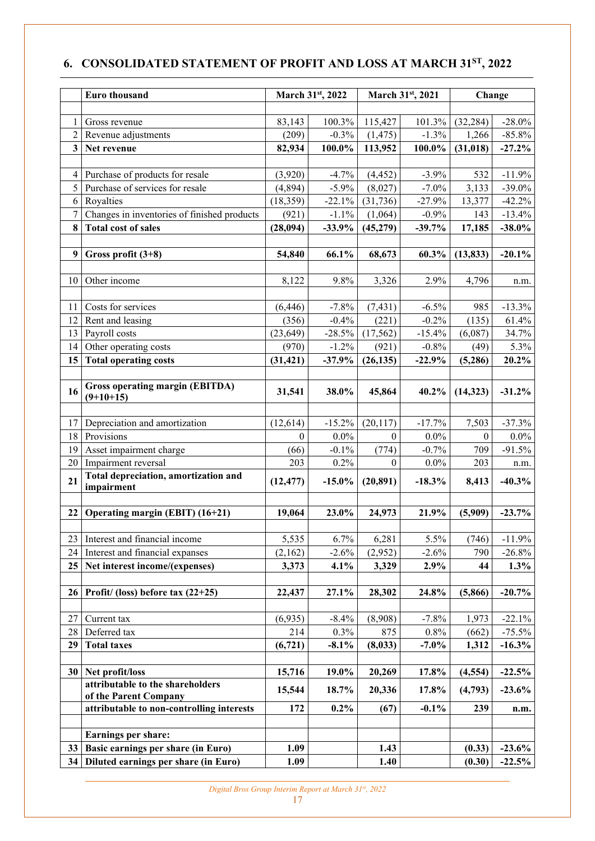|                | Euro thousand                                             |           | March 31 <sup>st</sup> , 2022 |           | March 31st, 2021 | Change    |           |
|----------------|-----------------------------------------------------------|-----------|-------------------------------|-----------|------------------|-----------|-----------|
|                |                                                           |           |                               |           |                  |           |           |
| $\mathbf{1}$   | Gross revenue                                             | 83,143    | 100.3%                        | 115,427   | 101.3%           | (32, 284) | $-28.0\%$ |
| $\overline{2}$ | Revenue adjustments                                       | (209)     | $-0.3%$                       | (1, 475)  | $-1.3%$          | 1,266     | $-85.8\%$ |
| $\mathbf{3}$   | Net revenue                                               | 82,934    | 100.0%                        | 113,952   | 100.0%           | (31, 018) | $-27.2%$  |
| $\overline{4}$ | Purchase of products for resale                           | (3,920)   | $-4.7%$                       | (4, 452)  | $-3.9%$          | 532       | $-11.9%$  |
| 5              | Purchase of services for resale                           | (4,894)   | $-5.9%$                       | (8,027)   | $-7.0\%$         | 3,133     | $-39.0\%$ |
| 6              | Royalties                                                 | (18, 359) | $-22.1%$                      | (31, 736) | $-27.9%$         | 13,377    | $-42.2%$  |
| 7              | Changes in inventories of finished products               | (921)     | $-1.1%$                       | (1,064)   | $-0.9%$          | 143       | $-13.4%$  |
| 8              | <b>Total cost of sales</b>                                | (28,094)  | $-33.9%$                      | (45, 279) | $-39.7%$         | 17,185    | $-38.0\%$ |
|                |                                                           |           |                               |           |                  |           |           |
| 9              | Gross profit $(3+8)$                                      | 54,840    | 66.1%                         | 68,673    | 60.3%            | (13, 833) | $-20.1\%$ |
|                |                                                           |           |                               |           |                  |           |           |
| 10             | Other income                                              | 8,122     | 9.8%                          | 3,326     | 2.9%             | 4,796     | n.m.      |
|                |                                                           |           |                               |           |                  |           |           |
| 11             | Costs for services                                        | (6, 446)  | $-7.8%$                       | (7, 431)  | $-6.5%$          | 985       | $-13.3%$  |
| 12             | Rent and leasing                                          | (356)     | $-0.4%$                       | (221)     | $-0.2%$          | (135)     | 61.4%     |
| 13             | Payroll costs                                             | (23, 649) | $-28.5%$                      | (17, 562) | $-15.4%$         | (6,087)   | 34.7%     |
| 14             | Other operating costs                                     | (970)     | $-1.2%$                       | (921)     | $-0.8%$          | (49)      | 5.3%      |
| 15             | <b>Total operating costs</b>                              | (31, 421) | $-37.9%$                      | (26, 135) | $-22.9%$         | (5,286)   | 20.2%     |
|                | <b>Gross operating margin (EBITDA)</b>                    |           |                               |           |                  |           |           |
| 16             | $(9+10+15)$                                               | 31,541    | 38.0%                         | 45,864    | 40.2%            | (14, 323) | $-31.2%$  |
|                |                                                           |           |                               |           |                  |           |           |
| 17             | Depreciation and amortization                             | (12, 614) | $-15.2%$                      | (20, 117) | $-17.7%$         | 7,503     | $-37.3%$  |
| 18             | Provisions                                                | $\theta$  | $0.0\%$                       | $\theta$  | $0.0\%$          | $\theta$  | $0.0\%$   |
| 19             | Asset impairment charge                                   | (66)      | $-0.1%$                       | (774)     | $-0.7%$          | 709       | $-91.5%$  |
| 20             | Impairment reversal                                       | 203       | 0.2%                          | $\theta$  | $0.0\%$          | 203       | n.m.      |
| 21             | Total depreciation, amortization and<br>impairment        | (12, 477) | $-15.0\%$                     | (20, 891) | $-18.3%$         | 8,413     | $-40.3%$  |
|                |                                                           |           |                               |           |                  |           |           |
| 22             | Operating margin (EBIT) (16+21)                           | 19,064    | 23.0%                         | 24,973    | 21.9%            | (5,909)   | $-23.7%$  |
|                |                                                           |           |                               |           |                  |           |           |
| 23             | Interest and financial income                             | 5,535     | 6.7%                          | 6,281     | 5.5%             | (746)     | $-11.9%$  |
| 24             | Interest and financial expanses                           | (2,162)   | $-2.6%$                       | (2,952)   | $-2.6%$          | 790       | $-26.8%$  |
| 25             | Net interest income/(expenses)                            | 3,373     | 4.1%                          | 3,329     | 2.9%             | 44        | 1.3%      |
|                |                                                           |           |                               |           |                  |           |           |
| 26             | Profit/ $\left($ loss) before tax $(22+25)$               | 22,437    | 27.1%                         | 28,302    | 24.8%            | (5,866)   | $-20.7%$  |
|                |                                                           |           |                               |           |                  |           |           |
| 27             | Current tax                                               | (6,935)   | $-8.4%$                       | (8,908)   | $-7.8%$          | 1,973     | $-22.1%$  |
| 28<br>29       | Deferred tax                                              | 214       | 0.3%                          | 875       | 0.8%             | (662)     | $-75.5\%$ |
|                | <b>Total taxes</b>                                        | (6, 721)  | $-8.1\%$                      | (8, 033)  | $-7.0\%$         | 1,312     | $-16.3%$  |
| 30             | Net profit/loss                                           | 15,716    | 19.0%                         | 20,269    | 17.8%            | (4, 554)  | $-22.5%$  |
|                | attributable to the shareholders<br>of the Parent Company | 15,544    | 18.7%                         | 20,336    | 17.8%            | (4,793)   | $-23.6%$  |
|                | attributable to non-controlling interests                 | 172       | $0.2\%$                       | (67)      | $-0.1\%$         | 239       | n.m.      |
|                |                                                           |           |                               |           |                  |           |           |
|                | <b>Earnings per share:</b>                                |           |                               |           |                  |           |           |
| 33             | Basic earnings per share (in Euro)                        | 1.09      |                               | 1.43      |                  | (0.33)    | $-23.6%$  |
| 34             | Diluted earnings per share (in Euro)                      | 1.09      |                               | 1.40      |                  | (0.30)    | $-22.5%$  |

## <span id="page-16-0"></span>**6. CONSOLIDATED STATEMENT OF PROFIT AND LOSS AT MARCH 31ST, 2022**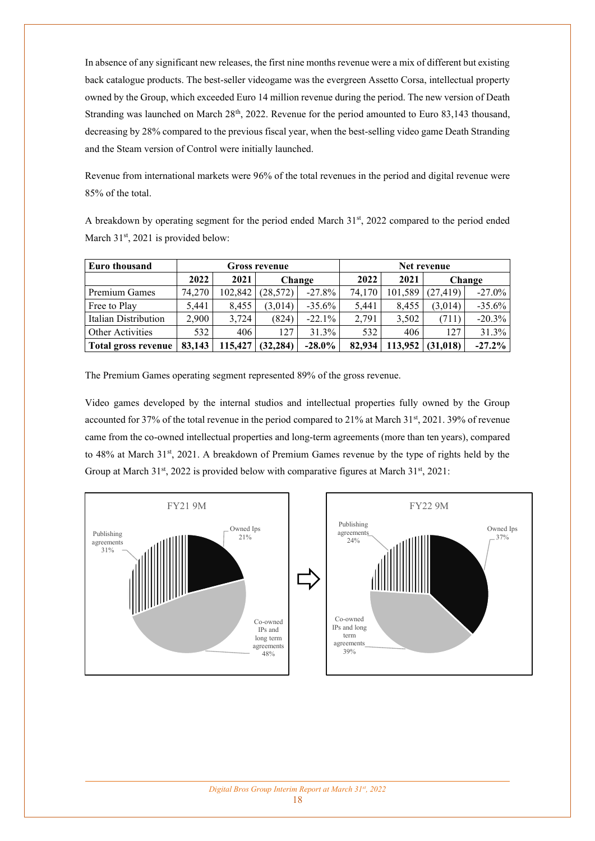In absence of any significant new releases, the first nine months revenue were a mix of different but existing back catalogue products. The best-seller videogame was the evergreen Assetto Corsa, intellectual property owned by the Group, which exceeded Euro 14 million revenue during the period. The new version of Death Stranding was launched on March  $28<sup>th</sup>$ , 2022. Revenue for the period amounted to Euro 83,143 thousand, decreasing by 28% compared to the previous fiscal year, when the best-selling video game Death Stranding and the Steam version of Control were initially launched.

Revenue from international markets were 96% of the total revenues in the period and digital revenue were 85% of the total.

A breakdown by operating segment for the period ended March 31<sup>st</sup>, 2022 compared to the period ended March 31<sup>st</sup>, 2021 is provided below:

| <b>Euro thousand</b><br>Gross revenue |        |         |           |           |        |         | Net revenue<br>Change |           |  |  |
|---------------------------------------|--------|---------|-----------|-----------|--------|---------|-----------------------|-----------|--|--|
|                                       | 2022   | 2021    | Change    |           | 2022   | 2021    |                       |           |  |  |
| Premium Games                         | 74,270 | 102,842 | (28, 572) | $-27.8%$  | 74,170 | 101,589 | (27, 419)             | $-27.0\%$ |  |  |
| Free to Play                          | 5,441  | 8,455   | (3,014)   | $-35.6%$  | 5,441  | 8,455   | (3,014)               | $-35.6%$  |  |  |
| <b>Italian Distribution</b>           | 2,900  | 3.724   | (824)     | $-22.1%$  | 2,791  | 3,502   | (711)                 | $-20.3%$  |  |  |
| Other Activities                      | 532    | 406     | 127       | 31.3%     | 532    | 406     | 127                   | 31.3%     |  |  |
| Total gross revenue                   | 83,143 | 115,427 | (32.284)  | $-28.0\%$ | 82,934 | 113,952 | (31,018)              | $-27.2%$  |  |  |

The Premium Games operating segment represented 89% of the gross revenue.

Video games developed by the internal studios and intellectual properties fully owned by the Group accounted for 37% of the total revenue in the period compared to 21% at March 31st, 2021. 39% of revenue came from the co-owned intellectual properties and long-term agreements (more than ten years), compared to 48% at March 31<sup>st</sup>, 2021. A breakdown of Premium Games revenue by the type of rights held by the Group at March  $31^{st}$ , 2022 is provided below with comparative figures at March  $31^{st}$ , 2021:



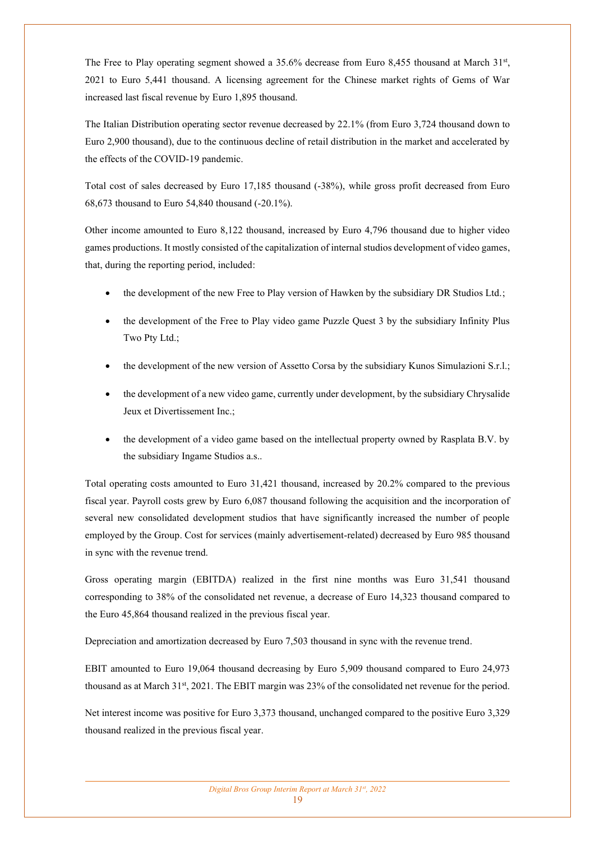The Free to Play operating segment showed a 35.6% decrease from Euro 8,455 thousand at March 31<sup>st</sup>, 2021 to Euro 5,441 thousand. A licensing agreement for the Chinese market rights of Gems of War increased last fiscal revenue by Euro 1,895 thousand.

The Italian Distribution operating sector revenue decreased by 22.1% (from Euro 3,724 thousand down to Euro 2,900 thousand), due to the continuous decline of retail distribution in the market and accelerated by the effects of the COVID-19 pandemic.

Total cost of sales decreased by Euro 17,185 thousand (-38%), while gross profit decreased from Euro 68,673 thousand to Euro 54,840 thousand (-20.1%).

Other income amounted to Euro 8,122 thousand, increased by Euro 4,796 thousand due to higher video games productions. It mostly consisted of the capitalization of internal studios development of video games, that, during the reporting period, included:

- the development of the new Free to Play version of Hawken by the subsidiary DR Studios Ltd.;
- the development of the Free to Play video game Puzzle Quest 3 by the subsidiary Infinity Plus Two Pty Ltd.;
- the development of the new version of Assetto Corsa by the subsidiary Kunos Simulazioni S.r.l.;
- the development of a new video game, currently under development, by the subsidiary Chrysalide Jeux et Divertissement Inc.;
- the development of a video game based on the intellectual property owned by Rasplata B.V. by the subsidiary Ingame Studios a.s..

Total operating costs amounted to Euro 31,421 thousand, increased by 20.2% compared to the previous fiscal year. Payroll costs grew by Euro 6,087 thousand following the acquisition and the incorporation of several new consolidated development studios that have significantly increased the number of people employed by the Group. Cost for services (mainly advertisement-related) decreased by Euro 985 thousand in sync with the revenue trend.

Gross operating margin (EBITDA) realized in the first nine months was Euro 31,541 thousand corresponding to 38% of the consolidated net revenue, a decrease of Euro 14,323 thousand compared to the Euro 45,864 thousand realized in the previous fiscal year.

Depreciation and amortization decreased by Euro 7,503 thousand in sync with the revenue trend.

EBIT amounted to Euro 19,064 thousand decreasing by Euro 5,909 thousand compared to Euro 24,973 thousand as at March 31<sup>st</sup>, 2021. The EBIT margin was 23% of the consolidated net revenue for the period.

Net interest income was positive for Euro 3,373 thousand, unchanged compared to the positive Euro 3,329 thousand realized in the previous fiscal year.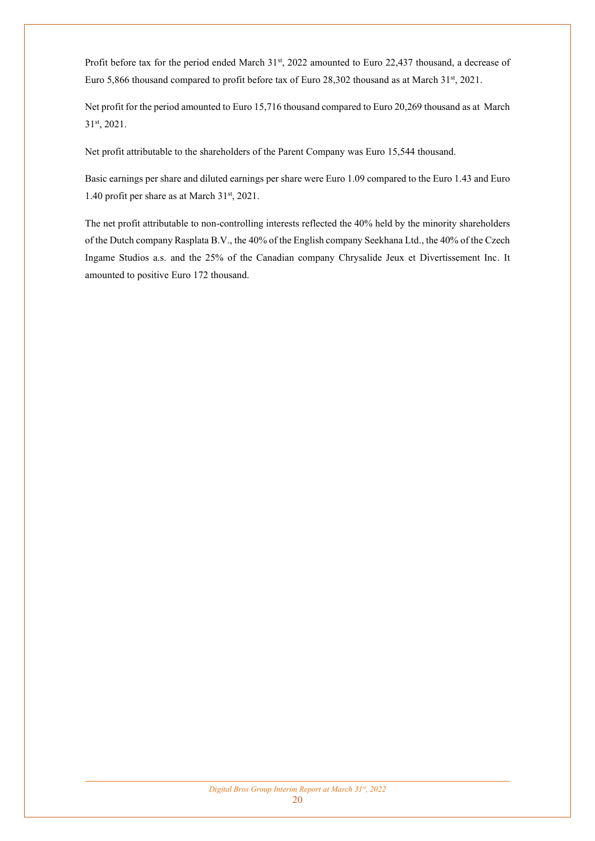Profit before tax for the period ended March 31<sup>st</sup>, 2022 amounted to Euro 22,437 thousand, a decrease of Euro 5,866 thousand compared to profit before tax of Euro 28,302 thousand as at March 31<sup>st</sup>, 2021.

Net profit for the period amounted to Euro 15,716 thousand compared to Euro 20,269 thousand as at March 31st, 2021.

Net profit attributable to the shareholders of the Parent Company was Euro 15,544 thousand.

Basic earnings per share and diluted earnings per share were Euro 1.09 compared to the Euro 1.43 and Euro 1.40 profit per share as at March 31st, 2021.

The net profit attributable to non-controlling interests reflected the 40% held by the minority shareholders of the Dutch company Rasplata B.V., the 40% of the English company Seekhana Ltd., the 40% of the Czech Ingame Studios a.s. and the 25% of the Canadian company Chrysalide Jeux et Divertissement Inc. It amounted to positive Euro 172 thousand.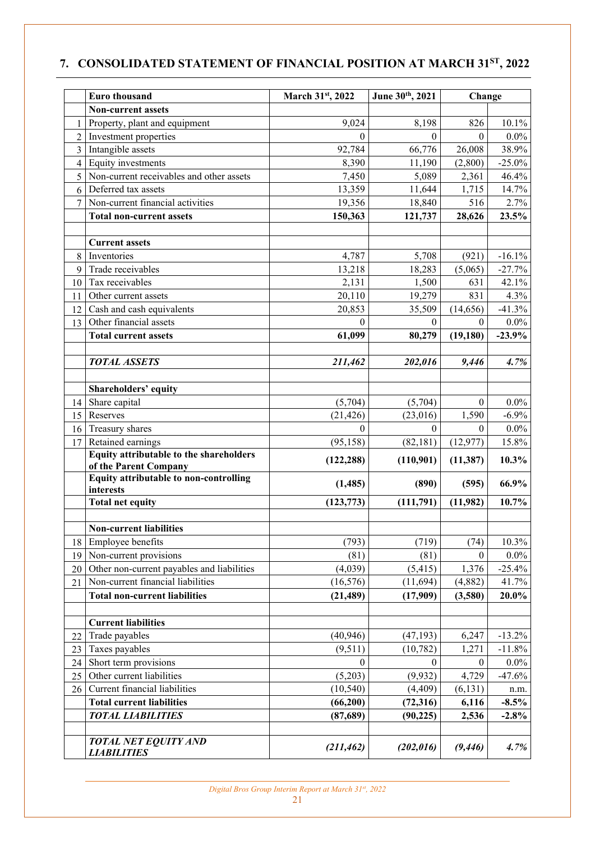## <span id="page-20-0"></span>**7. CONSOLIDATED STATEMENT OF FINANCIAL POSITION AT MARCH 31ST, 2022**

|                | <b>Euro thousand</b>                                                   | March 31st, 2022 | June 30th, 2021 | Change           |           |
|----------------|------------------------------------------------------------------------|------------------|-----------------|------------------|-----------|
|                | <b>Non-current assets</b>                                              |                  |                 |                  |           |
| -1             | Property, plant and equipment                                          | 9,024            | 8,198           | 826              | 10.1%     |
| $\overline{2}$ | Investment properties                                                  | $\mathbf{0}$     | $\theta$        | $\mathbf{0}$     | $0.0\%$   |
| 3              | Intangible assets                                                      | 92,784           | 66,776          | 26,008           | 38.9%     |
| 4              | Equity investments                                                     | 8,390            | 11,190          | (2,800)          | $-25.0\%$ |
| 5              | Non-current receivables and other assets                               | 7,450            | 5,089           | 2,361            | 46.4%     |
| 6              | Deferred tax assets                                                    | 13,359           | 11,644          | 1,715            | 14.7%     |
| $\overline{7}$ | Non-current financial activities                                       | 19,356           | 18,840          | 516              | 2.7%      |
|                | <b>Total non-current assets</b>                                        | 150,363          | 121,737         | 28,626           | 23.5%     |
|                | <b>Current assets</b>                                                  |                  |                 |                  |           |
| 8              | Inventories                                                            | 4,787            | 5,708           | (921)            | $-16.1%$  |
| $\mathbf Q$    | Trade receivables                                                      | 13,218           | 18,283          | (5,065)          | $-27.7%$  |
| 10             | Tax receivables                                                        | 2,131            | 1,500           | 631              | 42.1%     |
| 11             | Other current assets                                                   | 20,110           | 19,279          | 831              | 4.3%      |
| 12             | Cash and cash equivalents                                              | 20,853           | 35,509          | (14, 656)        | $-41.3%$  |
| 13             | Other financial assets                                                 | $\theta$         | 0               | $\theta$         | $0.0\%$   |
|                | <b>Total current assets</b>                                            | 61,099           | 80,279          | (19, 180)        | $-23.9%$  |
|                |                                                                        |                  |                 |                  |           |
|                | <b>TOTAL ASSETS</b>                                                    | 211,462          | 202,016         | 9,446            | 4.7%      |
|                | <b>Shareholders' equity</b>                                            |                  |                 |                  |           |
| 14             | Share capital                                                          | (5,704)          | (5,704)         | $\theta$         | $0.0\%$   |
| 15             | Reserves                                                               | (21, 426)        | (23,016)        | 1,590            | $-6.9%$   |
| 16             | Treasury shares                                                        | $\Omega$         | $\theta$        | $\theta$         | $0.0\%$   |
| 17             | Retained earnings                                                      | (95, 158)        | (82, 181)       | (12, 977)        | 15.8%     |
|                | Equity attributable to the shareholders                                | (122, 288)       | (110,901)       | (11, 387)        | 10.3%     |
|                | of the Parent Company<br><b>Equity attributable to non-controlling</b> | (1, 485)         | (890)           | (595)            | 66.9%     |
|                | interests                                                              |                  |                 |                  |           |
|                | <b>Total net equity</b>                                                | (123, 773)       | (111,791)       | (11,982)         | $10.7\%$  |
|                | <b>Non-current liabilities</b>                                         |                  |                 |                  |           |
| 18             | Employee benefits                                                      | (793)            | (719)           | (74)             | 10.3%     |
| 19             | Non-current provisions                                                 | (81)             | (81)            | $\theta$         | $0.0\%$   |
| 20             | Other non-current payables and liabilities                             | (4,039)          | (5, 415)        | 1,376            | $-25.4%$  |
| 21             | Non-current financial liabilities                                      | (16, 576)        | (11, 694)       | (4, 882)         | 41.7%     |
|                | <b>Total non-current liabilities</b>                                   | (21, 489)        | (17,909)        | (3,580)          | 20.0%     |
|                | <b>Current liabilities</b>                                             |                  |                 |                  |           |
| 22             | Trade payables                                                         | (40, 946)        | (47, 193)       | 6,247            | $-13.2\%$ |
| 23             | Taxes payables                                                         | (9,511)          | (10, 782)       | 1,271            | $-11.8%$  |
| 24             | Short term provisions                                                  | $\theta$         | 0               | $\boldsymbol{0}$ | $0.0\%$   |
| 25             | Other current liabilities                                              | (5,203)          | (9, 932)        | 4,729            | $-47.6%$  |
| 26             | Current financial liabilities                                          | (10, 540)        | (4, 409)        | (6, 131)         | n.m.      |
|                | <b>Total current liabilities</b>                                       | (66, 200)        | (72, 316)       | 6,116            | $-8.5\%$  |
|                | <b>TOTAL LIABILITIES</b>                                               | (87,689)         | (90, 225)       | 2,536            | $-2.8%$   |
|                |                                                                        |                  |                 |                  |           |
|                | <b>TOTAL NET EQUITY AND</b><br><b>LIABILITIES</b>                      | (211, 462)       | (202, 016)      | (9, 446)         | 4.7%      |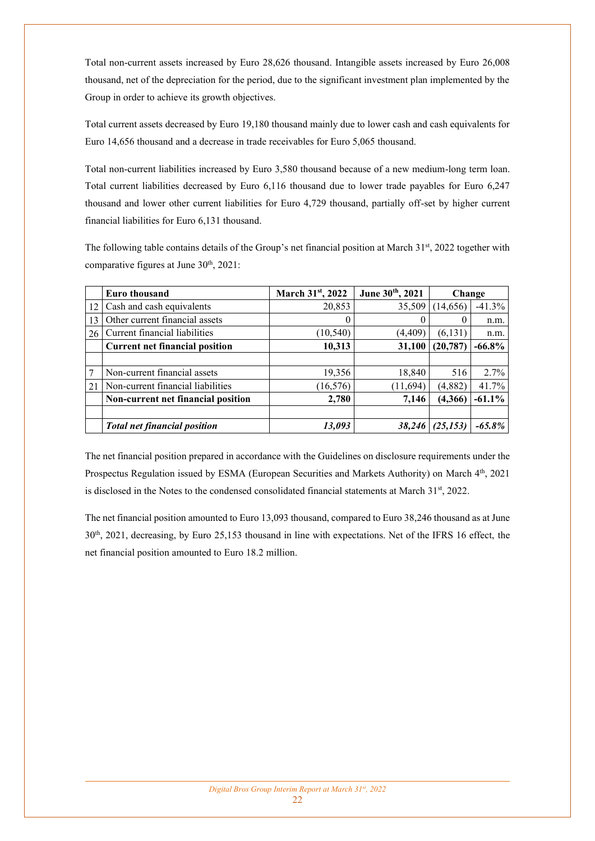Total non-current assets increased by Euro 28,626 thousand. Intangible assets increased by Euro 26,008 thousand, net of the depreciation for the period, due to the significant investment plan implemented by the Group in order to achieve its growth objectives.

Total current assets decreased by Euro 19,180 thousand mainly due to lower cash and cash equivalents for Euro 14,656 thousand and a decrease in trade receivables for Euro 5,065 thousand.

Total non-current liabilities increased by Euro 3,580 thousand because of a new medium-long term loan. Total current liabilities decreased by Euro 6,116 thousand due to lower trade payables for Euro 6,247 thousand and lower other current liabilities for Euro 4,729 thousand, partially off-set by higher current financial liabilities for Euro 6,131 thousand.

The following table contains details of the Group's net financial position at March 31<sup>st</sup>, 2022 together with comparative figures at June  $30<sup>th</sup>$ ,  $2021$ :

|    | <b>Euro thousand</b>                  | March 31 <sup>st</sup> , 2022 | June 30th, 2021 | Change    |           |
|----|---------------------------------------|-------------------------------|-----------------|-----------|-----------|
| 12 | Cash and cash equivalents             | 20,853                        | 35,509          | (14, 656) | $-41.3%$  |
| 13 | Other current financial assets        | $\theta$                      | $\theta$        |           | n.m.      |
| 26 | Current financial liabilities         | (10, 540)                     | (4,409)         | (6, 131)  | n.m.      |
|    | <b>Current net financial position</b> | 10,313                        | 31,100          | (20, 787) | $-66.8\%$ |
|    |                                       |                               |                 |           |           |
|    | Non-current financial assets          | 19,356                        | 18,840          | 516       | 2.7%      |
| 21 | Non-current financial liabilities     | (16, 576)                     | (11, 694)       | (4,882)   | 41.7%     |
|    | Non-current net financial position    | 2,780                         | 7,146           | (4,366)   | $-61.1%$  |
|    |                                       |                               |                 |           |           |
|    | <b>Total net financial position</b>   | 13,093                        | 38,246          | (25, 153) | $-65.8\%$ |

The net financial position prepared in accordance with the Guidelines on disclosure requirements under the Prospectus Regulation issued by ESMA (European Securities and Markets Authority) on March 4<sup>th</sup>, 2021 is disclosed in the Notes to the condensed consolidated financial statements at March 31<sup>st</sup>, 2022.

The net financial position amounted to Euro 13,093 thousand, compared to Euro 38,246 thousand as at June 30th, 2021, decreasing, by Euro 25,153 thousand in line with expectations. Net of the IFRS 16 effect, the net financial position amounted to Euro 18.2 million.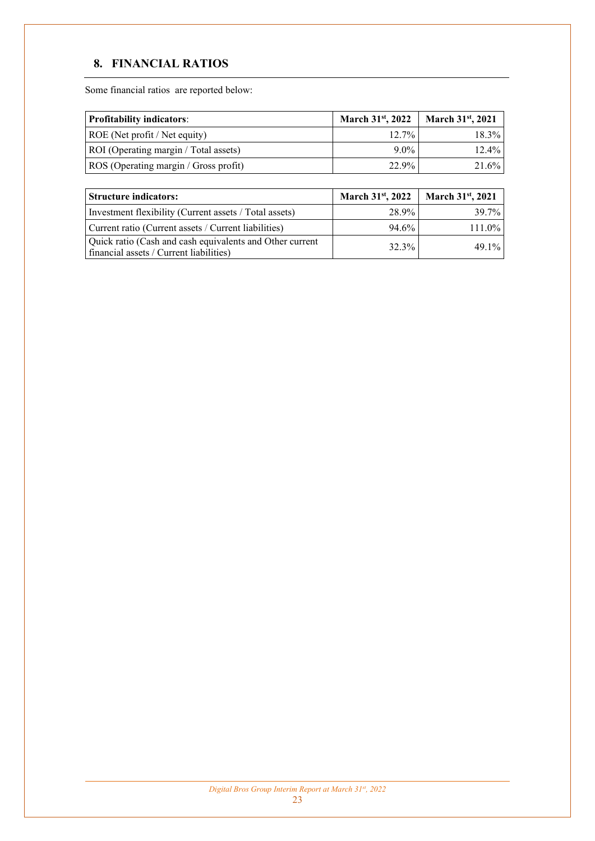## <span id="page-22-0"></span>**8. FINANCIAL RATIOS**

Some financial ratios are reported below:

| <b>Profitability indicators:</b>      | March 31 <sup>st</sup> , 2022 | March $31^{st}$ , 2021 |
|---------------------------------------|-------------------------------|------------------------|
| ROE (Net profit / Net equity)         | $12.7\%$                      | 18.3%                  |
| ROI (Operating margin / Total assets) | $9.0\%$                       | $12.4\%$               |
| ROS (Operating margin / Gross profit) | 22.9%                         | 21.6%                  |

| <b>Structure indicators:</b>                                                                        | March 31st, 2022 | March $31^{st}$ , 2021 |
|-----------------------------------------------------------------------------------------------------|------------------|------------------------|
| Investment flexibility (Current assets / Total assets)                                              | $28.9\%$         | 39.7%                  |
| Current ratio (Current assets / Current liabilities)                                                | $94.6\%$         | 111.0%                 |
| Quick ratio (Cash and cash equivalents and Other current<br>financial assets / Current liabilities) | $32.3\%$         | 49.1%                  |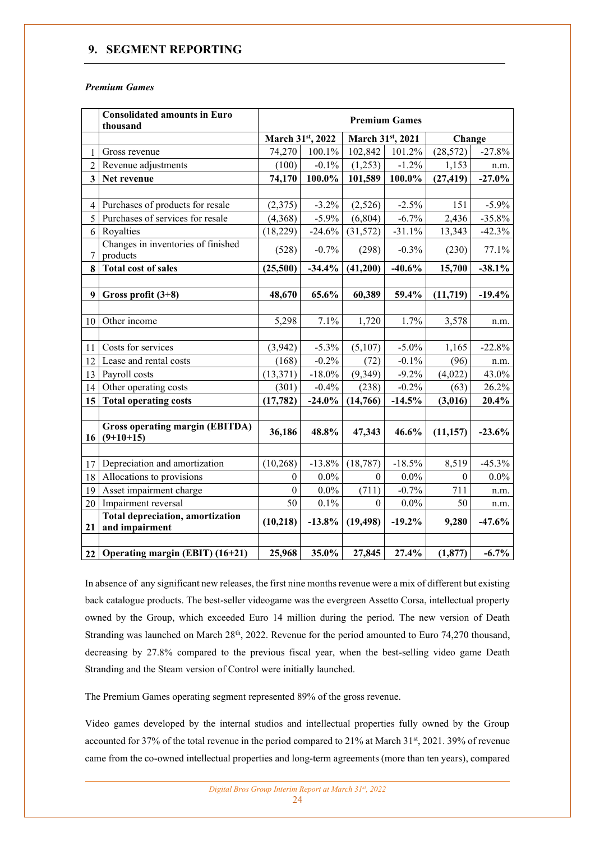## <span id="page-23-0"></span>**9. SEGMENT REPORTING**

#### *Premium Games*

|                         | <b>Consolidated amounts in Euro</b><br>thousand           | <b>Premium Games</b> |           |                               |          |           |          |
|-------------------------|-----------------------------------------------------------|----------------------|-----------|-------------------------------|----------|-----------|----------|
|                         |                                                           | March 31st, 2022     |           | March 31 <sup>st</sup> , 2021 |          | Change    |          |
| $\mathbf{1}$            | Gross revenue                                             | 74,270               | 100.1%    | 102,842                       | 101.2%   | (28, 572) | $-27.8%$ |
| $\overline{c}$          | Revenue adjustments                                       | (100)                | $-0.1%$   | (1,253)                       | $-1.2%$  | 1,153     | n.m.     |
| $\overline{\mathbf{3}}$ | Net revenue                                               | 74,170               | $100.0\%$ | 101,589                       | 100.0%   | (27, 419) | $-27.0%$ |
|                         |                                                           |                      |           |                               |          |           |          |
| $\overline{4}$          | Purchases of products for resale                          | (2,375)              | $-3.2%$   | (2,526)                       | $-2.5%$  | 151       | $-5.9\%$ |
| 5                       | Purchases of services for resale                          | (4,368)              | $-5.9%$   | (6, 804)                      | $-6.7%$  | 2,436     | $-35.8%$ |
| 6                       | Royalties                                                 | (18, 229)            | $-24.6%$  | (31, 572)                     | $-31.1%$ | 13,343    | $-42.3%$ |
| $\overline{7}$          | Changes in inventories of finished<br>products            | (528)                | $-0.7%$   | (298)                         | $-0.3%$  | (230)     | 77.1%    |
| 8                       | <b>Total cost of sales</b>                                | (25,500)             | $-34.4%$  | (41,200)                      | $-40.6%$ | 15,700    | $-38.1%$ |
|                         |                                                           |                      |           |                               |          |           |          |
| $\boldsymbol{9}$        | Gross profit $(3+8)$                                      | 48,670               | 65.6%     | 60,389                        | 59.4%    | (11, 719) | $-19.4%$ |
|                         |                                                           |                      |           |                               |          |           |          |
| 10                      | Other income                                              | 5,298                | 7.1%      | 1,720                         | 1.7%     | 3,578     | n.m.     |
|                         |                                                           |                      |           |                               |          |           |          |
| 11                      | Costs for services                                        | (3,942)              | $-5.3%$   | (5,107)                       | $-5.0\%$ | 1,165     | $-22.8%$ |
| 12                      | Lease and rental costs                                    | (168)                | $-0.2%$   | (72)                          | $-0.1%$  | (96)      | n.m.     |
| 13                      | Payroll costs                                             | (13, 371)            | $-18.0\%$ | (9, 349)                      | $-9.2%$  | (4,022)   | 43.0%    |
| 14                      | Other operating costs                                     | (301)                | $-0.4%$   | (238)                         | $-0.2%$  | (63)      | 26.2%    |
| 15                      | <b>Total operating costs</b>                              | (17, 782)            | $-24.0\%$ | (14,766)                      | $-14.5%$ | (3,016)   | 20.4%    |
| 16                      | <b>Gross operating margin (EBITDA)</b><br>$(9+10+15)$     | 36,186               | 48.8%     | 47,343                        | 46.6%    | (11, 157) | $-23.6%$ |
| 17                      | Depreciation and amortization                             | (10, 268)            | $-13.8%$  | (18, 787)                     | $-18.5%$ | 8,519     | $-45.3%$ |
| 18                      | Allocations to provisions                                 | $\theta$             | $0.0\%$   | $\theta$                      | $0.0\%$  | $\theta$  | $0.0\%$  |
| 19                      | Asset impairment charge                                   | $\mathbf{0}$         | $0.0\%$   | (711)                         | $-0.7%$  | 711       | n.m.     |
| 20                      | Impairment reversal                                       | 50                   | 0.1%      | $\theta$                      | $0.0\%$  | 50        | n.m.     |
| 21                      | <b>Total depreciation, amortization</b><br>and impairment | (10, 218)            | $-13.8%$  | (19, 498)                     | $-19.2%$ | 9,280     | $-47.6%$ |
|                         | 22 Operating margin (EBIT) $(16+21)$                      | 25,968               | 35.0%     | 27,845                        | 27.4%    | (1, 877)  | $-6.7\%$ |

In absence of any significant new releases, the first nine months revenue were a mix of different but existing back catalogue products. The best-seller videogame was the evergreen Assetto Corsa, intellectual property owned by the Group, which exceeded Euro 14 million during the period. The new version of Death Stranding was launched on March 28<sup>th</sup>, 2022. Revenue for the period amounted to Euro 74,270 thousand, decreasing by 27.8% compared to the previous fiscal year, when the best-selling video game Death Stranding and the Steam version of Control were initially launched.

The Premium Games operating segment represented 89% of the gross revenue.

Video games developed by the internal studios and intellectual properties fully owned by the Group accounted for 37% of the total revenue in the period compared to 21% at March 31st, 2021. 39% of revenue came from the co-owned intellectual properties and long-term agreements (more than ten years), compared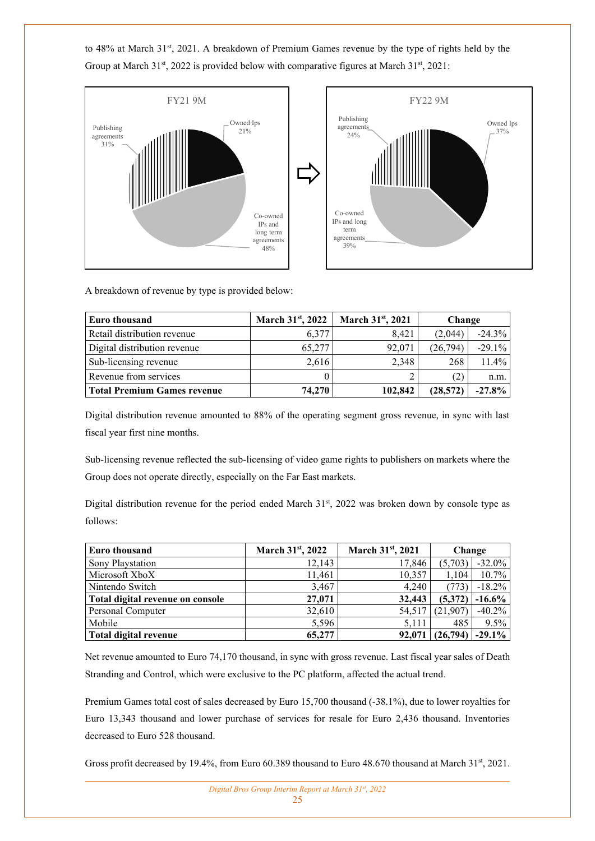to 48% at March 31<sup>st</sup>, 2021. A breakdown of Premium Games revenue by the type of rights held by the Group at March  $31^{st}$ , 2022 is provided below with comparative figures at March  $31^{st}$ , 2021:





A breakdown of revenue by type is provided below:

| Euro thousand                      | March 31 <sup>st</sup> , 2022 | March 31 <sup>st</sup> , 2021 | Change    |           |
|------------------------------------|-------------------------------|-------------------------------|-----------|-----------|
| Retail distribution revenue        | 6,377                         | 8,421                         | (2.044)   | $-24.3\%$ |
| Digital distribution revenue       | 65,277                        | 92,071                        | (26, 794) | $-29.1\%$ |
| Sub-licensing revenue              | 2,616                         | 2,348                         | 268       | 11.4%     |
| Revenue from services              |                               |                               | (2)       | n.m.      |
| <b>Total Premium Games revenue</b> | 74,270                        | 102,842                       | (28, 572) | $-27.8%$  |

Digital distribution revenue amounted to 88% of the operating segment gross revenue, in sync with last fiscal year first nine months.

Sub-licensing revenue reflected the sub-licensing of video game rights to publishers on markets where the Group does not operate directly, especially on the Far East markets.

Digital distribution revenue for the period ended March 31<sup>st</sup>, 2022 was broken down by console type as follows:

| <b>Euro thousand</b>             | March 31 <sup>st</sup> , 2022 | March 31st, 2021 | Change   |           |
|----------------------------------|-------------------------------|------------------|----------|-----------|
| Sony Playstation                 | 12,143                        | 17.846           | (5,703)  | $-32.0\%$ |
| Microsoft XboX                   | 11,461                        | 10,357           | 1.104    | 10.7%     |
| Nintendo Switch                  | 3,467                         | 4.240            | (773)    | $-18.2\%$ |
| Total digital revenue on console | 27,071                        | 32,443           | (5,372)  | $-16.6\%$ |
| Personal Computer                | 32,610                        | 54,517           | (21.907) | $-40.2\%$ |
| Mobile                           | 5,596                         | 5,111            | 485      | 9.5%      |
| Total digital revenue            | 65,277                        | 92,071           | (26,794) | $-29.1\%$ |

Net revenue amounted to Euro 74,170 thousand, in sync with gross revenue. Last fiscal year sales of Death Stranding and Control, which were exclusive to the PC platform, affected the actual trend.

Premium Games total cost of sales decreased by Euro 15,700 thousand (-38.1%), due to lower royalties for Euro 13,343 thousand and lower purchase of services for resale for Euro 2,436 thousand. Inventories decreased to Euro 528 thousand.

Gross profit decreased by 19.4%, from Euro 60.389 thousand to Euro 48.670 thousand at March 31<sup>st</sup>, 2021.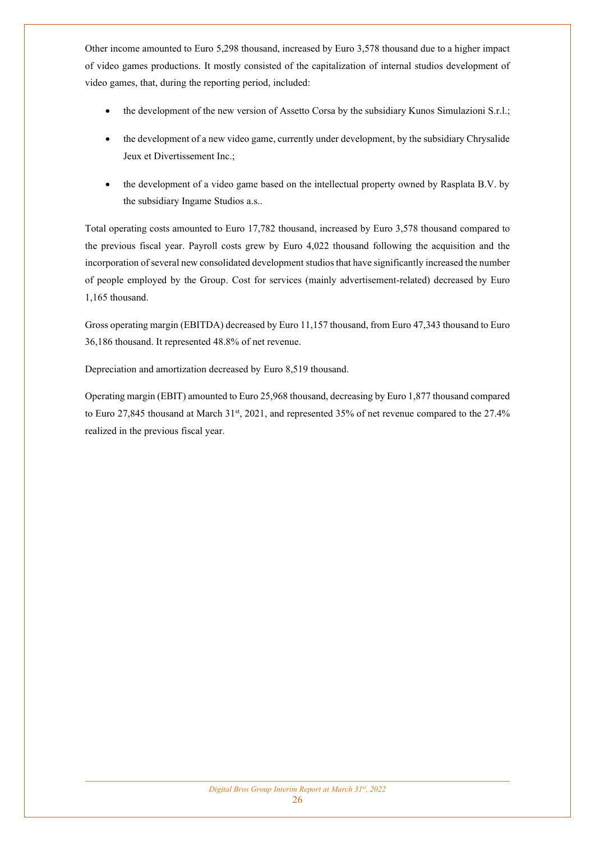Other income amounted to Euro 5,298 thousand, increased by Euro 3,578 thousand due to a higher impact of video games productions. It mostly consisted of the capitalization of internal studios development of video games, that, during the reporting period, included:

- the development of the new version of Assetto Corsa by the subsidiary Kunos Simulazioni S.r.l.;
- the development of a new video game, currently under development, by the subsidiary Chrysalide Jeux et Divertissement Inc.;
- the development of a video game based on the intellectual property owned by Rasplata B.V. by the subsidiary Ingame Studios a.s..

Total operating costs amounted to Euro 17,782 thousand, increased by Euro 3,578 thousand compared to the previous fiscal year. Payroll costs grew by Euro 4,022 thousand following the acquisition and the incorporation of several new consolidated development studios that have significantly increased the number of people employed by the Group. Cost for services (mainly advertisement-related) decreased by Euro 1,165 thousand.

Gross operating margin (EBITDA) decreased by Euro 11,157 thousand, from Euro 47,343 thousand to Euro 36,186 thousand. It represented 48.8% of net revenue.

Depreciation and amortization decreased by Euro 8,519 thousand.

Operating margin (EBIT) amounted to Euro 25,968 thousand, decreasing by Euro 1,877 thousand compared to Euro 27,845 thousand at March 31<sup>st</sup>, 2021, and represented 35% of net revenue compared to the 27.4% realized in the previous fiscal year.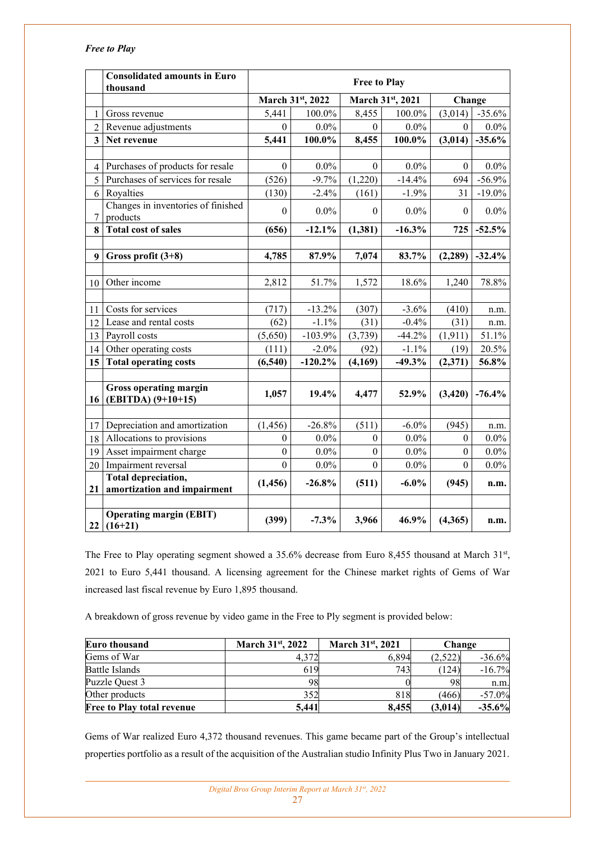#### *Free to Play*

|                         | <b>Consolidated amounts in Euro</b><br>thousand     | <b>Free to Play</b> |                  |                  |                  |                  |           |  |
|-------------------------|-----------------------------------------------------|---------------------|------------------|------------------|------------------|------------------|-----------|--|
|                         |                                                     |                     | March 31st, 2022 |                  | March 31st, 2021 | Change           |           |  |
| 1                       | Gross revenue                                       | 5,441               | 100.0%           | 8,455            | 100.0%           | (3,014)          | $-35.6%$  |  |
| $\overline{2}$          | Revenue adjustments                                 | $\boldsymbol{0}$    | $0.0\%$          | $\boldsymbol{0}$ | $0.0\%$          | $\Omega$         | $0.0\%$   |  |
| $\overline{\mathbf{3}}$ | Net revenue                                         | 5,441               | 100.0%           | 8,455            | 100.0%           | (3,014)          | $-35.6%$  |  |
|                         |                                                     |                     |                  |                  |                  |                  |           |  |
| $\overline{4}$          | Purchases of products for resale                    | $\theta$            | $0.0\%$          | $\theta$         | $0.0\%$          | $\theta$         | $0.0\%$   |  |
| 5                       | Purchases of services for resale                    | (526)               | $-9.7%$          | (1,220)          | $-14.4%$         | 694              | $-56.9%$  |  |
| 6                       | Royalties                                           | (130)               | $-2.4%$          | (161)            | $-1.9%$          | 31               | $-19.0\%$ |  |
| 7                       | Changes in inventories of finished<br>products      | $\boldsymbol{0}$    | $0.0\%$          | $\boldsymbol{0}$ | $0.0\%$          | $\boldsymbol{0}$ | $0.0\%$   |  |
| 8                       | <b>Total cost of sales</b>                          | (656)               | $-12.1%$         | (1, 381)         | $-16.3%$         | 725              | $-52.5%$  |  |
|                         |                                                     |                     |                  |                  |                  |                  |           |  |
| 9                       | Gross profit $(3+8)$                                | 4,785               | 87.9%            | 7,074            | 83.7%            | (2, 289)         | $-32.4%$  |  |
|                         |                                                     |                     |                  |                  |                  |                  |           |  |
| 10                      | Other income                                        | 2,812               | 51.7%            | 1,572            | 18.6%            | 1,240            | 78.8%     |  |
|                         |                                                     |                     |                  |                  |                  |                  |           |  |
| 11                      | Costs for services                                  | (717)               | $-13.2%$         | (307)            | $-3.6%$          | (410)            | n.m.      |  |
| 12                      | Lease and rental costs                              | (62)                | $-1.1\%$         | (31)             | $-0.4%$          | (31)             | n.m.      |  |
| 13                      | Payroll costs                                       | (5,650)             | $-103.9\%$       | (3,739)          | $-44.2%$         | (1, 911)         | 51.1%     |  |
| 14                      | Other operating costs                               | (111)               | $-2.0\%$         | (92)             | $-1.1%$          | (19)             | 20.5%     |  |
| 15                      | <b>Total operating costs</b>                        | (6, 540)            | $-120.2\%$       | (4,169)          | $-49.3%$         | (2,371)          | 56.8%     |  |
|                         |                                                     |                     |                  |                  |                  |                  |           |  |
| 16                      | <b>Gross operating margin</b><br>(EBITDA) (9+10+15) | 1,057               | 19.4%            | 4,477            | 52.9%            | (3, 420)         | $-76.4%$  |  |
| 17                      | Depreciation and amortization                       | (1, 456)            | $-26.8%$         | (511)            | $-6.0\%$         | (945)            | n.m.      |  |
| 18                      | Allocations to provisions                           | $\boldsymbol{0}$    | $0.0\%$          | $\boldsymbol{0}$ | $0.0\%$          | $\boldsymbol{0}$ | $0.0\%$   |  |
| 19                      | Asset impairment charge                             | $\boldsymbol{0}$    | $0.0\%$          | $\boldsymbol{0}$ | $0.0\%$          | $\boldsymbol{0}$ | $0.0\%$   |  |
| 20                      | Impairment reversal                                 | $\overline{0}$      | $0.0\%$          | $\mathbf{0}$     | $0.0\%$          | $\boldsymbol{0}$ | $0.0\%$   |  |
|                         | Total depreciation,                                 | (1, 456)            | $-26.8%$         | (511)            | $-6.0\%$         | (945)            | n.m.      |  |
| 21                      | amortization and impairment                         |                     |                  |                  |                  |                  |           |  |
| 22                      | <b>Operating margin (EBIT)</b><br>$(16+21)$         | (399)               | $-7.3%$          | 3,966            | 46.9%            | (4,365)          | n.m.      |  |

The Free to Play operating segment showed a 35.6% decrease from Euro 8,455 thousand at March 31<sup>st</sup>, 2021 to Euro 5,441 thousand. A licensing agreement for the Chinese market rights of Gems of War increased last fiscal revenue by Euro 1,895 thousand.

A breakdown of gross revenue by video game in the Free to Ply segment is provided below:

| <b>Euro</b> thousand              | March 31 <sup>st</sup> , 2022 | March 31 <sup>st</sup> , 2021 |         | Change    |
|-----------------------------------|-------------------------------|-------------------------------|---------|-----------|
| Gems of War                       | 4.372                         | 6.894                         | (2.522) | $-36.6%$  |
| <b>Battle Islands</b>             | 619                           | 743                           | (124)   | $-16.7%$  |
| Puzzle Quest 3                    | 98                            |                               | 98      | n.m.      |
| Other products                    | 352                           | 818                           | (466)   | $-57.0\%$ |
| <b>Free to Play total revenue</b> | 5,441                         | 8.455                         | (3,014) | $-35.6\%$ |

Gems of War realized Euro 4,372 thousand revenues. This game became part of the Group's intellectual properties portfolio as a result of the acquisition of the Australian studio Infinity Plus Two in January 2021.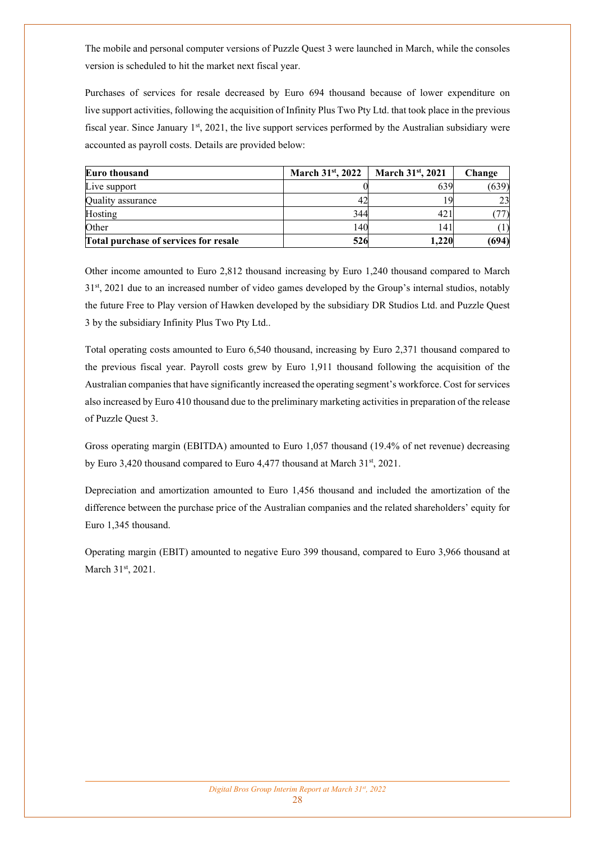The mobile and personal computer versions of Puzzle Quest 3 were launched in March, while the consoles version is scheduled to hit the market next fiscal year.

Purchases of services for resale decreased by Euro 694 thousand because of lower expenditure on live support activities, following the acquisition of Infinity Plus Two Pty Ltd. that took place in the previous fiscal year. Since January  $1<sup>st</sup>$ , 2021, the live support services performed by the Australian subsidiary were accounted as payroll costs. Details are provided below:

| Euro thousand                         | March 31 <sup>st</sup> , 2022 | March 31 <sup>st</sup> , 2021 | Change |
|---------------------------------------|-------------------------------|-------------------------------|--------|
| Live support                          |                               | 639                           | (639)  |
| Quality assurance                     |                               |                               | 23     |
| Hosting                               | 344                           |                               |        |
| Other                                 | 140                           | 141                           |        |
| Total purchase of services for resale | 526                           | 1.220                         | (694)  |

Other income amounted to Euro 2,812 thousand increasing by Euro 1,240 thousand compared to March 31st , 2021 due to an increased number of video games developed by the Group's internal studios, notably the future Free to Play version of Hawken developed by the subsidiary DR Studios Ltd. and Puzzle Quest 3 by the subsidiary Infinity Plus Two Pty Ltd..

Total operating costs amounted to Euro 6,540 thousand, increasing by Euro 2,371 thousand compared to the previous fiscal year. Payroll costs grew by Euro 1,911 thousand following the acquisition of the Australian companies that have significantly increased the operating segment's workforce. Cost for services also increased by Euro 410 thousand due to the preliminary marketing activities in preparation of the release of Puzzle Quest 3.

Gross operating margin (EBITDA) amounted to Euro 1,057 thousand (19.4% of net revenue) decreasing by Euro 3,420 thousand compared to Euro 4,477 thousand at March 31<sup>st</sup>, 2021.

Depreciation and amortization amounted to Euro 1,456 thousand and included the amortization of the difference between the purchase price of the Australian companies and the related shareholders' equity for Euro 1,345 thousand.

Operating margin (EBIT) amounted to negative Euro 399 thousand, compared to Euro 3,966 thousand at March 31<sup>st</sup>, 2021.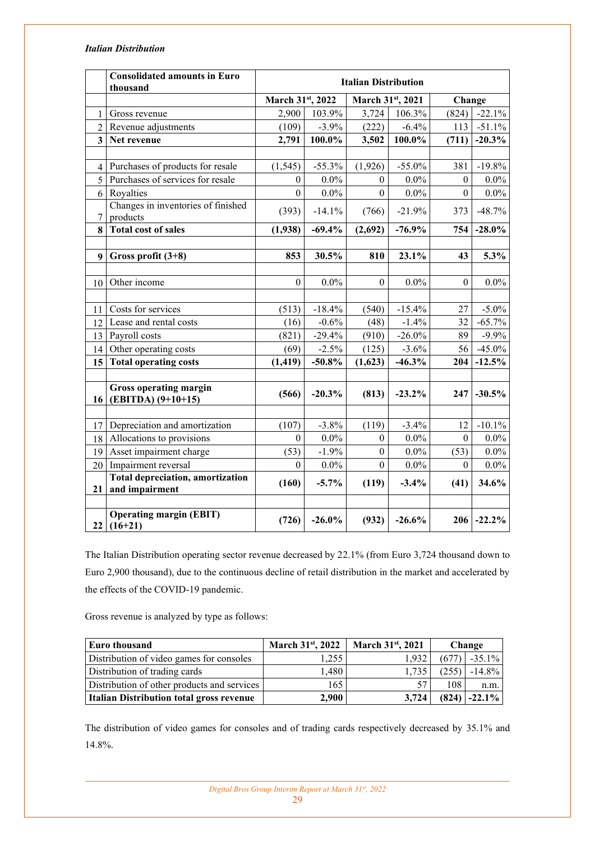#### *Italian Distribution*

|                | <b>Consolidated amounts in Euro</b><br>thousand      | <b>Italian Distribution</b> |                    |                                      |                    |                        |                    |
|----------------|------------------------------------------------------|-----------------------------|--------------------|--------------------------------------|--------------------|------------------------|--------------------|
|                |                                                      | March 31st, 2022            |                    | March 31st, 2021                     |                    | Change                 |                    |
| 1              | Gross revenue                                        | 2,900                       | 103.9%             | 3,724                                | 106.3%             | (824)                  | $-22.1%$           |
| $\overline{2}$ | Revenue adjustments                                  | (109)                       | $-3.9\%$           | (222)                                | $-6.4%$            | 113                    | $-51.1\%$          |
| 3              | Net revenue                                          | 2,791                       | 100.0%             | 3,502                                | 100.0%             | (711)                  | $-20.3\%$          |
|                |                                                      |                             |                    |                                      |                    |                        |                    |
| 4              | Purchases of products for resale                     | (1, 545)                    | $-55.3%$           | (1,926)                              | $-55.0\%$          | 381                    | $-19.8%$           |
| 5              | Purchases of services for resale                     | $\mathbf{0}$                | $0.0\%$            | $\boldsymbol{0}$                     | $0.0\%$            | $\boldsymbol{0}$       | $0.0\%$            |
| 6              | Royalties                                            | $\boldsymbol{0}$            | $0.0\%$            | $\boldsymbol{0}$                     | $0.0\%$            | $\boldsymbol{0}$       | $0.0\%$            |
| 7              | Changes in inventories of finished<br>products       | (393)                       | $-14.1%$           | (766)                                | $-21.9%$           | 373                    | $-48.7%$           |
| 8              | <b>Total cost of sales</b>                           | (1,938)                     | $-69.4%$           | (2,692)                              | $-76.9%$           | 754                    | $-28.0\%$          |
|                |                                                      |                             |                    |                                      |                    |                        |                    |
| 9              | Gross profit $(3+8)$                                 | 853                         | 30.5%              | 810                                  | 23.1%              | 43                     | 5.3%               |
|                |                                                      |                             |                    |                                      |                    |                        |                    |
| 10             | Other income                                         | $\boldsymbol{0}$            | $0.0\%$            | $\boldsymbol{0}$                     | $0.0\%$            | $\boldsymbol{0}$       | $0.0\%$            |
|                |                                                      |                             |                    |                                      |                    |                        |                    |
| 11             | Costs for services                                   | (513)                       | $-18.4%$           | (540)                                | $-15.4%$           | 27                     | $-5.0\%$           |
| 12             | Lease and rental costs                               | (16)                        | $-0.6%$            | (48)                                 | $-1.4%$            | 32                     | $-65.7\%$          |
| 13             | Payroll costs                                        | (821)                       | $-29.4%$           | (910)                                | $-26.0\%$          | 89                     | $-9.9\%$           |
| 14             | Other operating costs                                | (69)                        | $-2.5%$            | (125)                                | $-3.6%$            | 56                     | $-45.0\%$          |
| 15             | <b>Total operating costs</b>                         | (1, 419)                    | $-50.8\%$          | (1,623)                              | $-46.3%$           | 204                    | $-12.5%$           |
|                |                                                      |                             |                    |                                      |                    |                        |                    |
| 16             | <b>Gross operating margin</b><br>(EBITDA) (9+10+15)  | (566)                       | $-20.3%$           | (813)                                | $-23.2%$           | 247                    | $-30.5%$           |
|                |                                                      |                             |                    |                                      |                    |                        |                    |
| 17             | Depreciation and amortization                        | (107)                       | $-3.8%$            | (119)                                | $-3.4%$            | 12<br>$\boldsymbol{0}$ | $-10.1\%$          |
| 18<br>19       | Allocations to provisions<br>Asset impairment charge | $\theta$<br>(53)            | $0.0\%$<br>$-1.9%$ | $\boldsymbol{0}$<br>$\boldsymbol{0}$ | $0.0\%$<br>$0.0\%$ | (53)                   | $0.0\%$<br>$0.0\%$ |
|                | Impairment reversal                                  | $\boldsymbol{0}$            | $0.0\%$            | $\boldsymbol{0}$                     | $0.0\%$            | $\boldsymbol{0}$       | $0.0\%$            |
| 20             | <b>Total depreciation, amortization</b>              |                             |                    |                                      |                    |                        |                    |
| 21             | and impairment                                       | (160)                       | $-5.7%$            | (119)                                | $-3.4%$            | (41)                   | 34.6%              |
| 22             | <b>Operating margin (EBIT)</b><br>$(16+21)$          | (726)                       | $-26.0%$           | (932)                                | $-26.6%$           | 206                    | $-22.2%$           |

The Italian Distribution operating sector revenue decreased by 22.1% (from Euro 3,724 thousand down to Euro 2,900 thousand), due to the continuous decline of retail distribution in the market and accelerated by the effects of the COVID-19 pandemic.

Gross revenue is analyzed by type as follows:

| Euro thousand                               | March 31 <sup>st</sup> , 2022 | <b>March</b> $31^{st}$ , 2021 |       | Change    |
|---------------------------------------------|-------------------------------|-------------------------------|-------|-----------|
| Distribution of video games for consoles    | 1,255                         | 1.932                         | (677) | $-35.1\%$ |
| Distribution of trading cards               | 1,480                         | 1.735                         | (255) | $-14.8\%$ |
| Distribution of other products and services | 165                           | 57                            | 108   | n.m.      |
| Italian Distribution total gross revenue    | 2,900                         | 3.724                         | (824) | $-22.1\%$ |

The distribution of video games for consoles and of trading cards respectively decreased by 35.1% and 14.8%.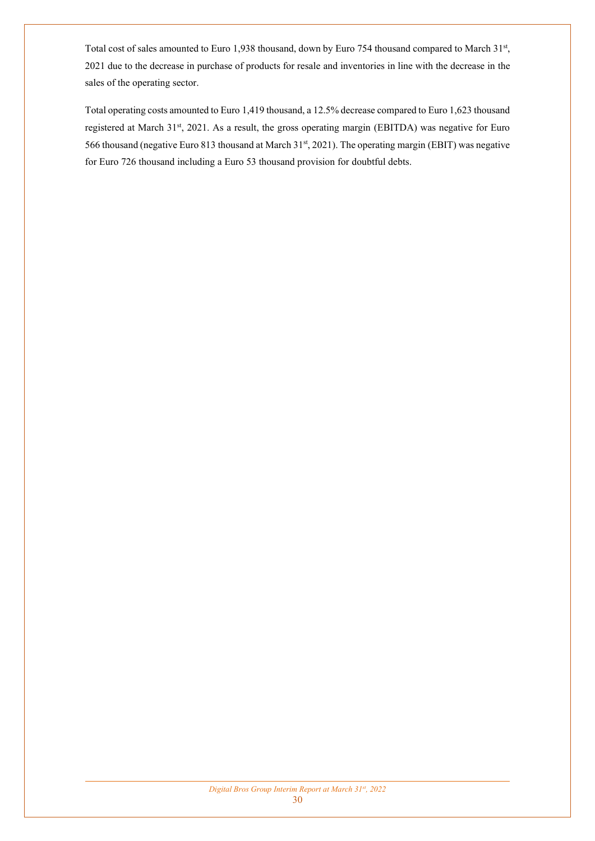Total cost of sales amounted to Euro 1,938 thousand, down by Euro 754 thousand compared to March 31st, 2021 due to the decrease in purchase of products for resale and inventories in line with the decrease in the sales of the operating sector.

Total operating costs amounted to Euro 1,419 thousand, a 12.5% decrease compared to Euro 1,623 thousand registered at March 31<sup>st</sup>, 2021. As a result, the gross operating margin (EBITDA) was negative for Euro 566 thousand (negative Euro 813 thousand at March 31<sup>st</sup>, 2021). The operating margin (EBIT) was negative for Euro 726 thousand including a Euro 53 thousand provision for doubtful debts.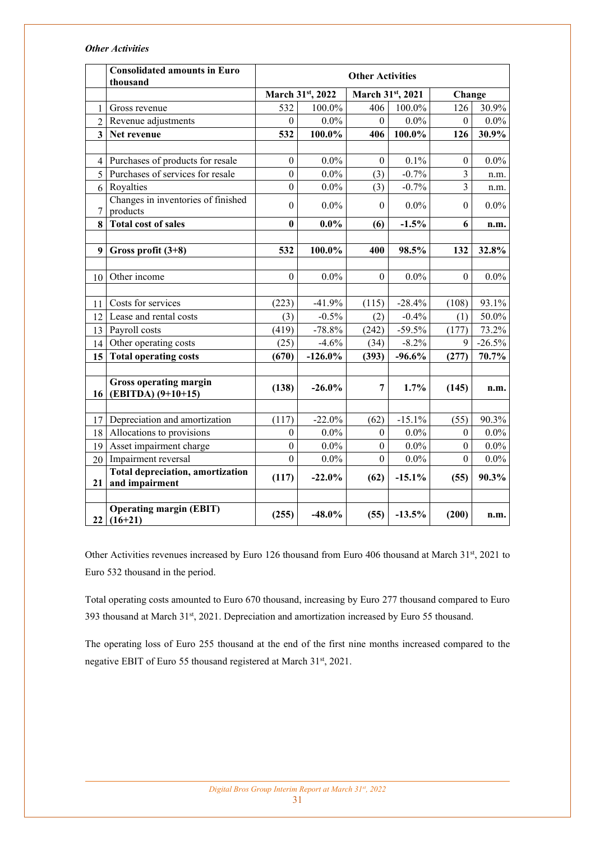#### *Other Activities*

|                         | <b>Consolidated amounts in Euro</b><br>thousand           | <b>Other Activities</b> |                  |                  |          |                  |          |  |
|-------------------------|-----------------------------------------------------------|-------------------------|------------------|------------------|----------|------------------|----------|--|
|                         |                                                           |                         | March 31st, 2022 | March 31st, 2021 |          | Change           |          |  |
| 1                       | Gross revenue                                             | 532                     | 100.0%           | 406              | 100.0%   | 126              | 30.9%    |  |
| $\overline{c}$          | Revenue adjustments                                       | $\boldsymbol{0}$        | $0.0\%$          | $\boldsymbol{0}$ | $0.0\%$  | $\boldsymbol{0}$ | $0.0\%$  |  |
| $\overline{\mathbf{3}}$ | Net revenue                                               | 532                     | 100.0%           | 406              | 100.0%   | 126              | 30.9%    |  |
|                         |                                                           |                         |                  |                  |          |                  |          |  |
| 4                       | Purchases of products for resale                          | $\boldsymbol{0}$        | $0.0\%$          | $\boldsymbol{0}$ | 0.1%     | $\boldsymbol{0}$ | $0.0\%$  |  |
| 5                       | Purchases of services for resale                          | $\boldsymbol{0}$        | $0.0\%$          | (3)              | $-0.7%$  | 3                | n.m.     |  |
| 6                       | Royalties                                                 | $\overline{0}$          | $0.0\%$          | (3)              | $-0.7%$  | $\overline{3}$   | n.m.     |  |
| $\overline{7}$          | Changes in inventories of finished<br>products            | $\boldsymbol{0}$        | $0.0\%$          | $\boldsymbol{0}$ | $0.0\%$  | $\boldsymbol{0}$ | $0.0\%$  |  |
| 8                       | <b>Total cost of sales</b>                                | $\bf{0}$                | $0.0\%$          | (6)              | $-1.5%$  | 6                | n.m.     |  |
|                         |                                                           |                         |                  |                  |          |                  |          |  |
| 9                       | Gross profit $(3+8)$                                      | 532                     | 100.0%           | 400              | 98.5%    | 132              | 32.8%    |  |
|                         |                                                           |                         |                  |                  |          |                  |          |  |
| 10                      | Other income                                              | $\boldsymbol{0}$        | $0.0\%$          | $\boldsymbol{0}$ | $0.0\%$  | $\boldsymbol{0}$ | $0.0\%$  |  |
|                         |                                                           |                         |                  |                  |          |                  |          |  |
| 11                      | Costs for services                                        | (223)                   | $-41.9%$         | (115)            | $-28.4%$ | (108)            | 93.1%    |  |
| 12                      | Lease and rental costs                                    | (3)                     | $-0.5%$          | (2)              | $-0.4%$  | (1)              | $50.0\%$ |  |
| 13                      | Payroll costs                                             | (419)                   | $-78.8%$         | (242)            | $-59.5%$ | (177)            | 73.2%    |  |
| 14                      | Other operating costs                                     | (25)                    | $-4.6%$          | (34)             | $-8.2\%$ | 9                | $-26.5%$ |  |
| 15                      | <b>Total operating costs</b>                              | (670)                   | $-126.0\%$       | (393)            | $-96.6%$ | (277)            | 70.7%    |  |
|                         |                                                           |                         |                  |                  |          |                  |          |  |
| 16                      | <b>Gross operating margin</b><br>(EBITDA) (9+10+15)       | (138)                   | $-26.0%$         | $\overline{7}$   | 1.7%     | (145)            | n.m.     |  |
| 17                      | Depreciation and amortization                             | (117)                   | $-22.0%$         | (62)             | $-15.1%$ | (55)             | 90.3%    |  |
| 18                      | Allocations to provisions                                 | $\boldsymbol{0}$        | $0.0\%$          | $\boldsymbol{0}$ | $0.0\%$  | $\theta$         | $0.0\%$  |  |
| 19                      | Asset impairment charge                                   | $\boldsymbol{0}$        | $0.0\%$          | $\mathbf{0}$     | $0.0\%$  | $\mathbf{0}$     | $0.0\%$  |  |
| 20                      | Impairment reversal                                       | $\mathbf{0}$            | $0.0\%$          | $\boldsymbol{0}$ | $0.0\%$  | $\boldsymbol{0}$ | $0.0\%$  |  |
| 21                      | <b>Total depreciation, amortization</b><br>and impairment | (117)                   | $-22.0%$         | (62)             | $-15.1%$ | (55)             | 90.3%    |  |
|                         |                                                           |                         |                  |                  |          |                  |          |  |
| 22                      | <b>Operating margin (EBIT)</b><br>$(16+21)$               | (255)                   | $-48.0\%$        | (55)             | $-13.5%$ | (200)            | n.m.     |  |

Other Activities revenues increased by Euro 126 thousand from Euro 406 thousand at March 31st, 2021 to Euro 532 thousand in the period.

Total operating costs amounted to Euro 670 thousand, increasing by Euro 277 thousand compared to Euro 393 thousand at March 31st, 2021. Depreciation and amortization increased by Euro 55 thousand.

The operating loss of Euro 255 thousand at the end of the first nine months increased compared to the negative EBIT of Euro 55 thousand registered at March 31<sup>st</sup>, 2021.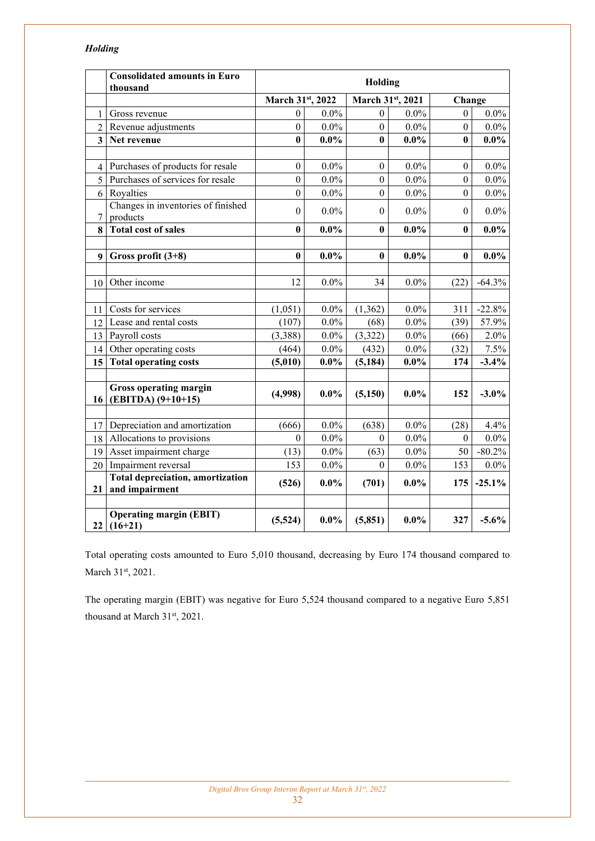#### *Holding*

|                | <b>Consolidated amounts in Euro</b><br>thousand           | Holding          |         |                  |         |                  |           |
|----------------|-----------------------------------------------------------|------------------|---------|------------------|---------|------------------|-----------|
|                |                                                           | March 31st, 2022 |         | March 31st, 2021 |         | Change           |           |
| 1              | Gross revenue                                             | $\boldsymbol{0}$ | $0.0\%$ | $\boldsymbol{0}$ | $0.0\%$ | $\boldsymbol{0}$ | $0.0\%$   |
| $\overline{c}$ | Revenue adjustments                                       | $\theta$         | $0.0\%$ | 0                | $0.0\%$ | $\theta$         | $0.0\%$   |
| 3              | Net revenue                                               | $\bf{0}$         | $0.0\%$ | $\bf{0}$         | $0.0\%$ | $\bf{0}$         | $0.0\%$   |
|                |                                                           |                  |         |                  |         |                  |           |
| 4              | Purchases of products for resale                          | $\boldsymbol{0}$ | $0.0\%$ | $\boldsymbol{0}$ | $0.0\%$ | $\boldsymbol{0}$ | $0.0\%$   |
| 5              | Purchases of services for resale                          | $\boldsymbol{0}$ | $0.0\%$ | $\boldsymbol{0}$ | $0.0\%$ | $\boldsymbol{0}$ | $0.0\%$   |
| 6              | Royalties                                                 | $\mathbf{0}$     | $0.0\%$ | $\boldsymbol{0}$ | $0.0\%$ | $\mathbf{0}$     | $0.0\%$   |
| $\overline{7}$ | Changes in inventories of finished<br>products            | $\boldsymbol{0}$ | $0.0\%$ | $\boldsymbol{0}$ | $0.0\%$ | $\boldsymbol{0}$ | $0.0\%$   |
| 8              | <b>Total cost of sales</b>                                | $\mathbf{0}$     | $0.0\%$ | $\bf{0}$         | $0.0\%$ | $\bf{0}$         | $0.0\%$   |
|                |                                                           |                  |         |                  |         |                  |           |
| 9              | Gross profit (3+8)                                        | $\bf{0}$         | $0.0\%$ | $\bf{0}$         | $0.0\%$ | $\bf{0}$         | $0.0\%$   |
|                |                                                           |                  |         |                  |         |                  |           |
| 10             | Other income                                              | 12               | $0.0\%$ | 34               | $0.0\%$ | (22)             | $-64.3%$  |
|                |                                                           |                  |         |                  |         |                  |           |
| 11             | Costs for services                                        | (1,051)          | $0.0\%$ | (1, 362)         | $0.0\%$ | 311              | $-22.8%$  |
| 12             | Lease and rental costs                                    | (107)            | $0.0\%$ | (68)             | $0.0\%$ | (39)             | 57.9%     |
| 13             | Payroll costs                                             | (3,388)          | $0.0\%$ | (3, 322)         | $0.0\%$ | (66)             | 2.0%      |
| 14             | Other operating costs                                     | (464)            | $0.0\%$ | (432)            | $0.0\%$ | (32)             | 7.5%      |
| 15             | <b>Total operating costs</b>                              | (5,010)          | $0.0\%$ | (5, 184)         | $0.0\%$ | 174              | $-3.4%$   |
|                |                                                           |                  |         |                  |         |                  |           |
| 16             | <b>Gross operating margin</b><br>(EBITDA) (9+10+15)       | (4,998)          | $0.0\%$ | (5,150)          | $0.0\%$ | 152              | $-3.0%$   |
|                |                                                           |                  |         |                  |         |                  |           |
| 17             | Depreciation and amortization                             | (666)            | $0.0\%$ | (638)            | $0.0\%$ | (28)             | 4.4%      |
| 18             | Allocations to provisions                                 | $\boldsymbol{0}$ | $0.0\%$ | $\Omega$         | $0.0\%$ | $\boldsymbol{0}$ | $0.0\%$   |
| 19             | Asset impairment charge                                   | (13)             | $0.0\%$ | (63)             | $0.0\%$ | 50               | $-80.2\%$ |
| 20             | Impairment reversal                                       | 153              | $0.0\%$ | $\mathbf{0}$     | $0.0\%$ | 153              | $0.0\%$   |
| 21             | <b>Total depreciation, amortization</b><br>and impairment | (526)            | $0.0\%$ | (701)            | $0.0\%$ | 175              | $-25.1%$  |
|                |                                                           |                  |         |                  |         |                  |           |
| 22             | <b>Operating margin (EBIT)</b><br>$(16+21)$               | (5,524)          | $0.0\%$ | (5, 851)         | $0.0\%$ | 327              | $-5.6%$   |

Total operating costs amounted to Euro 5,010 thousand, decreasing by Euro 174 thousand compared to March 31st, 2021.

The operating margin (EBIT) was negative for Euro 5,524 thousand compared to a negative Euro 5,851 thousand at March 31<sup>st</sup>, 2021.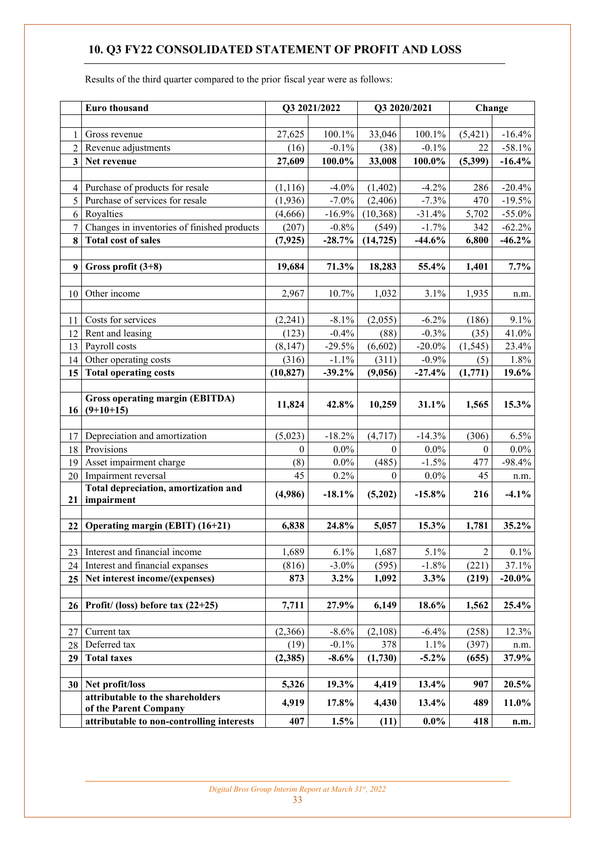## <span id="page-32-0"></span>**10. Q3 FY22 CONSOLIDATED STATEMENT OF PROFIT AND LOSS**

|                  | <b>Euro thousand</b>                                      |                    | Q3 2021/2022        |                  | Q3 2020/2021         | Change         |               |
|------------------|-----------------------------------------------------------|--------------------|---------------------|------------------|----------------------|----------------|---------------|
|                  |                                                           |                    |                     |                  |                      |                |               |
| 1                | Gross revenue                                             | 27,625             | 100.1%              | 33,046           | 100.1%               | (5, 421)       | $-16.4%$      |
| $\overline{2}$   | Revenue adjustments                                       | (16)               | $-0.1%$             | (38)             | $-0.1%$              | 22             | $-58.1%$      |
| $\mathbf{3}$     | Net revenue                                               | 27,609             | $100.0\%$           | 33,008           | 100.0%               | (5,399)        | $-16.4%$      |
|                  |                                                           |                    |                     |                  |                      |                |               |
| $\overline{4}$   | Purchase of products for resale                           | (1, 116)           | $-4.0\%$            | (1, 402)         | $-4.2%$              | 286            | $-20.4%$      |
| 5                | Purchase of services for resale                           | (1,936)            | $-7.0\%$            | (2, 406)         | $-7.3%$              | 470            | $-19.5%$      |
| 6                | Royalties                                                 | (4,666)            | $-16.9%$            | (10, 368)        | $-31.4%$             | 5,702          | $-55.0\%$     |
| $\boldsymbol{7}$ | Changes in inventories of finished products               | (207)              | $-0.8%$             | (549)            | $-1.7%$              | 342            | $-62.2%$      |
| 8                | <b>Total cost of sales</b>                                | (7, 925)           | $-28.7\%$           | (14, 725)        | $-44.6%$             | 6,800          | $-46.2\%$     |
|                  |                                                           |                    |                     |                  |                      |                |               |
| $\boldsymbol{9}$ | Gross profit $(3+8)$                                      | 19,684             | 71.3%               | 18,283           | 55.4%                | 1,401          | $7.7\%$       |
|                  |                                                           |                    |                     |                  |                      |                |               |
| 10               | Other income                                              | 2,967              | 10.7%               | 1,032            | 3.1%                 | 1,935          | n.m.          |
|                  |                                                           |                    |                     |                  |                      |                |               |
| 11               | Costs for services                                        | (2,241)            | $-8.1%$             | (2,055)          | $-6.2%$              | (186)          | 9.1%          |
| 12               | Rent and leasing                                          | (123)              | $-0.4%$             | (88)             | $-0.3%$              | (35)           | 41.0%         |
| 13               | Payroll costs                                             | (8,147)            | $-29.5%$<br>$-1.1%$ | (6,602)          | $-20.0\%$<br>$-0.9%$ | (1, 545)       | 23.4%<br>1.8% |
| 14               | Other operating costs<br><b>Total operating costs</b>     | (316)<br>(10, 827) | $-39.2\%$           | (311)<br>(9,056) | $-27.4%$             | (5)<br>(1,771) | 19.6%         |
| 15               |                                                           |                    |                     |                  |                      |                |               |
|                  | <b>Gross operating margin (EBITDA)</b>                    |                    |                     |                  |                      |                |               |
| 16               | $(9+10+15)$                                               | 11,824             | 42.8%               | 10,259           | 31.1%                | 1,565          | 15.3%         |
|                  |                                                           |                    |                     |                  |                      |                |               |
| 17               | Depreciation and amortization                             | (5,023)            | $-18.2%$            | (4,717)          | $-14.3%$             | (306)          | 6.5%          |
| 18               | Provisions                                                | $\boldsymbol{0}$   | $0.0\%$             | $\theta$         | $0.0\%$              | $\theta$       | $0.0\%$       |
| 19               | Asset impairment charge                                   | (8)                | $0.0\%$             | (485)            | $-1.5%$              | 477            | $-98.4%$      |
| 20               | Impairment reversal                                       | 45                 | 0.2%                | $\theta$         | $0.0\%$              | 45             | n.m.          |
|                  | Total depreciation, amortization and                      | (4,986)            | $-18.1%$            | (5,202)          | $-15.8%$             | 216            | $-4.1\%$      |
| 21               | impairment                                                |                    |                     |                  |                      |                |               |
| 22               | Operating margin (EBIT) (16+21)                           | 6,838              | 24.8%               | 5,057            | 15.3%                | 1,781          | 35.2%         |
|                  |                                                           |                    |                     |                  |                      |                |               |
| 23               | Interest and financial income                             | 1,689              | 6.1%                | 1,687            | 5.1%                 | $\overline{2}$ | $0.1\%$       |
| 24               | Interest and financial expanses                           | (816)              | $-3.0\%$            | (595)            | $-1.8%$              | (221)          | 37.1%         |
| 25               | Net interest income/(expenses)                            | 873                | 3.2%                | 1,092            | 3.3%                 | (219)          | $-20.0\%$     |
|                  |                                                           |                    |                     |                  |                      |                |               |
| 26               | Profit/ (loss) before tax $(22+25)$                       | 7,711              | 27.9%               | 6,149            | 18.6%                | 1,562          | 25.4%         |
|                  |                                                           |                    |                     |                  |                      |                |               |
| 27               | Current tax                                               | (2,366)            | $-8.6\%$            | (2,108)          | $-6.4%$              | (258)          | 12.3%         |
| 28               | Deferred tax                                              | (19)               | $-0.1\%$            | 378              | 1.1%                 | (397)          | n.m.          |
| 29               | <b>Total taxes</b>                                        | (2,385)            | $-8.6\%$            | (1,730)          | $-5.2\%$             | (655)          | 37.9%         |
|                  |                                                           |                    |                     |                  |                      |                |               |
| 30               | Net profit/loss                                           | 5,326              | 19.3%               | 4,419            | 13.4%                | 907            | 20.5%         |
|                  | attributable to the shareholders<br>of the Parent Company | 4,919              | 17.8%               | 4,430            | 13.4%                | 489            | 11.0%         |
|                  | attributable to non-controlling interests                 | 407                | 1.5%                | (11)             | $0.0\%$              | 418            | n.m.          |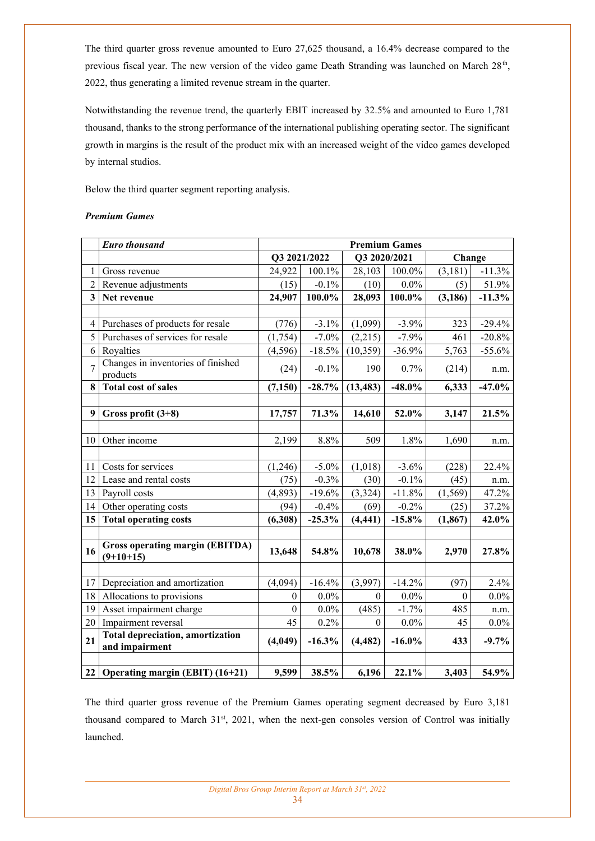The third quarter gross revenue amounted to Euro 27,625 thousand, a 16.4% decrease compared to the previous fiscal year. The new version of the video game Death Stranding was launched on March 28<sup>th</sup>, 2022, thus generating a limited revenue stream in the quarter.

Notwithstanding the revenue trend, the quarterly EBIT increased by 32.5% and amounted to Euro 1,781 thousand, thanks to the strong performance of the international publishing operating sector. The significant growth in margins is the result of the product mix with an increased weight of the video games developed by internal studios.

Below the third quarter segment reporting analysis.

### *Premium Games*

|                          | <b>Euro</b> thousand                               | <b>Premium Games</b> |              |                  |           |          |           |  |
|--------------------------|----------------------------------------------------|----------------------|--------------|------------------|-----------|----------|-----------|--|
|                          |                                                    |                      | Q3 2021/2022 | Q3 2020/2021     |           | Change   |           |  |
| $\mathbf{1}$             | Gross revenue                                      | 24,922               | 100.1%       | 28,103           | 100.0%    | (3,181)  | $-11.3%$  |  |
| $\overline{2}$           | Revenue adjustments                                | (15)                 | $-0.1%$      | (10)             | $0.0\%$   | (5)      | 51.9%     |  |
| $\overline{\mathbf{3}}$  | Net revenue                                        | 24,907               | 100.0%       | 28,093           | 100.0%    | (3, 186) | $-11.3%$  |  |
|                          |                                                    |                      |              |                  |           |          |           |  |
| $\overline{\mathcal{L}}$ | Purchases of products for resale                   | (776)                | $-3.1%$      | (1,099)          | $-3.9\%$  | 323      | $-29.4%$  |  |
| 5                        | Purchases of services for resale                   | (1, 754)             | $-7.0\%$     | (2,215)          | $-7.9%$   | 461      | $-20.8%$  |  |
| 6                        | Royalties                                          | (4,596)              | $-18.5%$     | (10, 359)        | $-36.9%$  | 5,763    | $-55.6%$  |  |
| $\overline{7}$           | Changes in inventories of finished<br>products     | (24)                 | $-0.1\%$     | 190              | 0.7%      | (214)    | n.m.      |  |
| 8                        | <b>Total cost of sales</b>                         | (7, 150)             | $-28.7%$     | (13, 483)        | $-48.0\%$ | 6,333    | $-47.0\%$ |  |
|                          |                                                    |                      |              |                  |           |          |           |  |
| 9                        | Gross profit $(3+8)$                               | 17,757               | 71.3%        | 14,610           | 52.0%     | 3,147    | 21.5%     |  |
|                          |                                                    |                      |              |                  |           |          |           |  |
| 10                       | Other income                                       | 2,199                | 8.8%         | 509              | 1.8%      | 1,690    | n.m.      |  |
|                          |                                                    |                      |              |                  |           |          |           |  |
| 11                       | Costs for services                                 | (1,246)              | $-5.0\%$     | (1,018)          | $-3.6\%$  | (228)    | 22.4%     |  |
| 12                       | Lease and rental costs                             | (75)                 | $-0.3%$      | (30)             | $-0.1%$   | (45)     | n.m.      |  |
| 13                       | Payroll costs                                      | (4,893)              | $-19.6%$     | (3,324)          | $-11.8%$  | (1, 569) | 47.2%     |  |
| 14                       | Other operating costs                              | (94)                 | $-0.4%$      | (69)             | $-0.2%$   | (25)     | 37.2%     |  |
| 15                       | <b>Total operating costs</b>                       | (6,308)              | $-25.3%$     | (4, 441)         | $-15.8%$  | (1, 867) | 42.0%     |  |
|                          |                                                    |                      |              |                  |           |          |           |  |
| 16                       | Gross operating margin (EBITDA)<br>$(9+10+15)$     | 13,648               | 54.8%        | 10,678           | 38.0%     | 2,970    | 27.8%     |  |
|                          |                                                    |                      |              |                  |           |          |           |  |
| 17                       | Depreciation and amortization                      | (4,094)              | $-16.4%$     | (3,997)          | $-14.2%$  | (97)     | 2.4%      |  |
| 18                       | Allocations to provisions                          | $\boldsymbol{0}$     | $0.0\%$      | $\mathbf{0}$     | $0.0\%$   | $\theta$ | $0.0\%$   |  |
| 19                       | Asset impairment charge                            | $\mathbf{0}$         | $0.0\%$      | (485)            | $-1.7%$   | 485      | n.m.      |  |
| 20                       | Impairment reversal                                | 45                   | 0.2%         | $\boldsymbol{0}$ | $0.0\%$   | 45       | $0.0\%$   |  |
| 21                       | Total depreciation, amortization<br>and impairment | (4,049)              | $-16.3%$     | (4, 482)         | $-16.0%$  | 433      | $-9.7%$   |  |
|                          |                                                    |                      |              |                  |           |          |           |  |
|                          | 22 Operating margin (EBIT) (16+21)                 | 9,599                | 38.5%        | 6,196            | 22.1%     | 3,403    | 54.9%     |  |

The third quarter gross revenue of the Premium Games operating segment decreased by Euro 3,181 thousand compared to March 31<sup>st</sup>, 2021, when the next-gen consoles version of Control was initially launched.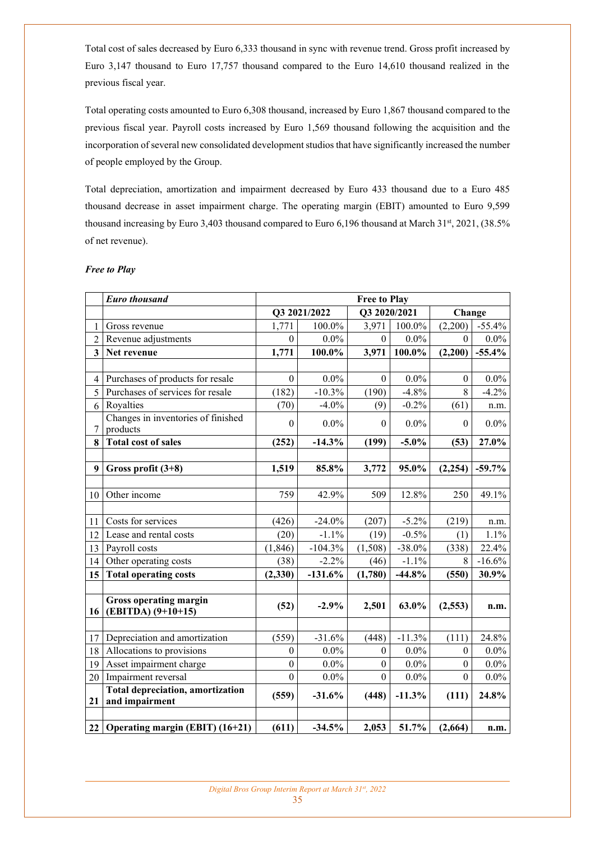Total cost of sales decreased by Euro 6,333 thousand in sync with revenue trend. Gross profit increased by Euro 3,147 thousand to Euro 17,757 thousand compared to the Euro 14,610 thousand realized in the previous fiscal year.

Total operating costs amounted to Euro 6,308 thousand, increased by Euro 1,867 thousand compared to the previous fiscal year. Payroll costs increased by Euro 1,569 thousand following the acquisition and the incorporation of several new consolidated development studios that have significantly increased the number of people employed by the Group.

Total depreciation, amortization and impairment decreased by Euro 433 thousand due to a Euro 485 thousand decrease in asset impairment charge. The operating margin (EBIT) amounted to Euro 9,599 thousand increasing by Euro 3,403 thousand compared to Euro 6,196 thousand at March 31<sup>st</sup>, 2021, (38.5% of net revenue).

|                         | <b>Euro</b> thousand                                      | <b>Free to Play</b> |              |                  |           |                  |           |  |
|-------------------------|-----------------------------------------------------------|---------------------|--------------|------------------|-----------|------------------|-----------|--|
|                         |                                                           |                     | Q3 2021/2022 | Q3 2020/2021     |           | Change           |           |  |
| 1                       | Gross revenue                                             | 1,771               | $100.0\%$    | 3,971            | $100.0\%$ | (2,200)          | $-55.4%$  |  |
| $\overline{c}$          | Revenue adjustments                                       | $\mathbf{0}$        | $0.0\%$      | $\theta$         | $0.0\%$   | $\theta$         | $0.0\%$   |  |
| $\overline{\mathbf{3}}$ | Net revenue                                               | 1,771               | 100.0%       | 3,971            | 100.0%    | (2,200)          | $-55.4\%$ |  |
|                         |                                                           |                     |              |                  |           |                  |           |  |
| $\overline{4}$          | Purchases of products for resale                          | $\boldsymbol{0}$    | $0.0\%$      | $\boldsymbol{0}$ | $0.0\%$   | $\boldsymbol{0}$ | $0.0\%$   |  |
| 5                       | Purchases of services for resale                          | (182)               | $-10.3%$     | (190)            | $-4.8%$   | 8                | $-4.2\%$  |  |
| 6                       | Royalties                                                 | (70)                | $-4.0%$      | (9)              | $-0.2\%$  | (61)             | n.m.      |  |
| 7                       | Changes in inventories of finished<br>products            | $\boldsymbol{0}$    | $0.0\%$      | $\theta$         | $0.0\%$   | $\boldsymbol{0}$ | $0.0\%$   |  |
| 8                       | <b>Total cost of sales</b>                                | (252)               | $-14.3%$     | (199)            | $-5.0%$   | (53)             | 27.0%     |  |
|                         |                                                           |                     |              |                  |           |                  |           |  |
| 9                       | Gross profit (3+8)                                        | 1,519               | 85.8%        | 3,772            | 95.0%     | (2, 254)         | $-59.7\%$ |  |
|                         |                                                           |                     |              |                  |           |                  |           |  |
| 10                      | Other income                                              | 759                 | 42.9%        | 509              | 12.8%     | 250              | 49.1%     |  |
|                         |                                                           |                     |              |                  |           |                  |           |  |
| 11                      | Costs for services                                        | (426)               | $-24.0%$     | (207)            | $-5.2\%$  | (219)            | n.m.      |  |
| 12                      | Lease and rental costs                                    | (20)                | $-1.1\%$     | (19)             | $-0.5%$   | (1)              | 1.1%      |  |
| 13                      | Payroll costs                                             | (1, 846)            | $-104.3\%$   | (1,508)          | $-38.0\%$ | (338)            | 22.4%     |  |
| 14                      | Other operating costs                                     | (38)                | $-2.2%$      | (46)             | $-1.1\%$  | 8                | $-16.6%$  |  |
| 15                      | <b>Total operating costs</b>                              | (2,330)             | $-131.6%$    | (1,780)          | $-44.8%$  | (550)            | 30.9%     |  |
|                         |                                                           |                     |              |                  |           |                  |           |  |
| 16                      | <b>Gross operating margin</b><br>(EBITDA) (9+10+15)       | (52)                | $-2.9%$      | 2,501            | 63.0%     | (2,553)          | n.m.      |  |
|                         |                                                           |                     |              |                  |           |                  |           |  |
| 17                      | Depreciation and amortization                             | (559)               | $-31.6%$     | (448)            | $-11.3%$  | (111)            | 24.8%     |  |
| 18                      | Allocations to provisions                                 | $\mathbf{0}$        | $0.0\%$      | $\theta$         | $0.0\%$   | $\boldsymbol{0}$ | $0.0\%$   |  |
| 19                      | Asset impairment charge                                   | $\boldsymbol{0}$    | $0.0\%$      | $\boldsymbol{0}$ | $0.0\%$   | $\overline{0}$   | $0.0\%$   |  |
| 20                      | Impairment reversal                                       | $\boldsymbol{0}$    | $0.0\%$      | $\boldsymbol{0}$ | $0.0\%$   | $\mathbf{0}$     | $0.0\%$   |  |
| 21                      | <b>Total depreciation, amortization</b><br>and impairment | (559)               | $-31.6%$     | (448)            | $-11.3%$  | (111)            | 24.8%     |  |
|                         |                                                           |                     |              |                  |           |                  |           |  |
|                         | 22 Operating margin (EBIT) $(16+21)$                      | (611)               | $-34.5%$     | 2,053            | 51.7%     | (2,664)          | n.m.      |  |

#### *Free to Play*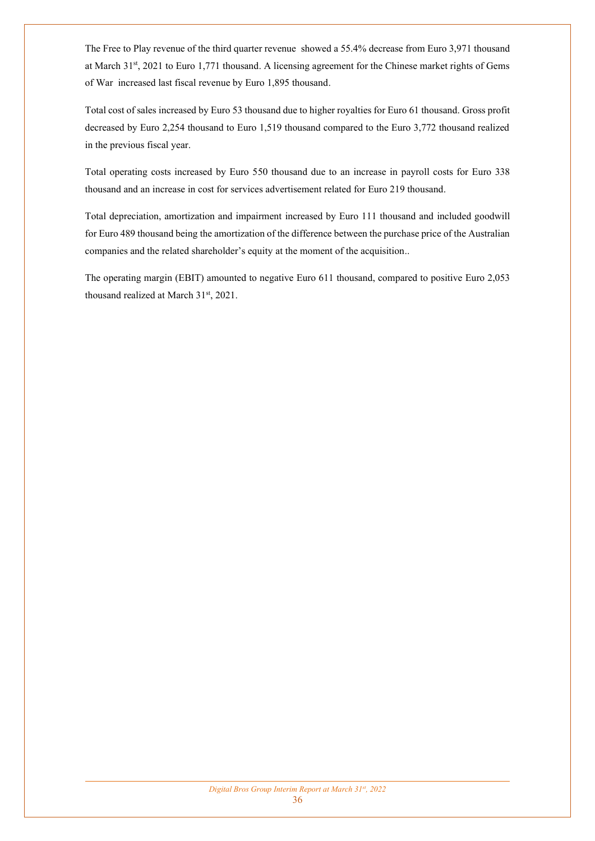The Free to Play revenue of the third quarter revenue showed a 55.4% decrease from Euro 3,971 thousand at March 31st, 2021 to Euro 1,771 thousand. A licensing agreement for the Chinese market rights of Gems of War increased last fiscal revenue by Euro 1,895 thousand.

Total cost of sales increased by Euro 53 thousand due to higher royalties for Euro 61 thousand. Gross profit decreased by Euro 2,254 thousand to Euro 1,519 thousand compared to the Euro 3,772 thousand realized in the previous fiscal year.

Total operating costs increased by Euro 550 thousand due to an increase in payroll costs for Euro 338 thousand and an increase in cost for services advertisement related for Euro 219 thousand.

Total depreciation, amortization and impairment increased by Euro 111 thousand and included goodwill for Euro 489 thousand being the amortization of the difference between the purchase price of the Australian companies and the related shareholder's equity at the moment of the acquisition..

The operating margin (EBIT) amounted to negative Euro 611 thousand, compared to positive Euro 2,053 thousand realized at March 31<sup>st</sup>, 2021.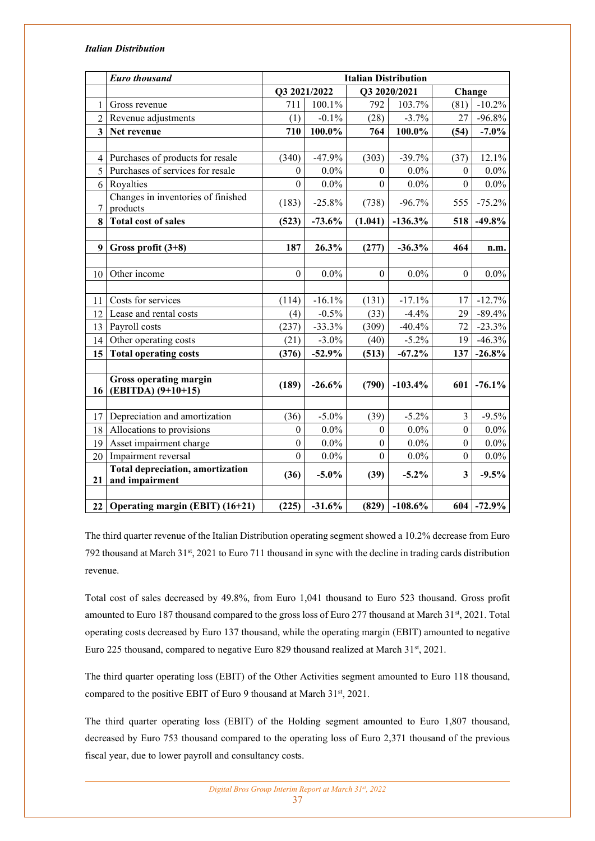#### *Italian Distribution*

|                 | <b>Euro</b> thousand                                      | <b>Italian Distribution</b> |           |                  |              |                  |           |
|-----------------|-----------------------------------------------------------|-----------------------------|-----------|------------------|--------------|------------------|-----------|
|                 |                                                           | Q3 2021/2022                |           |                  | Q3 2020/2021 | Change           |           |
| 1               | Gross revenue                                             | 711                         | 100.1%    | 792              | 103.7%       | (81)             | $-10.2\%$ |
| $\overline{2}$  | Revenue adjustments                                       | (1)                         | $-0.1%$   | (28)             | $-3.7%$      | 27               | $-96.8%$  |
| 3               | Net revenue                                               | 710                         | $100.0\%$ | 764              | 100.0%       | (54)             | $-7.0\%$  |
|                 |                                                           |                             |           |                  |              |                  |           |
| 4               | Purchases of products for resale                          | (340)                       | $-47.9%$  | (303)            | $-39.7%$     | (37)             | 12.1%     |
| 5               | Purchases of services for resale                          | $\boldsymbol{0}$            | $0.0\%$   | $\boldsymbol{0}$ | $0.0\%$      | $\theta$         | $0.0\%$   |
| 6               | Royalties                                                 | $\boldsymbol{0}$            | $0.0\%$   | $\mathbf{0}$     | $0.0\%$      | $\theta$         | $0.0\%$   |
| 7               | Changes in inventories of finished<br>products            | (183)                       | $-25.8%$  | (738)            | $-96.7%$     | 555              | $-75.2%$  |
| 8               | <b>Total cost of sales</b>                                | (523)                       | $-73.6%$  | (1.041)          | $-136.3%$    | 518              | $-49.8%$  |
|                 |                                                           |                             |           |                  |              |                  |           |
| 9               | Gross profit $(3+8)$                                      | 187                         | 26.3%     | (277)            | $-36.3%$     | 464              | n.m.      |
|                 |                                                           |                             |           |                  |              |                  |           |
| 10              | Other income                                              | $\boldsymbol{0}$            | $0.0\%$   | $\boldsymbol{0}$ | $0.0\%$      | $\boldsymbol{0}$ | $0.0\%$   |
|                 |                                                           |                             |           |                  |              |                  |           |
| 11              | Costs for services                                        | (114)                       | $-16.1%$  | (131)            | $-17.1%$     | 17               | $-12.7%$  |
| 12              | Lease and rental costs                                    | (4)                         | $-0.5%$   | (33)             | $-4.4%$      | 29               | $-89.4%$  |
| 13              | Payroll costs                                             | (237)                       | $-33.3%$  | (309)            | $-40.4%$     | 72               | $-23.3%$  |
| 14              | Other operating costs                                     | (21)                        | $-3.0\%$  | (40)             | $-5.2\%$     | 19               | $-46.3%$  |
| 15              | <b>Total operating costs</b>                              | (376)                       | $-52.9%$  | (513)            | $-67.2%$     | 137              | $-26.8%$  |
|                 |                                                           |                             |           |                  |              |                  |           |
| 16              | <b>Gross operating margin</b><br>(EBITDA) (9+10+15)       | (189)                       | $-26.6%$  | (790)            | $-103.4%$    | 601              | $-76.1%$  |
|                 |                                                           |                             |           |                  |              |                  |           |
| 17              | Depreciation and amortization                             | (36)                        | $-5.0\%$  | (39)             | $-5.2\%$     | 3                | $-9.5\%$  |
| 18              | Allocations to provisions                                 | $\boldsymbol{0}$            | $0.0\%$   | $\boldsymbol{0}$ | $0.0\%$      | $\boldsymbol{0}$ | $0.0\%$   |
| 19              | Asset impairment charge                                   | $\theta$                    | $0.0\%$   | $\boldsymbol{0}$ | $0.0\%$      | $\theta$         | $0.0\%$   |
| 20              | Impairment reversal                                       | $\overline{0}$              | $0.0\%$   | $\boldsymbol{0}$ | $0.0\%$      | $\boldsymbol{0}$ | $0.0\%$   |
| 21              | <b>Total depreciation, amortization</b><br>and impairment | (36)                        | $-5.0\%$  | (39)             | $-5.2\%$     | 3                | $-9.5%$   |
|                 |                                                           |                             |           |                  |              |                  |           |
| 22 <sub>1</sub> | Operating margin (EBIT) (16+21)                           | (225)                       | $-31.6%$  | (829)            | $-108.6\%$   | 604              | $-72.9\%$ |

The third quarter revenue of the Italian Distribution operating segment showed a 10.2% decrease from Euro 792 thousand at March 31st, 2021 to Euro 711 thousand in sync with the decline in trading cards distribution revenue.

Total cost of sales decreased by 49.8%, from Euro 1,041 thousand to Euro 523 thousand. Gross profit amounted to Euro 187 thousand compared to the gross loss of Euro 277 thousand at March 31st, 2021. Total operating costs decreased by Euro 137 thousand, while the operating margin (EBIT) amounted to negative Euro 225 thousand, compared to negative Euro 829 thousand realized at March 31<sup>st</sup>, 2021.

The third quarter operating loss (EBIT) of the Other Activities segment amounted to Euro 118 thousand, compared to the positive EBIT of Euro 9 thousand at March 31<sup>st</sup>, 2021.

The third quarter operating loss (EBIT) of the Holding segment amounted to Euro 1,807 thousand, decreased by Euro 753 thousand compared to the operating loss of Euro 2,371 thousand of the previous fiscal year, due to lower payroll and consultancy costs.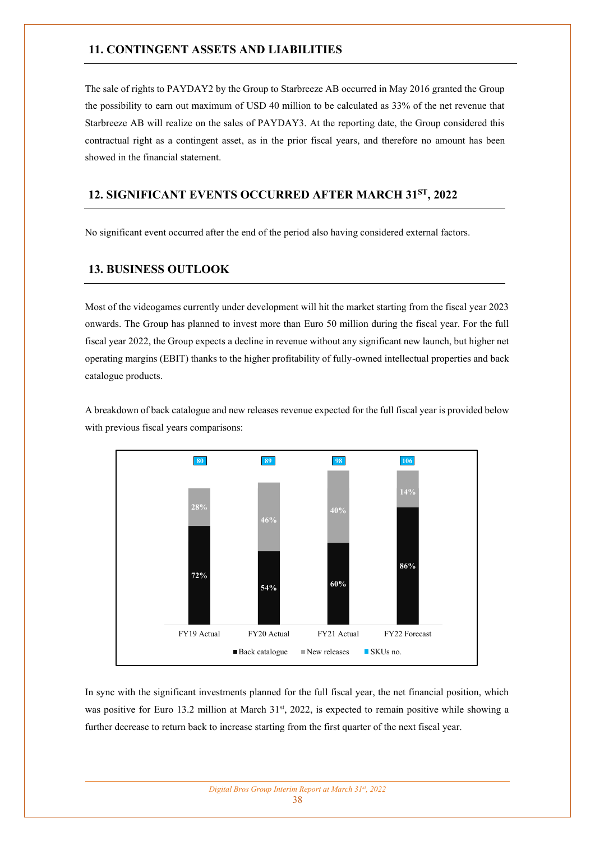## <span id="page-37-0"></span>**11. CONTINGENT ASSETS AND LIABILITIES**

The sale of rights to PAYDAY2 by the Group to Starbreeze AB occurred in May 2016 granted the Group the possibility to earn out maximum of USD 40 million to be calculated as 33% of the net revenue that Starbreeze AB will realize on the sales of PAYDAY3. At the reporting date, the Group considered this contractual right as a contingent asset, as in the prior fiscal years, and therefore no amount has been showed in the financial statement.

## <span id="page-37-1"></span>**12. SIGNIFICANT EVENTS OCCURRED AFTER MARCH 31ST, 2022**

No significant event occurred after the end of the period also having considered external factors.

## <span id="page-37-2"></span>**13. BUSINESS OUTLOOK**

Most of the videogames currently under development will hit the market starting from the fiscal year 2023 onwards. The Group has planned to invest more than Euro 50 million during the fiscal year. For the full fiscal year 2022, the Group expects a decline in revenue without any significant new launch, but higher net operating margins (EBIT) thanks to the higher profitability of fully-owned intellectual properties and back catalogue products.

A breakdown of back catalogue and new releases revenue expected for the full fiscal year is provided below with previous fiscal years comparisons:



In sync with the significant investments planned for the full fiscal year, the net financial position, which was positive for Euro 13.2 million at March 31<sup>st</sup>, 2022, is expected to remain positive while showing a further decrease to return back to increase starting from the first quarter of the next fiscal year.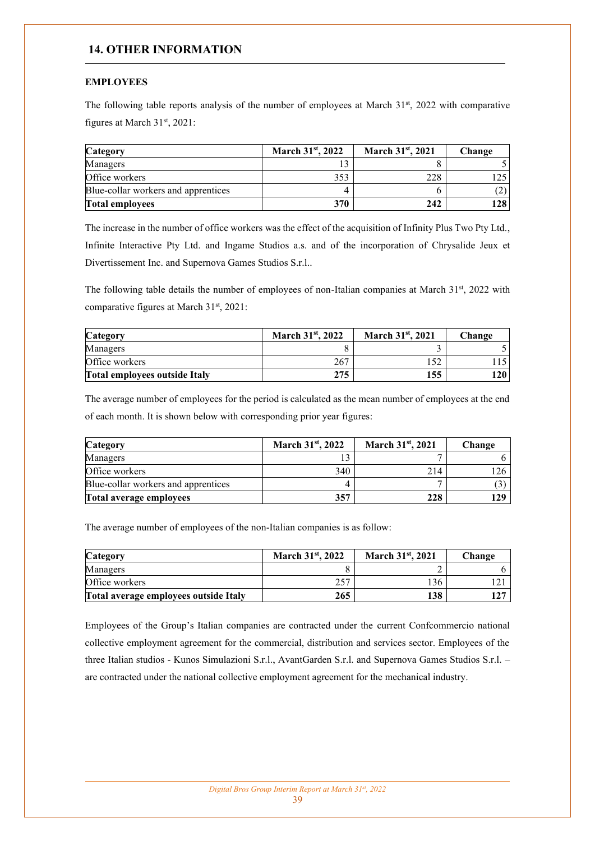## <span id="page-38-0"></span>**14. OTHER INFORMATION**

## **EMPLOYEES**

The following table reports analysis of the number of employees at March  $31<sup>st</sup>$ , 2022 with comparative figures at March  $31<sup>st</sup>$ , 2021:

| Category                            | March $31st$ , 2022 | March 31 <sup>st</sup> , 2021 | Change |
|-------------------------------------|---------------------|-------------------------------|--------|
| Managers                            |                     |                               |        |
| Office workers                      | 353                 | 228                           |        |
| Blue-collar workers and apprentices |                     |                               |        |
| <b>Total employees</b>              | 370                 | 242                           | 128.   |

The increase in the number of office workers was the effect of the acquisition of Infinity Plus Two Pty Ltd., Infinite Interactive Pty Ltd. and Ingame Studios a.s. and of the incorporation of Chrysalide Jeux et Divertissement Inc. and Supernova Games Studios S.r.l..

The following table details the number of employees of non-Italian companies at March 31<sup>st</sup>, 2022 with comparative figures at March 31<sup>st</sup>, 2021:

| Category                             | March 31 <sup>st</sup> , 2022 | March 31 <sup>st</sup> , 2021 | <b>Change</b> |
|--------------------------------------|-------------------------------|-------------------------------|---------------|
| Managers                             |                               |                               |               |
| Office workers                       | 267                           | 52                            |               |
| <b>Total employees outside Italy</b> | 275                           | 155                           | 120 I         |

The average number of employees for the period is calculated as the mean number of employees at the end of each month. It is shown below with corresponding prior year figures:

| Category                            | March $31st$ , 2022 | March $31^{st}$ , 2021 | Change |
|-------------------------------------|---------------------|------------------------|--------|
| Managers                            |                     |                        |        |
| Office workers                      | 340                 | 214                    |        |
| Blue-collar workers and apprentices |                     |                        |        |
| Total average employees             | 357                 | 228                    | 129    |

The average number of employees of the non-Italian companies is as follow:

| Category                              | March $31^{st}$ , 2022 | March $31^{st}$ , 2021 | Change |
|---------------------------------------|------------------------|------------------------|--------|
| Managers                              |                        |                        |        |
| Office workers                        |                        | ' 36                   |        |
| Total average employees outside Italy | 265                    | 138                    |        |

Employees of the Group's Italian companies are contracted under the current Confcommercio national collective employment agreement for the commercial, distribution and services sector. Employees of the three Italian studios - Kunos Simulazioni S.r.l., AvantGarden S.r.l. and Supernova Games Studios S.r.l. – are contracted under the national collective employment agreement for the mechanical industry.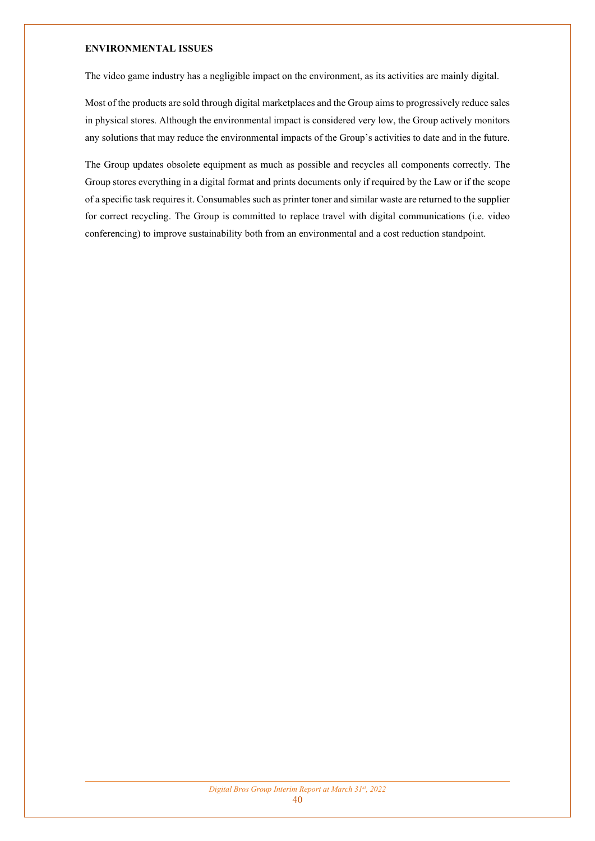#### **ENVIRONMENTAL ISSUES**

The video game industry has a negligible impact on the environment, as its activities are mainly digital.

Most of the products are sold through digital marketplaces and the Group aims to progressively reduce sales in physical stores. Although the environmental impact is considered very low, the Group actively monitors any solutions that may reduce the environmental impacts of the Group's activities to date and in the future.

The Group updates obsolete equipment as much as possible and recycles all components correctly. The Group stores everything in a digital format and prints documents only if required by the Law or if the scope of a specific task requires it. Consumables such as printer toner and similar waste are returned to the supplier for correct recycling. The Group is committed to replace travel with digital communications (i.e. video conferencing) to improve sustainability both from an environmental and a cost reduction standpoint.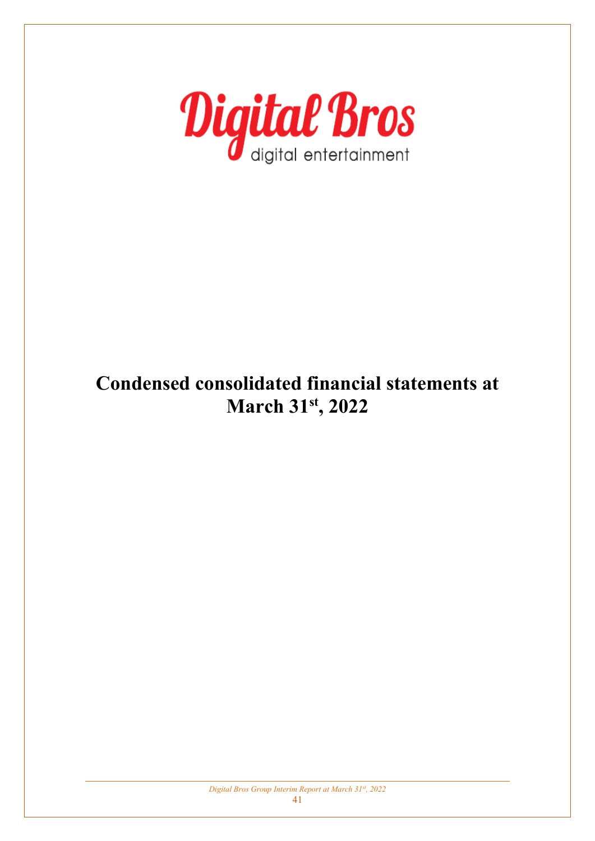

# <span id="page-40-0"></span>**Condensed consolidated financial statements at March 31st, 2022**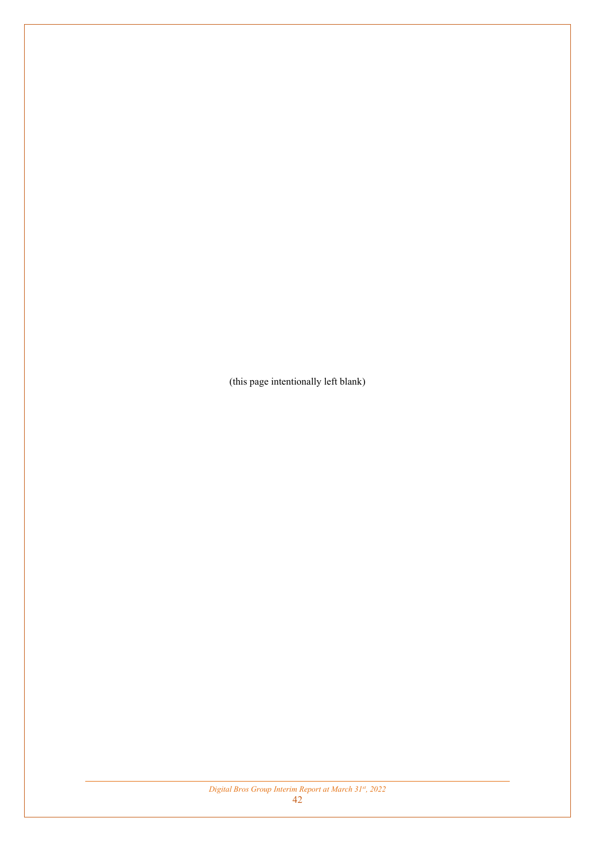(this page intentionally left blank)

#### *Digital Bros Group Interim Report at March 31st, 2022*  42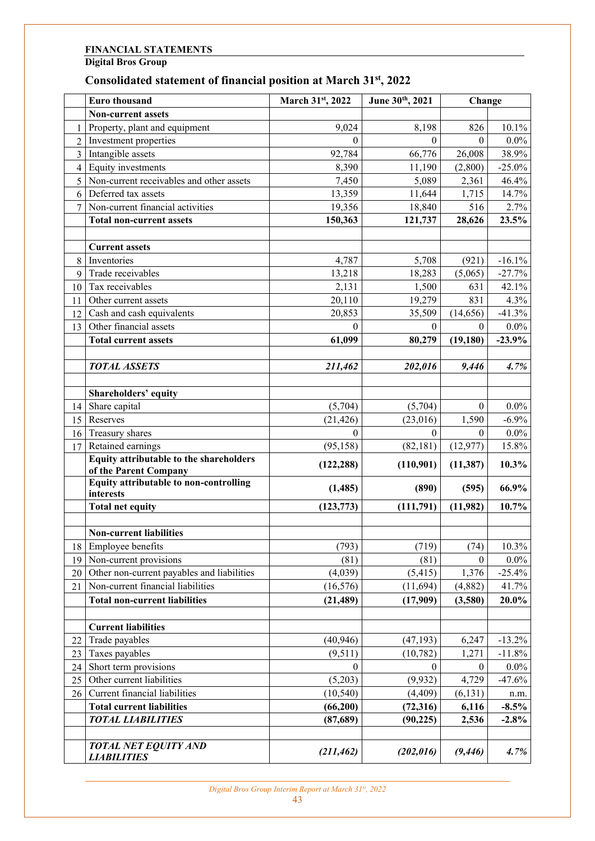### **FINANCIAL STATEMENTS**

**Digital Bros Group** 

## <span id="page-42-0"></span>**Consolidated statement of financial position at March 31st, 2022**

|                | Euro thousand                                              | March 31st, 2022 | June 30th, 2021  | Change       |           |
|----------------|------------------------------------------------------------|------------------|------------------|--------------|-----------|
|                | <b>Non-current assets</b>                                  |                  |                  |              |           |
| $\mathbf{1}$   | Property, plant and equipment                              | 9,024            | 8,198            | 826          | 10.1%     |
| $\overline{2}$ | Investment properties                                      | $\theta$         | $\boldsymbol{0}$ | $\theta$     | $0.0\%$   |
| $\overline{3}$ | Intangible assets                                          | 92,784           | 66,776           | 26,008       | 38.9%     |
| $\overline{4}$ | Equity investments                                         | 8,390            | 11,190           | (2,800)      | $-25.0\%$ |
| 5              | Non-current receivables and other assets                   | 7,450            | 5,089            | 2,361        | 46.4%     |
| 6              | Deferred tax assets                                        | 13,359           | 11,644           | 1,715        | 14.7%     |
| $\overline{7}$ | Non-current financial activities                           | 19,356           | 18,840           | 516          | 2.7%      |
|                | <b>Total non-current assets</b>                            | 150,363          | 121,737          | 28,626       | 23.5%     |
|                |                                                            |                  |                  |              |           |
|                | <b>Current assets</b>                                      |                  |                  |              |           |
| 8              | Inventories                                                | 4,787            | 5,708            | (921)        | $-16.1%$  |
| 9              | Trade receivables                                          | 13,218           | 18,283           | (5,065)      | $-27.7%$  |
| 10             | Tax receivables                                            | 2,131            | 1,500            | 631          | 42.1%     |
| 11             | Other current assets                                       | 20,110           | 19,279           | 831          | 4.3%      |
| 12             | Cash and cash equivalents                                  | 20,853           | 35,509           | (14, 656)    | $-41.3%$  |
| 13             | Other financial assets                                     | $\Omega$         | $\Omega$         | $\theta$     | $0.0\%$   |
|                | <b>Total current assets</b>                                | 61,099           | 80,279           | (19, 180)    | $-23.9%$  |
|                |                                                            |                  |                  |              |           |
|                | <b>TOTAL ASSETS</b>                                        | 211,462          | 202,016          | 9,446        | 4.7%      |
|                |                                                            |                  |                  |              |           |
|                | <b>Shareholders' equity</b>                                |                  |                  |              |           |
| 14             | Share capital                                              | (5,704)          | (5,704)          | $\mathbf{0}$ | $0.0\%$   |
| 15             | Reserves                                                   | (21, 426)        | (23,016)         | 1,590        | $-6.9%$   |
| 16             | Treasury shares                                            | $\Omega$         | $\theta$         | $\theta$     | $0.0\%$   |
| 17             | Retained earnings                                          | (95, 158)        | (82, 181)        | (12, 977)    | 15.8%     |
|                | Equity attributable to the shareholders                    | (122, 288)       | (110,901)        | (11, 387)    | 10.3%     |
|                | of the Parent Company                                      |                  |                  |              |           |
|                | <b>Equity attributable to non-controlling</b><br>interests | (1, 485)         | (890)            | (595)        | 66.9%     |
|                | <b>Total net equity</b>                                    | (123, 773)       | (111,791)        | (11,982)     | 10.7%     |
|                |                                                            |                  |                  |              |           |
|                | <b>Non-current liabilities</b>                             |                  |                  |              |           |
| 18             | Employee benefits                                          | (793)            | (719)            | (74)         | 10.3%     |
| 19             | Non-current provisions                                     | (81)             | (81)             | $\theta$     | $0.0\%$   |
| 20             | Other non-current payables and liabilities                 | (4,039)          | (5, 415)         | 1,376        | $-25.4%$  |
| 21             | Non-current financial liabilities                          | (16, 576)        | (11, 694)        | (4,882)      | 41.7%     |
|                | <b>Total non-current liabilities</b>                       | (21, 489)        | (17,909)         | (3,580)      | 20.0%     |
|                |                                                            |                  |                  |              |           |
|                | <b>Current liabilities</b>                                 |                  |                  |              |           |
| 22             | Trade payables                                             | (40, 946)        | (47, 193)        | 6,247        | $-13.2%$  |
| 23             | Taxes payables                                             | (9, 511)         | (10, 782)        | 1,271        | $-11.8%$  |
| 24             | Short term provisions                                      | $\theta$         | $\theta$         | $\mathbf{0}$ | $0.0\%$   |
| 25             | Other current liabilities                                  | (5,203)          | (9, 932)         | 4,729        | $-47.6%$  |
| 26             | Current financial liabilities                              | (10, 540)        | (4, 409)         | (6, 131)     | n.m.      |
|                | <b>Total current liabilities</b>                           | (66, 200)        | (72, 316)        | 6,116        | $-8.5\%$  |
|                | <b>TOTAL LIABILITIES</b>                                   | (87, 689)        | (90, 225)        | 2,536        | $-2.8%$   |
|                |                                                            |                  |                  |              |           |
|                | TOTAL NET EQUITY AND<br><b>LIABILITIES</b>                 | (211, 462)       | (202, 016)       | (9, 446)     | 4.7%      |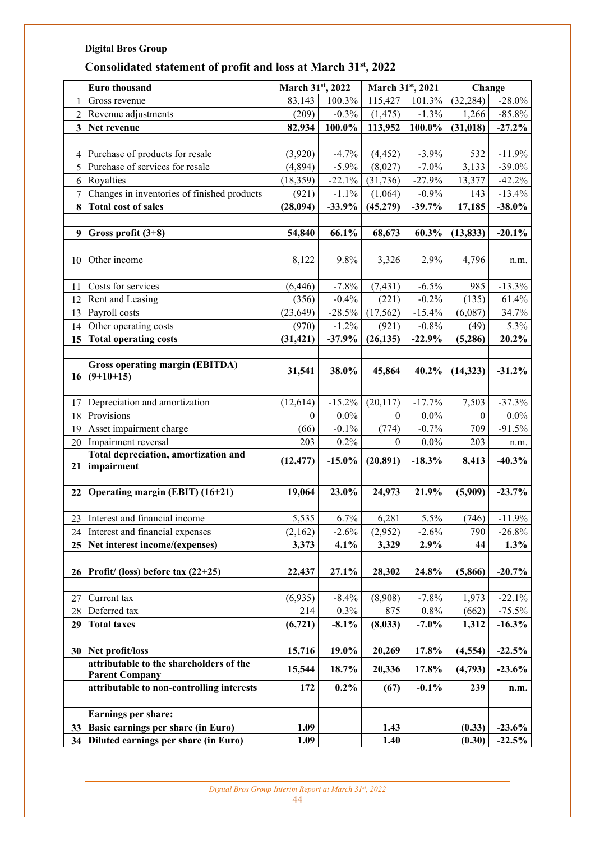## <span id="page-43-0"></span>**Consolidated statement of profit and loss at March 31st, 2022**

| March 31st, 2022<br>March 31st, 2021<br><b>Euro thousand</b><br>Change<br>115,427<br>83,143<br>100.3%<br>101.3%<br>(32, 284)<br>$-28.0\%$<br>Gross revenue<br>$\mathbf{1}$<br>$-0.3%$<br>$-1.3%$<br>$-85.8\%$<br>Revenue adjustments<br>(209)<br>(1, 475)<br>1,266<br>$\overline{c}$<br>100.0%<br>113,952<br>100.0%<br>$-27.2\%$<br>Net revenue<br>82,934<br>(31, 018)<br>$\overline{\mathbf{3}}$<br>$-11.9%$<br>$\overline{4}$<br>Purchase of products for resale<br>$-4.7%$<br>$-3.9\%$<br>(3,920)<br>(4, 452)<br>532<br>Purchase of services for resale<br>$-5.9%$<br>$-7.0\%$<br>(4, 894)<br>(8,027)<br>3,133<br>$-39.0\%$<br>5<br>Royalties<br>(18, 359)<br>$-22.1%$<br>(31, 736)<br>$-27.9%$<br>13,377<br>$-42.2%$<br>6<br>Changes in inventories of finished products<br>$-1.1%$<br>$-0.9\%$<br>$-13.4%$<br>7<br>(921)<br>(1,064)<br>143<br><b>Total cost of sales</b><br>$-33.9%$<br>17,185<br>$-38.0\%$<br>(28, 094)<br>(45, 279)<br>$-39.7%$<br>8<br>9<br>54,840<br>66.1%<br>60.3%<br>$-20.1\%$<br>Gross profit $(3+8)$<br>68,673<br>(13, 833)<br>Other income<br>8,122<br>9.8%<br>3,326<br>2.9%<br>10<br>4,796<br>n.m.<br>$-7.8%$<br>$-13.3%$<br>Costs for services<br>(6, 446)<br>$-6.5\%$<br>985<br>(7, 431)<br>11<br>Rent and Leasing<br>(356)<br>$-0.4%$<br>(221)<br>$-0.2%$<br>(135)<br>61.4%<br>12<br>Payroll costs<br>(23, 649)<br>$-28.5%$<br>(17, 562)<br>$-15.4%$<br>(6,087)<br>34.7%<br>13<br>Other operating costs<br>$-1.2%$<br>$-0.8%$<br>5.3%<br>(970)<br>(921)<br>(49)<br>14<br><b>Total operating costs</b><br>$-37.9%$<br>(26, 135)<br>(5,286)<br>(31, 421)<br>$-22.9%$<br>20.2%<br>15<br><b>Gross operating margin (EBITDA)</b><br>31,541<br>38.0%<br>45,864<br>40.2%<br>$-31.2%$<br>(14,323) |
|-----------------------------------------------------------------------------------------------------------------------------------------------------------------------------------------------------------------------------------------------------------------------------------------------------------------------------------------------------------------------------------------------------------------------------------------------------------------------------------------------------------------------------------------------------------------------------------------------------------------------------------------------------------------------------------------------------------------------------------------------------------------------------------------------------------------------------------------------------------------------------------------------------------------------------------------------------------------------------------------------------------------------------------------------------------------------------------------------------------------------------------------------------------------------------------------------------------------------------------------------------------------------------------------------------------------------------------------------------------------------------------------------------------------------------------------------------------------------------------------------------------------------------------------------------------------------------------------------------------------------------------------------------------------------------------------------------------------------------|
|                                                                                                                                                                                                                                                                                                                                                                                                                                                                                                                                                                                                                                                                                                                                                                                                                                                                                                                                                                                                                                                                                                                                                                                                                                                                                                                                                                                                                                                                                                                                                                                                                                                                                                                             |
|                                                                                                                                                                                                                                                                                                                                                                                                                                                                                                                                                                                                                                                                                                                                                                                                                                                                                                                                                                                                                                                                                                                                                                                                                                                                                                                                                                                                                                                                                                                                                                                                                                                                                                                             |
|                                                                                                                                                                                                                                                                                                                                                                                                                                                                                                                                                                                                                                                                                                                                                                                                                                                                                                                                                                                                                                                                                                                                                                                                                                                                                                                                                                                                                                                                                                                                                                                                                                                                                                                             |
|                                                                                                                                                                                                                                                                                                                                                                                                                                                                                                                                                                                                                                                                                                                                                                                                                                                                                                                                                                                                                                                                                                                                                                                                                                                                                                                                                                                                                                                                                                                                                                                                                                                                                                                             |
|                                                                                                                                                                                                                                                                                                                                                                                                                                                                                                                                                                                                                                                                                                                                                                                                                                                                                                                                                                                                                                                                                                                                                                                                                                                                                                                                                                                                                                                                                                                                                                                                                                                                                                                             |
|                                                                                                                                                                                                                                                                                                                                                                                                                                                                                                                                                                                                                                                                                                                                                                                                                                                                                                                                                                                                                                                                                                                                                                                                                                                                                                                                                                                                                                                                                                                                                                                                                                                                                                                             |
|                                                                                                                                                                                                                                                                                                                                                                                                                                                                                                                                                                                                                                                                                                                                                                                                                                                                                                                                                                                                                                                                                                                                                                                                                                                                                                                                                                                                                                                                                                                                                                                                                                                                                                                             |
|                                                                                                                                                                                                                                                                                                                                                                                                                                                                                                                                                                                                                                                                                                                                                                                                                                                                                                                                                                                                                                                                                                                                                                                                                                                                                                                                                                                                                                                                                                                                                                                                                                                                                                                             |
|                                                                                                                                                                                                                                                                                                                                                                                                                                                                                                                                                                                                                                                                                                                                                                                                                                                                                                                                                                                                                                                                                                                                                                                                                                                                                                                                                                                                                                                                                                                                                                                                                                                                                                                             |
|                                                                                                                                                                                                                                                                                                                                                                                                                                                                                                                                                                                                                                                                                                                                                                                                                                                                                                                                                                                                                                                                                                                                                                                                                                                                                                                                                                                                                                                                                                                                                                                                                                                                                                                             |
|                                                                                                                                                                                                                                                                                                                                                                                                                                                                                                                                                                                                                                                                                                                                                                                                                                                                                                                                                                                                                                                                                                                                                                                                                                                                                                                                                                                                                                                                                                                                                                                                                                                                                                                             |
|                                                                                                                                                                                                                                                                                                                                                                                                                                                                                                                                                                                                                                                                                                                                                                                                                                                                                                                                                                                                                                                                                                                                                                                                                                                                                                                                                                                                                                                                                                                                                                                                                                                                                                                             |
|                                                                                                                                                                                                                                                                                                                                                                                                                                                                                                                                                                                                                                                                                                                                                                                                                                                                                                                                                                                                                                                                                                                                                                                                                                                                                                                                                                                                                                                                                                                                                                                                                                                                                                                             |
|                                                                                                                                                                                                                                                                                                                                                                                                                                                                                                                                                                                                                                                                                                                                                                                                                                                                                                                                                                                                                                                                                                                                                                                                                                                                                                                                                                                                                                                                                                                                                                                                                                                                                                                             |
|                                                                                                                                                                                                                                                                                                                                                                                                                                                                                                                                                                                                                                                                                                                                                                                                                                                                                                                                                                                                                                                                                                                                                                                                                                                                                                                                                                                                                                                                                                                                                                                                                                                                                                                             |
|                                                                                                                                                                                                                                                                                                                                                                                                                                                                                                                                                                                                                                                                                                                                                                                                                                                                                                                                                                                                                                                                                                                                                                                                                                                                                                                                                                                                                                                                                                                                                                                                                                                                                                                             |
|                                                                                                                                                                                                                                                                                                                                                                                                                                                                                                                                                                                                                                                                                                                                                                                                                                                                                                                                                                                                                                                                                                                                                                                                                                                                                                                                                                                                                                                                                                                                                                                                                                                                                                                             |
|                                                                                                                                                                                                                                                                                                                                                                                                                                                                                                                                                                                                                                                                                                                                                                                                                                                                                                                                                                                                                                                                                                                                                                                                                                                                                                                                                                                                                                                                                                                                                                                                                                                                                                                             |
|                                                                                                                                                                                                                                                                                                                                                                                                                                                                                                                                                                                                                                                                                                                                                                                                                                                                                                                                                                                                                                                                                                                                                                                                                                                                                                                                                                                                                                                                                                                                                                                                                                                                                                                             |
|                                                                                                                                                                                                                                                                                                                                                                                                                                                                                                                                                                                                                                                                                                                                                                                                                                                                                                                                                                                                                                                                                                                                                                                                                                                                                                                                                                                                                                                                                                                                                                                                                                                                                                                             |
|                                                                                                                                                                                                                                                                                                                                                                                                                                                                                                                                                                                                                                                                                                                                                                                                                                                                                                                                                                                                                                                                                                                                                                                                                                                                                                                                                                                                                                                                                                                                                                                                                                                                                                                             |
| $(9+10+15)$<br>16                                                                                                                                                                                                                                                                                                                                                                                                                                                                                                                                                                                                                                                                                                                                                                                                                                                                                                                                                                                                                                                                                                                                                                                                                                                                                                                                                                                                                                                                                                                                                                                                                                                                                                           |
| $-15.2%$<br>(20, 117)<br>$-17.7%$<br>7,503<br>$-37.3%$<br>Depreciation and amortization<br>(12, 614)<br>17                                                                                                                                                                                                                                                                                                                                                                                                                                                                                                                                                                                                                                                                                                                                                                                                                                                                                                                                                                                                                                                                                                                                                                                                                                                                                                                                                                                                                                                                                                                                                                                                                  |
| Provisions<br>$0.0\%$<br>18<br>$0.0\%$<br>$\boldsymbol{0}$<br>$0.0\%$<br>$\boldsymbol{0}$<br>$\theta$                                                                                                                                                                                                                                                                                                                                                                                                                                                                                                                                                                                                                                                                                                                                                                                                                                                                                                                                                                                                                                                                                                                                                                                                                                                                                                                                                                                                                                                                                                                                                                                                                       |
| Asset impairment charge<br>$-0.1\%$<br>$-0.7%$<br>709<br>$-91.5%$<br>(66)<br>(774)<br>19                                                                                                                                                                                                                                                                                                                                                                                                                                                                                                                                                                                                                                                                                                                                                                                                                                                                                                                                                                                                                                                                                                                                                                                                                                                                                                                                                                                                                                                                                                                                                                                                                                    |
| $0.2\%$<br>Impairment reversal<br>$0.0\%$<br>203<br>$\boldsymbol{0}$<br>203<br>20<br>n.m.                                                                                                                                                                                                                                                                                                                                                                                                                                                                                                                                                                                                                                                                                                                                                                                                                                                                                                                                                                                                                                                                                                                                                                                                                                                                                                                                                                                                                                                                                                                                                                                                                                   |
| Total depreciation, amortization and                                                                                                                                                                                                                                                                                                                                                                                                                                                                                                                                                                                                                                                                                                                                                                                                                                                                                                                                                                                                                                                                                                                                                                                                                                                                                                                                                                                                                                                                                                                                                                                                                                                                                        |
| (12, 477)<br>$-15.0\%$<br>(20, 891)<br>$-40.3\%$<br>$-18.3\%$<br>8,413<br>21<br>impairment                                                                                                                                                                                                                                                                                                                                                                                                                                                                                                                                                                                                                                                                                                                                                                                                                                                                                                                                                                                                                                                                                                                                                                                                                                                                                                                                                                                                                                                                                                                                                                                                                                  |
|                                                                                                                                                                                                                                                                                                                                                                                                                                                                                                                                                                                                                                                                                                                                                                                                                                                                                                                                                                                                                                                                                                                                                                                                                                                                                                                                                                                                                                                                                                                                                                                                                                                                                                                             |
| Operating margin (EBIT) (16+21)<br>23.0%<br>21.9%<br>$-23.7%$<br>19,064<br>24,973<br>(5,909)<br>22                                                                                                                                                                                                                                                                                                                                                                                                                                                                                                                                                                                                                                                                                                                                                                                                                                                                                                                                                                                                                                                                                                                                                                                                                                                                                                                                                                                                                                                                                                                                                                                                                          |
|                                                                                                                                                                                                                                                                                                                                                                                                                                                                                                                                                                                                                                                                                                                                                                                                                                                                                                                                                                                                                                                                                                                                                                                                                                                                                                                                                                                                                                                                                                                                                                                                                                                                                                                             |
| 23 Interest and financial income<br>5,535<br>6.7%<br>5.5%<br>$-11.9%$<br>6,281<br>(746)                                                                                                                                                                                                                                                                                                                                                                                                                                                                                                                                                                                                                                                                                                                                                                                                                                                                                                                                                                                                                                                                                                                                                                                                                                                                                                                                                                                                                                                                                                                                                                                                                                     |
| $-26.8%$<br>Interest and financial expenses<br>(2,162)<br>$-2.6%$<br>(2,952)<br>$-2.6%$<br>790<br>24                                                                                                                                                                                                                                                                                                                                                                                                                                                                                                                                                                                                                                                                                                                                                                                                                                                                                                                                                                                                                                                                                                                                                                                                                                                                                                                                                                                                                                                                                                                                                                                                                        |
| Net interest income/(expenses)<br>1.3%<br>3,373<br>4.1%<br>3,329<br>2.9%<br>44<br>25                                                                                                                                                                                                                                                                                                                                                                                                                                                                                                                                                                                                                                                                                                                                                                                                                                                                                                                                                                                                                                                                                                                                                                                                                                                                                                                                                                                                                                                                                                                                                                                                                                        |
|                                                                                                                                                                                                                                                                                                                                                                                                                                                                                                                                                                                                                                                                                                                                                                                                                                                                                                                                                                                                                                                                                                                                                                                                                                                                                                                                                                                                                                                                                                                                                                                                                                                                                                                             |
| Profit/ (loss) before tax $(22+25)$<br>27.1%<br>24.8%<br>$-20.7%$<br>22,437<br>28,302<br>(5,866)<br>26                                                                                                                                                                                                                                                                                                                                                                                                                                                                                                                                                                                                                                                                                                                                                                                                                                                                                                                                                                                                                                                                                                                                                                                                                                                                                                                                                                                                                                                                                                                                                                                                                      |
|                                                                                                                                                                                                                                                                                                                                                                                                                                                                                                                                                                                                                                                                                                                                                                                                                                                                                                                                                                                                                                                                                                                                                                                                                                                                                                                                                                                                                                                                                                                                                                                                                                                                                                                             |
| $-7.8%$<br>$-22.1%$<br>Current tax<br>(6,935)<br>$-8.4%$<br>(8,908)<br>1,973<br>27                                                                                                                                                                                                                                                                                                                                                                                                                                                                                                                                                                                                                                                                                                                                                                                                                                                                                                                                                                                                                                                                                                                                                                                                                                                                                                                                                                                                                                                                                                                                                                                                                                          |
| Deferred tax<br>0.3%<br>875<br>0.8%<br>$-75.5\%$<br>214<br>28<br>(662)                                                                                                                                                                                                                                                                                                                                                                                                                                                                                                                                                                                                                                                                                                                                                                                                                                                                                                                                                                                                                                                                                                                                                                                                                                                                                                                                                                                                                                                                                                                                                                                                                                                      |
| (6, 721)<br>$-8.1\%$<br>$-7.0%$<br>$-16.3%$<br>29<br><b>Total taxes</b><br>(8,033)<br>1,312                                                                                                                                                                                                                                                                                                                                                                                                                                                                                                                                                                                                                                                                                                                                                                                                                                                                                                                                                                                                                                                                                                                                                                                                                                                                                                                                                                                                                                                                                                                                                                                                                                 |
|                                                                                                                                                                                                                                                                                                                                                                                                                                                                                                                                                                                                                                                                                                                                                                                                                                                                                                                                                                                                                                                                                                                                                                                                                                                                                                                                                                                                                                                                                                                                                                                                                                                                                                                             |
| Net profit/loss<br>15,716<br>19.0%<br>17.8%<br>$-22.5%$<br>20,269<br>30<br>(4, 554)                                                                                                                                                                                                                                                                                                                                                                                                                                                                                                                                                                                                                                                                                                                                                                                                                                                                                                                                                                                                                                                                                                                                                                                                                                                                                                                                                                                                                                                                                                                                                                                                                                         |
| attributable to the shareholders of the<br>15,544<br>20,336<br>17.8%<br>(4,793)<br>$-23.6%$<br>18.7%                                                                                                                                                                                                                                                                                                                                                                                                                                                                                                                                                                                                                                                                                                                                                                                                                                                                                                                                                                                                                                                                                                                                                                                                                                                                                                                                                                                                                                                                                                                                                                                                                        |
| <b>Parent Company</b><br>attributable to non-controlling interests<br>172<br>$0.2\%$<br>$-0.1\%$<br>239<br>(67)                                                                                                                                                                                                                                                                                                                                                                                                                                                                                                                                                                                                                                                                                                                                                                                                                                                                                                                                                                                                                                                                                                                                                                                                                                                                                                                                                                                                                                                                                                                                                                                                             |
| n.m.                                                                                                                                                                                                                                                                                                                                                                                                                                                                                                                                                                                                                                                                                                                                                                                                                                                                                                                                                                                                                                                                                                                                                                                                                                                                                                                                                                                                                                                                                                                                                                                                                                                                                                                        |
| <b>Earnings per share:</b>                                                                                                                                                                                                                                                                                                                                                                                                                                                                                                                                                                                                                                                                                                                                                                                                                                                                                                                                                                                                                                                                                                                                                                                                                                                                                                                                                                                                                                                                                                                                                                                                                                                                                                  |
| Basic earnings per share (in Euro)<br>1.09<br>1.43<br>$-23.6%$<br>33<br>(0.33)                                                                                                                                                                                                                                                                                                                                                                                                                                                                                                                                                                                                                                                                                                                                                                                                                                                                                                                                                                                                                                                                                                                                                                                                                                                                                                                                                                                                                                                                                                                                                                                                                                              |
| Diluted earnings per share (in Euro)<br>1.09<br>1.40<br>$-22.5%$<br>(0.30)<br>34                                                                                                                                                                                                                                                                                                                                                                                                                                                                                                                                                                                                                                                                                                                                                                                                                                                                                                                                                                                                                                                                                                                                                                                                                                                                                                                                                                                                                                                                                                                                                                                                                                            |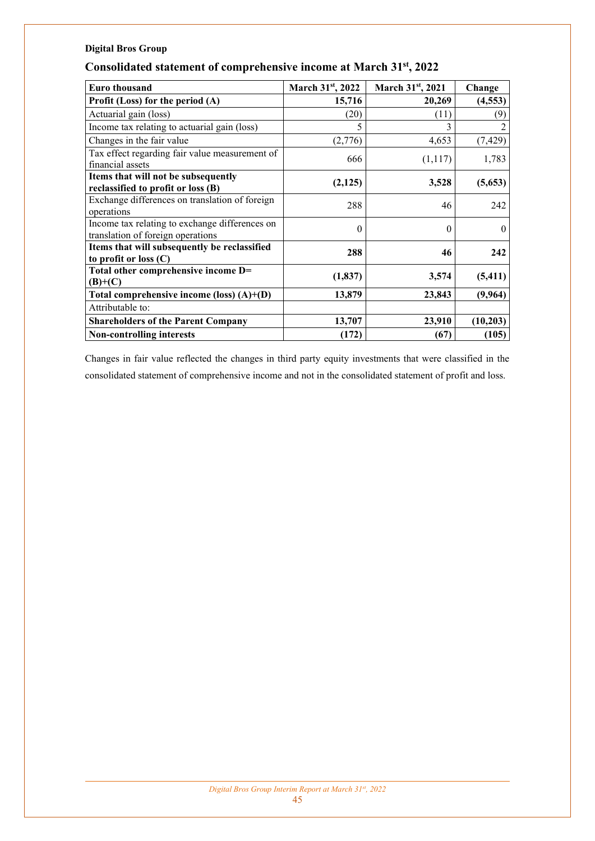| <b>Euro thousand</b>                                                                | March 31 <sup>st</sup> , 2022 | March 31 <sup>st</sup> , 2021 | Change   |
|-------------------------------------------------------------------------------------|-------------------------------|-------------------------------|----------|
| Profit (Loss) for the period (A)                                                    | 15,716                        | 20,269                        | (4, 553) |
| Actuarial gain (loss)                                                               | (20)                          | (11)                          | (9)      |
| Income tax relating to actuarial gain (loss)                                        | 5                             |                               |          |
| Changes in the fair value                                                           | (2,776)                       | 4,653                         | (7, 429) |
| Tax effect regarding fair value measurement of<br>financial assets                  | 666                           | (1,117)                       | 1,783    |
| Items that will not be subsequently<br>reclassified to profit or loss (B)           | (2, 125)                      | 3,528                         | (5,653)  |
| Exchange differences on translation of foreign<br>operations                        | 288                           | 46                            | 242      |
| Income tax relating to exchange differences on<br>translation of foreign operations | $\theta$                      | $\theta$                      | $\left($ |
| Items that will subsequently be reclassified<br>to profit or loss $(C)$             | 288                           | 46                            | 242      |
| Total other comprehensive income D=<br>$(B)+(C)$                                    | (1, 837)                      | 3,574                         | (5, 411) |
| Total comprehensive income (loss) $(A)$ + $(D)$                                     | 13,879                        | 23,843                        | (9,964)  |
| Attributable to:                                                                    |                               |                               |          |
| <b>Shareholders of the Parent Company</b>                                           | 13,707                        | 23,910                        | (10,203) |
| <b>Non-controlling interests</b>                                                    | (172)                         | (67)                          | (105)    |

## <span id="page-44-0"></span>**Consolidated statement of comprehensive income at March 31st, 2022**

Changes in fair value reflected the changes in third party equity investments that were classified in the consolidated statement of comprehensive income and not in the consolidated statement of profit and loss.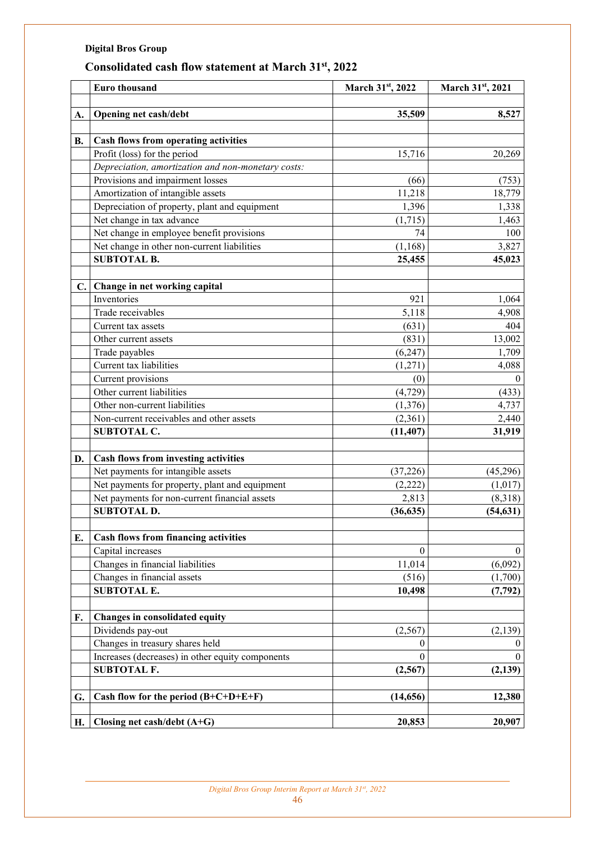## <span id="page-45-0"></span>**Consolidated cash flow statement at March 31st, 2022**

|                | Euro thousand                                      | March 31st, 2022 | March 31st, 2021 |
|----------------|----------------------------------------------------|------------------|------------------|
| A.             | Opening net cash/debt                              | 35,509           | 8,527            |
|                |                                                    |                  |                  |
| В.             | Cash flows from operating activities               |                  |                  |
|                | Profit (loss) for the period                       | 15,716           | 20,269           |
|                | Depreciation, amortization and non-monetary costs: |                  |                  |
|                | Provisions and impairment losses                   | (66)             | (753)            |
|                | Amortization of intangible assets                  | 11,218           | 18,779           |
|                | Depreciation of property, plant and equipment      | 1,396            | 1,338            |
|                | Net change in tax advance                          | (1,715)          | 1,463            |
|                | Net change in employee benefit provisions          | 74               | 100              |
|                | Net change in other non-current liabilities        | (1, 168)         | 3,827            |
|                | <b>SUBTOTAL B.</b>                                 | 25,455           | 45,023           |
|                |                                                    |                  |                  |
| $\mathbf{C}$ . | Change in net working capital                      |                  |                  |
|                | Inventories                                        | 921              | 1,064            |
|                | Trade receivables                                  | 5,118            | 4,908            |
|                | Current tax assets                                 | (631)            | 404              |
|                | Other current assets                               | (831)            | 13,002           |
|                | Trade payables                                     | (6,247)          | 1,709            |
|                | Current tax liabilities                            | (1,271)          | 4,088            |
|                | Current provisions                                 | (0)              | $\theta$         |
|                | Other current liabilities                          | (4, 729)         | (433)            |
|                | Other non-current liabilities                      | (1, 376)         | 4,737            |
|                | Non-current receivables and other assets           | (2,361)          | 2,440            |
|                | <b>SUBTOTAL C.</b>                                 | (11, 407)        | 31,919           |
|                |                                                    |                  |                  |
| D.             | Cash flows from investing activities               |                  |                  |
|                | Net payments for intangible assets                 | (37, 226)        | (45,296)         |
|                | Net payments for property, plant and equipment     | (2,222)          | (1,017)          |
|                | Net payments for non-current financial assets      | 2,813            | (8,318)          |
|                | <b>SUBTOTAL D.</b>                                 | (36, 635)        | (54, 631)        |
|                |                                                    |                  |                  |
| E.             | <b>Cash flows from financing activities</b>        |                  |                  |
|                | Capital increases                                  | $\mathbf{0}$     | $\bf{0}$         |
|                | Changes in financial liabilities                   | 11,014           | (6,092)          |
|                | Changes in financial assets                        | (516)            | (1,700)          |
|                | <b>SUBTOTAL E.</b>                                 | 10,498           | (7, 792)         |
|                |                                                    |                  |                  |
| F.             | Changes in consolidated equity                     |                  |                  |
|                | Dividends pay-out                                  | (2, 567)         | (2,139)          |
|                | Changes in treasury shares held                    | $\boldsymbol{0}$ | $\theta$         |
|                | Increases (decreases) in other equity components   | $\boldsymbol{0}$ | $\theta$         |
|                | <b>SUBTOTAL F.</b>                                 | (2,567)          | (2,139)          |
|                |                                                    |                  |                  |
| G.             | Cash flow for the period $(B+C+D+E+F)$             | (14, 656)        | 12,380           |
| Н.             | Closing net cash/debt $(A+G)$                      | 20,853           | 20,907           |
|                |                                                    |                  |                  |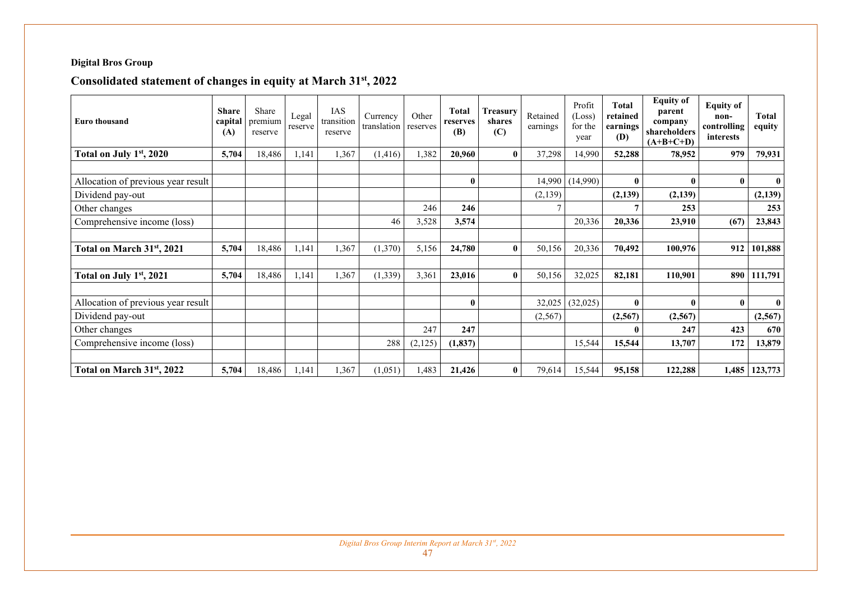## **Consolidated statement of changes in equity at March 31st, 2022**

<span id="page-46-0"></span>

| <b>Euro thousand</b>               | <b>Share</b><br>capital<br>(A) | Share<br>premium<br>reserve | Legal<br>reserve | <b>IAS</b><br>transition<br>reserve | Currency<br>translation | Other<br>reserves | <b>Total</b><br>reserves<br>(B) | <b>Treasury</b><br>shares<br>(C) | Retained<br>earnings | Profit<br>(Loss)<br>for the<br>year | <b>Total</b><br>retained<br>earnings<br>(D) | <b>Equity of</b><br>parent<br>company<br>shareholders<br>$(A+B+C+D)$ | <b>Equity of</b><br>non-<br>controlling<br>interests | <b>Total</b><br>equity |
|------------------------------------|--------------------------------|-----------------------------|------------------|-------------------------------------|-------------------------|-------------------|---------------------------------|----------------------------------|----------------------|-------------------------------------|---------------------------------------------|----------------------------------------------------------------------|------------------------------------------------------|------------------------|
| Total on July 1st, 2020            | 5,704                          | 18,486                      | 1,141            | 1,367                               | (1, 416)                | 1,382             | 20,960                          | $\mathbf{0}$                     | 37,298               | 14,990                              | 52,288                                      | 78,952                                                               | 979                                                  | 79,931                 |
|                                    |                                |                             |                  |                                     |                         |                   |                                 |                                  |                      |                                     |                                             |                                                                      |                                                      |                        |
| Allocation of previous year result |                                |                             |                  |                                     |                         |                   | $\mathbf{0}$                    |                                  |                      | 14,990 (14,990)                     | $\theta$                                    | 0                                                                    | $\mathbf{0}$                                         | $\bf{0}$               |
| Dividend pay-out                   |                                |                             |                  |                                     |                         |                   |                                 |                                  | (2, 139)             |                                     | (2, 139)                                    | (2, 139)                                                             |                                                      | (2, 139)               |
| Other changes                      |                                |                             |                  |                                     |                         | 246               | 246                             |                                  |                      |                                     |                                             | 253                                                                  |                                                      | 253                    |
| Comprehensive income (loss)        |                                |                             |                  |                                     | 46                      | 3,528             | 3,574                           |                                  |                      | 20,336                              | 20,336                                      | 23,910                                                               | (67)                                                 | 23,843                 |
|                                    |                                |                             |                  |                                     |                         |                   |                                 |                                  |                      |                                     |                                             |                                                                      |                                                      |                        |
| Total on March 31st, 2021          | 5,704                          | 18,486                      | 1,141            | 1,367                               | (1,370)                 | 5,156             | 24,780                          | $\mathbf{0}$                     | 50,156               | 20,336                              | 70,492                                      | 100,976                                                              | 912                                                  | 101,888                |
|                                    |                                |                             |                  |                                     |                         |                   |                                 |                                  |                      |                                     |                                             |                                                                      |                                                      |                        |
| Total on July 1st, 2021            | 5,704                          | 18,486                      | 1,141            | 1,367                               | (1, 339)                | 3,361             | 23,016                          | $\bf{0}$                         | 50,156               | 32,025                              | 82,181                                      | 110,901                                                              | 890                                                  | 111,791                |
|                                    |                                |                             |                  |                                     |                         |                   |                                 |                                  |                      |                                     |                                             |                                                                      |                                                      |                        |
| Allocation of previous year result |                                |                             |                  |                                     |                         |                   | 0                               |                                  |                      | 32,025 (32,025)                     | $\mathbf{0}$                                | $\mathbf{0}$                                                         | $\mathbf{0}$                                         | $\bf{0}$               |
| Dividend pay-out                   |                                |                             |                  |                                     |                         |                   |                                 |                                  | (2, 567)             |                                     | (2,567)                                     | (2,567)                                                              |                                                      | (2, 567)               |
| Other changes                      |                                |                             |                  |                                     |                         | 247               | 247                             |                                  |                      |                                     | $\mathbf{0}$                                | 247                                                                  | 423                                                  | 670                    |
| Comprehensive income (loss)        |                                |                             |                  |                                     | 288                     | (2, 125)          | (1, 837)                        |                                  |                      | 15,544                              | 15,544                                      | 13,707                                                               | 172                                                  | 13,879                 |
|                                    |                                |                             |                  |                                     |                         |                   |                                 |                                  |                      |                                     |                                             |                                                                      |                                                      |                        |
| Total on March 31st, 2022          | 5,704                          | 18,486                      | 1,141            | 1,367                               | (1,051)                 | 1,483             | 21,426                          | $\bf{0}$                         | 79,614               | 15,544                              | 95,158                                      | 122,288                                                              | 1,485                                                | 123,773                |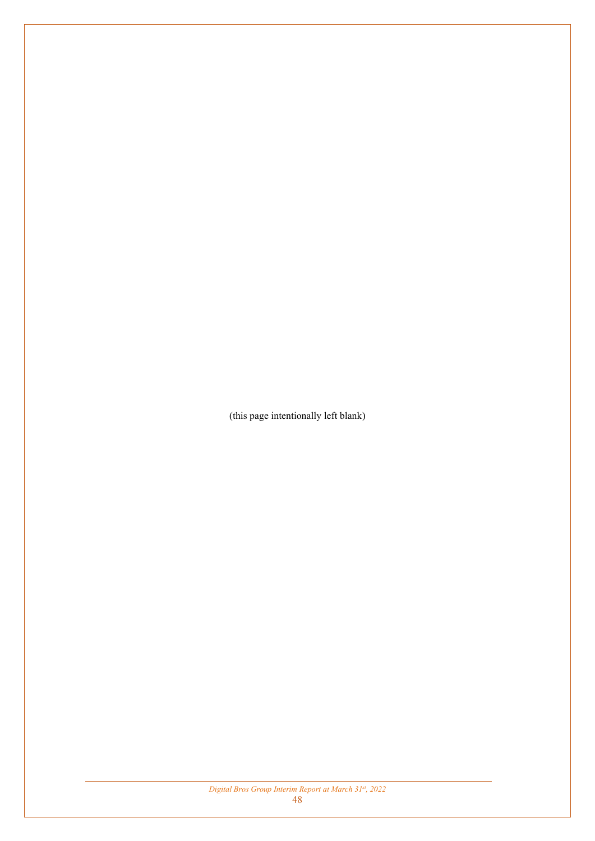(this page intentionally left blank)

#### *Digital Bros Group Interim Report at March 31st, 2022*  48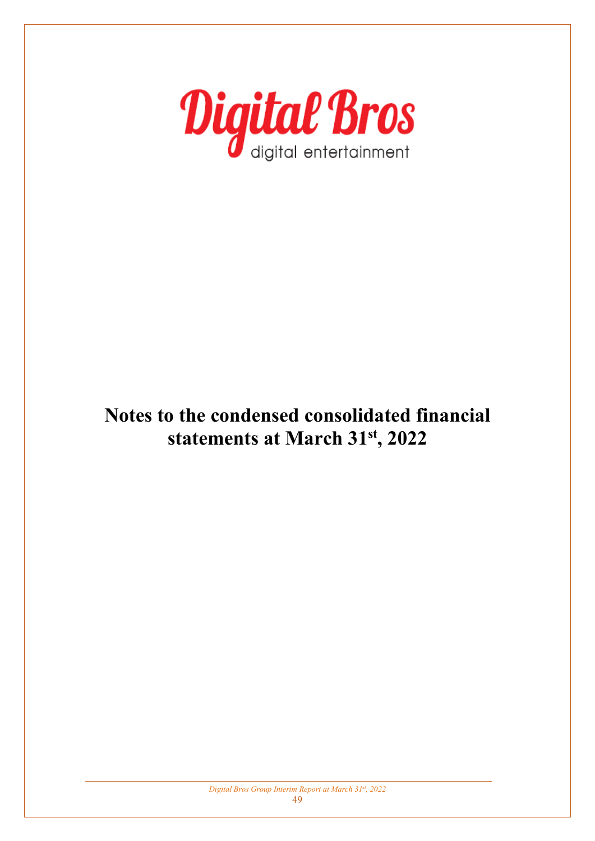

# <span id="page-48-0"></span>**Notes to the condensed consolidated financial statements at March 31st, 2022**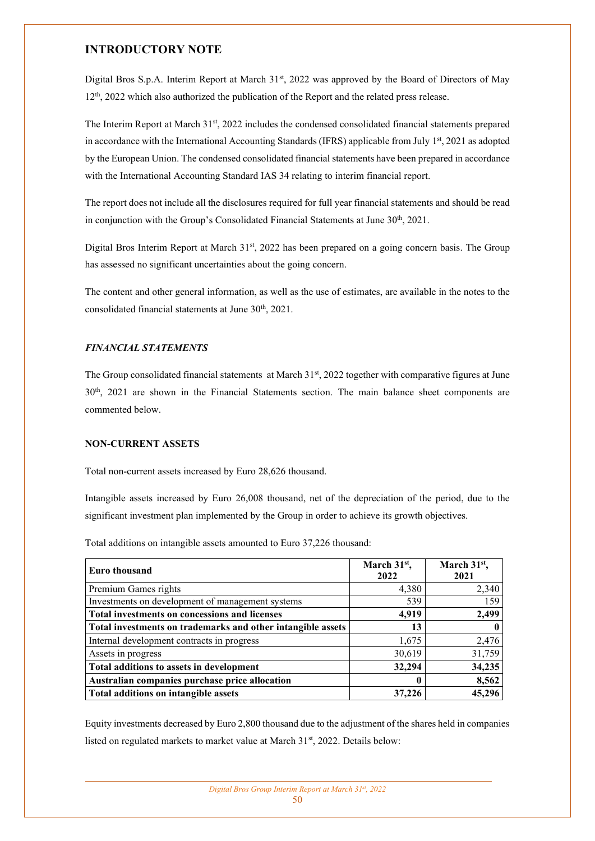## **INTRODUCTORY NOTE**

Digital Bros S.p.A. Interim Report at March 31<sup>st</sup>, 2022 was approved by the Board of Directors of May 12th, 2022 which also authorized the publication of the Report and the related press release.

The Interim Report at March 31<sup>st</sup>, 2022 includes the condensed consolidated financial statements prepared in accordance with the International Accounting Standards (IFRS) applicable from July 1<sup>st</sup>, 2021 as adopted by the European Union. The condensed consolidated financial statements have been prepared in accordance with the International Accounting Standard IAS 34 relating to interim financial report.

The report does not include all the disclosures required for full year financial statements and should be read in conjunction with the Group's Consolidated Financial Statements at June  $30<sup>th</sup>$ ,  $2021$ .

Digital Bros Interim Report at March 31<sup>st</sup>, 2022 has been prepared on a going concern basis. The Group has assessed no significant uncertainties about the going concern.

The content and other general information, as well as the use of estimates, are available in the notes to the consolidated financial statements at June 30<sup>th</sup>, 2021.

## *FINANCIAL STATEMENTS*

The Group consolidated financial statements at March 31<sup>st</sup>, 2022 together with comparative figures at June 30th, 2021 are shown in the Financial Statements section. The main balance sheet components are commented below.

## **NON-CURRENT ASSETS**

Total non-current assets increased by Euro 28,626 thousand.

Intangible assets increased by Euro 26,008 thousand, net of the depreciation of the period, due to the significant investment plan implemented by the Group in order to achieve its growth objectives.

Total additions on intangible assets amounted to Euro 37,226 thousand:

| Euro thousand                                               | March 31 <sup>st</sup> ,<br>2022 | March 31 <sup>st</sup> ,<br>2021 |
|-------------------------------------------------------------|----------------------------------|----------------------------------|
| Premium Games rights                                        | 4,380                            | 2,340                            |
| Investments on development of management systems            | 539                              | 159                              |
| Total investments on concessions and licenses               | 4,919                            | 2,499                            |
| Total investments on trademarks and other intangible assets | 13                               | $\bf{0}$                         |
| Internal development contracts in progress                  | 1,675                            | 2,476                            |
| Assets in progress                                          | 30,619                           | 31,759                           |
| Total additions to assets in development                    | 32,294                           | 34,235                           |
| Australian companies purchase price allocation              |                                  | 8,562                            |
| Total additions on intangible assets                        | 37,226                           | 45,296                           |

Equity investments decreased by Euro 2,800 thousand due to the adjustment of the shares held in companies listed on regulated markets to market value at March 31<sup>st</sup>, 2022. Details below: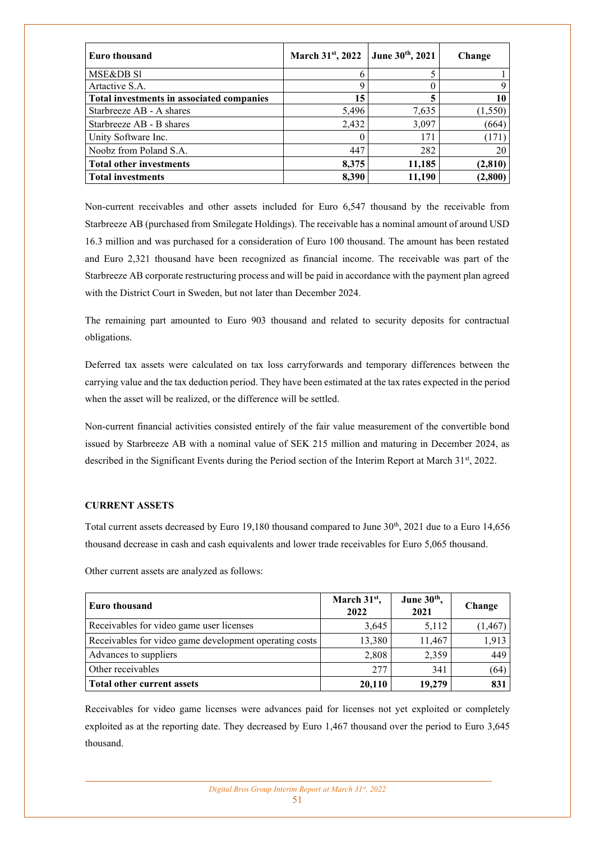| <b>Euro thousand</b>                      | March 31 <sup>st</sup> , 2022 | June 30th, 2021 | Change   |
|-------------------------------------------|-------------------------------|-----------------|----------|
| MSE&DB SI                                 |                               |                 |          |
| Artactive S.A.                            | q                             |                 |          |
| Total investments in associated companies | 15                            |                 | 10       |
| Starbreeze AB - A shares                  | 5,496                         | 7,635           | (1, 550) |
| Starbreeze AB - B shares                  | 2,432                         | 3,097           | (664)    |
| Unity Software Inc.                       |                               | 171             | (171)    |
| Noobz from Poland S.A.                    | 447                           | 282             | 20       |
| <b>Total other investments</b>            | 8,375                         | 11,185          | (2, 810) |
| <b>Total investments</b>                  | 8,390                         | 11,190          | (2, 800) |

Non-current receivables and other assets included for Euro 6,547 thousand by the receivable from Starbreeze AB (purchased from Smilegate Holdings). The receivable has a nominal amount of around USD 16.3 million and was purchased for a consideration of Euro 100 thousand. The amount has been restated and Euro 2,321 thousand have been recognized as financial income. The receivable was part of the Starbreeze AB corporate restructuring process and will be paid in accordance with the payment plan agreed with the District Court in Sweden, but not later than December 2024.

The remaining part amounted to Euro 903 thousand and related to security deposits for contractual obligations.

Deferred tax assets were calculated on tax loss carryforwards and temporary differences between the carrying value and the tax deduction period. They have been estimated at the tax rates expected in the period when the asset will be realized, or the difference will be settled.

Non-current financial activities consisted entirely of the fair value measurement of the convertible bond issued by Starbreeze AB with a nominal value of SEK 215 million and maturing in December 2024, as described in the Significant Events during the Period section of the Interim Report at March 31<sup>st</sup>, 2022.

#### **CURRENT ASSETS**

Total current assets decreased by Euro 19,180 thousand compared to June  $30<sup>th</sup>$ , 2021 due to a Euro 14,656 thousand decrease in cash and cash equivalents and lower trade receivables for Euro 5,065 thousand.

| Euro thousand                                          | March $31st$ ,<br>2022 | June 30th,<br>2021 | Change   |
|--------------------------------------------------------|------------------------|--------------------|----------|
| Receivables for video game user licenses               | 3,645                  | 5,112              | (1, 467) |
| Receivables for video game development operating costs | 13,380                 | 11,467             | 1,913    |
| Advances to suppliers                                  | 2,808                  | 2,359              | 449      |
| Other receivables                                      | 277                    | 341                | (64)     |
| <b>Total other current assets</b>                      | 20,110                 | 19,279             | 831      |

Other current assets are analyzed as follows:

Receivables for video game licenses were advances paid for licenses not yet exploited or completely exploited as at the reporting date. They decreased by Euro 1,467 thousand over the period to Euro 3,645 thousand.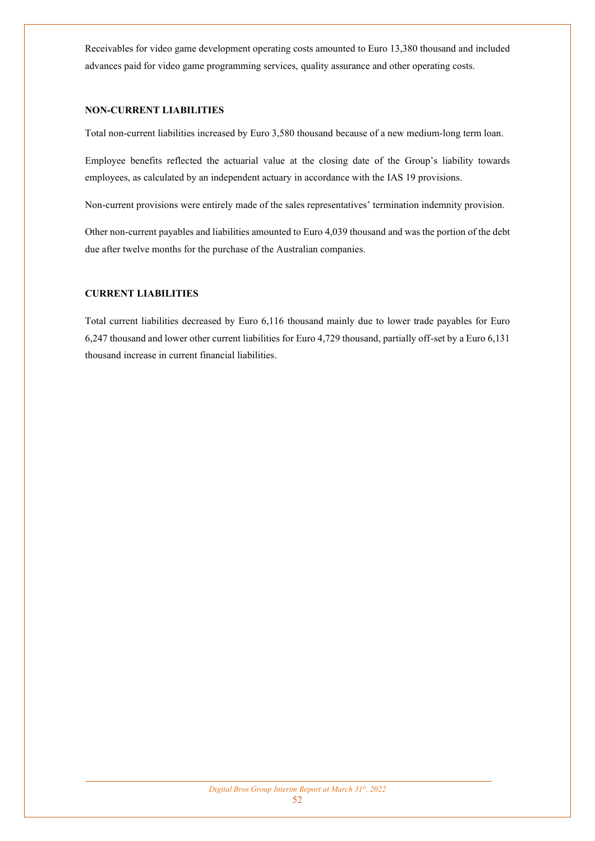Receivables for video game development operating costs amounted to Euro 13,380 thousand and included advances paid for video game programming services, quality assurance and other operating costs.

#### **NON-CURRENT LIABILITIES**

Total non-current liabilities increased by Euro 3,580 thousand because of a new medium-long term loan.

Employee benefits reflected the actuarial value at the closing date of the Group's liability towards employees, as calculated by an independent actuary in accordance with the IAS 19 provisions.

Non-current provisions were entirely made of the sales representatives' termination indemnity provision.

Other non-current payables and liabilities amounted to Euro 4,039 thousand and was the portion of the debt due after twelve months for the purchase of the Australian companies.

## **CURRENT LIABILITIES**

Total current liabilities decreased by Euro 6,116 thousand mainly due to lower trade payables for Euro 6,247 thousand and lower other current liabilities for Euro 4,729 thousand, partially off-set by a Euro 6,131 thousand increase in current financial liabilities.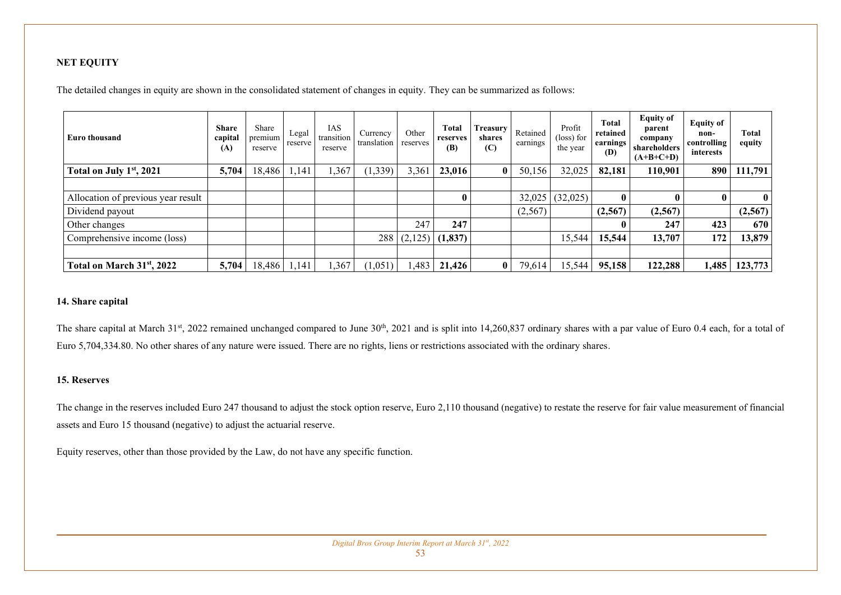## **NET EQUITY**

The detailed changes in equity are shown in the consolidated statement of changes in equity. They can be summarized as follows:

| <b>Euro thousand</b>                   | <b>Share</b><br>capital<br>(A) | Share<br>premium<br>reserve | Legal<br>reserve | <b>IAS</b><br>transition<br>reserve | Currency<br>translation | Other<br>reserves | <b>Total</b><br>reserves<br>(B) | <b>Treasury</b><br>shares<br>(C) | Retained<br>earnings | Profit<br>(loss) for<br>the year | <b>Total</b><br>retained<br>earnings<br>(D) | <b>Equity of</b><br>parent<br>company<br>shareholders<br>$(A+B+C+D)$ | <b>Equity of</b><br>non-<br>controlling<br>interests | Total<br>equity |
|----------------------------------------|--------------------------------|-----------------------------|------------------|-------------------------------------|-------------------------|-------------------|---------------------------------|----------------------------------|----------------------|----------------------------------|---------------------------------------------|----------------------------------------------------------------------|------------------------------------------------------|-----------------|
| Total on July 1st, 2021                | 5,704                          | 18,486                      | ,141             | .,367                               | (1, 339)                | 3,361             | 23,016                          | $\mathbf{0}$                     | 50,156               | 32,025                           | 82,181                                      | 110,901                                                              | 890                                                  | 111,791         |
|                                        |                                |                             |                  |                                     |                         |                   |                                 |                                  |                      |                                  |                                             |                                                                      |                                                      |                 |
| Allocation of previous year result     |                                |                             |                  |                                     |                         |                   |                                 |                                  |                      | $32,025$ (32,025)                |                                             |                                                                      |                                                      | $\bf{0}$        |
| Dividend payout                        |                                |                             |                  |                                     |                         |                   |                                 |                                  | (2, 567)             |                                  | (2,567)                                     | (2,567)                                                              |                                                      | (2,567)         |
| Other changes                          |                                |                             |                  |                                     |                         | 247               | 247                             |                                  |                      |                                  |                                             | 247                                                                  | 423                                                  | 670             |
| Comprehensive income (loss)            |                                |                             |                  |                                     | 288                     |                   | $(2,125)$ (1,837)               |                                  |                      | 15,544                           | 15,544                                      | 13,707                                                               | 172                                                  | 13,879          |
|                                        |                                |                             |                  |                                     |                         |                   |                                 |                                  |                      |                                  |                                             |                                                                      |                                                      |                 |
| Total on March 31 <sup>st</sup> , 2022 | 5,704                          | 18,486                      | ,141             | ,367                                | (1,051)                 | ,483              | 21,426                          | $\mathbf{0}$                     | 79,614               | 15,544                           | 95,158                                      | 122,288                                                              | 1,485                                                | 123,773         |

## **14. Share capital**

The share capital at March 31<sup>st</sup>, 2022 remained unchanged compared to June 30<sup>th</sup>, 2021 and is split into 14,260,837 ordinary shares with a par value of Euro 0.4 each, for a total of Euro 5,704,334.80. No other shares of any nature were issued. There are no rights, liens or restrictions associated with the ordinary shares.

## **15. Reserves**

The change in the reserves included Euro 247 thousand to adjust the stock option reserve, Euro 2,110 thousand (negative) to restate the reserve for fair value measurement of financial assets and Euro 15 thousand (negative) to adjust the actuarial reserve.

Equity reserves, other than those provided by the Law, do not have any specific function.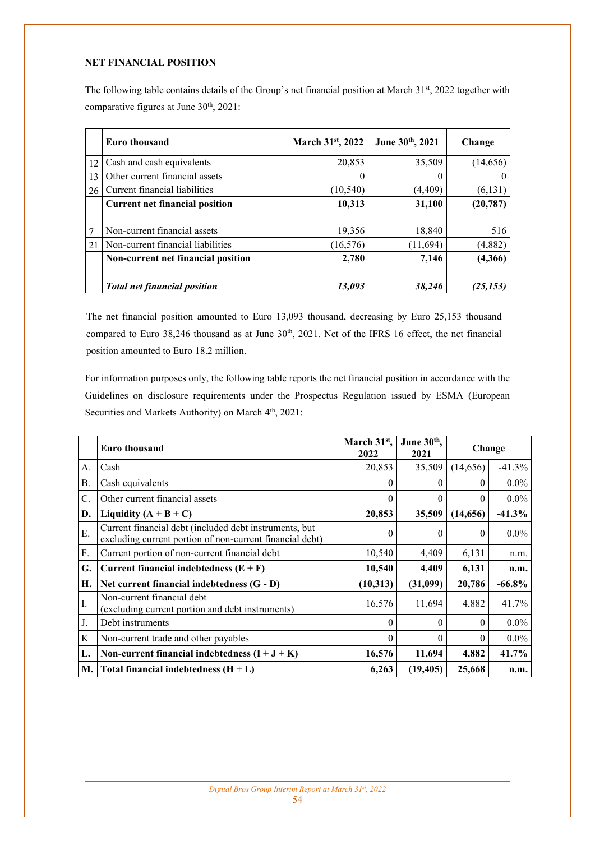## **NET FINANCIAL POSITION**

The following table contains details of the Group's net financial position at March 31<sup>st</sup>, 2022 together with comparative figures at June 30<sup>th</sup>, 2021:

|    | <b>Euro thousand</b>                  | March 31 <sup>st</sup> , 2022 | June 30th, 2021 | Change    |
|----|---------------------------------------|-------------------------------|-----------------|-----------|
| 12 | Cash and cash equivalents             | 20,853                        | 35,509          | (14, 656) |
| 13 | Other current financial assets        | $\theta$                      | $\theta$        | $\theta$  |
| 26 | Current financial liabilities         | (10, 540)                     | (4, 409)        | (6, 131)  |
|    | <b>Current net financial position</b> | 10,313                        | 31,100          | (20, 787) |
|    |                                       |                               |                 |           |
|    | Non-current financial assets          | 19,356                        | 18,840          | 516       |
| 21 | Non-current financial liabilities     | (16, 576)                     | (11, 694)       | (4,882)   |
|    | Non-current net financial position    | 2,780                         | 7,146           | (4,366)   |
|    |                                       |                               |                 |           |
|    | <b>Total net financial position</b>   | 13.093                        | 38.246          | (25, 153) |

The net financial position amounted to Euro 13,093 thousand, decreasing by Euro 25,153 thousand compared to Euro 38,246 thousand as at June 30<sup>th</sup>, 2021. Net of the IFRS 16 effect, the net financial position amounted to Euro 18.2 million.

For information purposes only, the following table reports the net financial position in accordance with the Guidelines on disclosure requirements under the Prospectus Regulation issued by ESMA (European Securities and Markets Authority) on March 4<sup>th</sup>, 2021:

|                  | <b>Euro thousand</b>                                                                                               | March 31 <sup>st</sup> ,<br>2022 | June 30th,<br>2021 | Change    |           |
|------------------|--------------------------------------------------------------------------------------------------------------------|----------------------------------|--------------------|-----------|-----------|
| A.               | Cash                                                                                                               | 20,853                           | 35,509             | (14, 656) | $-41.3%$  |
| В.               | Cash equivalents                                                                                                   | 0                                | 0                  | $\theta$  | $0.0\%$   |
| $\mathcal{C}$ .  | Other current financial assets                                                                                     | 0                                | 0                  | $\theta$  | $0.0\%$   |
| D.               | Liquidity $(A + B + C)$                                                                                            | 20,853                           | 35,509             | (14, 656) | $-41.3%$  |
| E.               | Current financial debt (included debt instruments, but<br>excluding current portion of non-current financial debt) | $_{0}$                           | 0                  | $\theta$  | $0.0\%$   |
| F.               | Current portion of non-current financial debt                                                                      | 10,540                           | 4,409              | 6,131     | n.m.      |
| G.               | Current financial indebtedness $(E + F)$                                                                           | 10,540                           | 4,409              | 6,131     | n.m.      |
| Н.               | Net current financial indebtedness $(G - D)$                                                                       | (10, 313)                        | (31,099)           | 20,786    | $-66.8\%$ |
| $\overline{I}$ . | Non-current financial debt<br>(excluding current portion and debt instruments)                                     | 16,576                           | 11,694             | 4,882     | 41.7%     |
| J.               | Debt instruments                                                                                                   | 0                                | 0                  | $\Omega$  | $0.0\%$   |
| K                | Non-current trade and other payables                                                                               | $\Omega$                         | 0                  | $\Omega$  | $0.0\%$   |
| L.               | Non-current financial indebtedness $(I + J + K)$                                                                   | 16,576                           | 11,694             | 4,882     | 41.7%     |
| М.               | Total financial indebtedness $(H + L)$                                                                             | 6,263                            | (19, 405)          | 25,668    | n.m.      |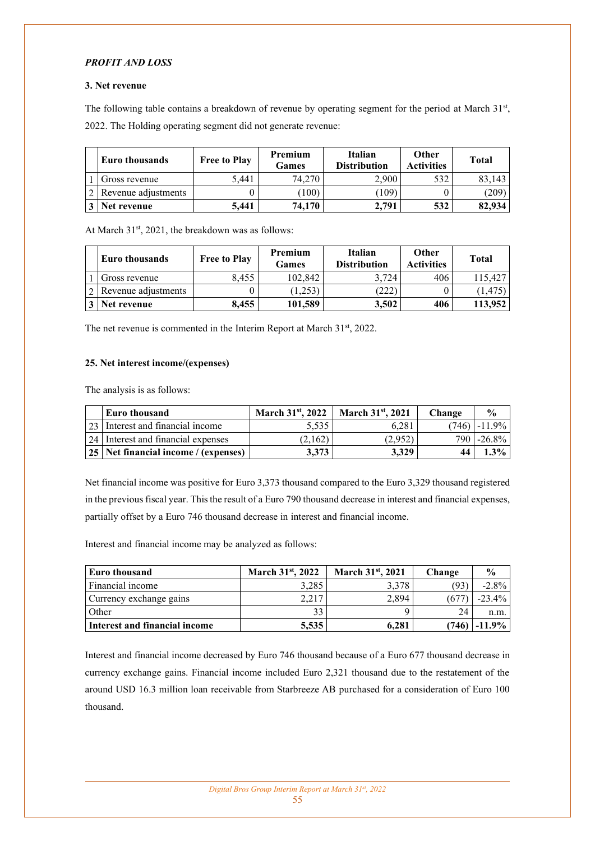## *PROFIT AND LOSS*

### **3. Net revenue**

The following table contains a breakdown of revenue by operating segment for the period at March 31st, 2022. The Holding operating segment did not generate revenue:

| Euro thousands      | <b>Free to Play</b> | Premium<br><b>Games</b> | Italian<br><b>Distribution</b> | <b>Other</b><br><b>Activities</b> | Total  |
|---------------------|---------------------|-------------------------|--------------------------------|-----------------------------------|--------|
| Gross revenue       | 5.441               | 74.270                  | 2.900                          | 532                               | 83.143 |
| Revenue adjustments |                     | 100)                    | 109)                           |                                   | (209)  |
| Net revenue         | 5.441               | 74.170                  | 2.791                          | 532                               | 82,934 |

At March 31<sup>st</sup>, 2021, the breakdown was as follows:

| Euro thousands      | <b>Free to Play</b> | Premium<br>Games | Italian<br><b>Distribution</b> | Other<br><b>Activities</b> | <b>Total</b> |
|---------------------|---------------------|------------------|--------------------------------|----------------------------|--------------|
| Gross revenue       | 8.455               | 102.842          | 3.724                          | 406                        | 15.427       |
| Revenue adjustments |                     | 1,253            |                                |                            | 1.475        |
| Net revenue         | 8.455               | 101.589          | 3.502                          | 406                        | 113.952      |

The net revenue is commented in the Interim Report at March 31<sup>st</sup>, 2022.

### **25. Net interest income/(expenses)**

The analysis is as follows:

| Euro thousand                          | <b>March 31st, 2022</b> | March $31^{st}$ , 2021 | Change | $\frac{6}{9}$ |
|----------------------------------------|-------------------------|------------------------|--------|---------------|
| 23 Interest and financial income       | 5.535                   | 6.281                  |        | (746) - 11.9% |
| 24 Interest and financial expenses     | (2.162)                 | (2.952)                |        | 790 - 26.8%   |
| [25] Net financial income / (expenses) | 3.373                   | 3.329                  | 44     | $1.3\%$       |

Net financial income was positive for Euro 3,373 thousand compared to the Euro 3,329 thousand registered in the previous fiscal year. This the result of a Euro 790 thousand decrease in interest and financial expenses, partially offset by a Euro 746 thousand decrease in interest and financial income.

Interest and financial income may be analyzed as follows:

| Euro thousand                 | March $31^{st}$ , 2022 | March $31^{st}$ , 2021 | Change    | $\frac{6}{9}$  |
|-------------------------------|------------------------|------------------------|-----------|----------------|
| Financial income              | 3,285                  | 3.378                  | (93)      | $-2.8\%$       |
| Currency exchange gains       | 2.217                  | 2.894                  | $(67^{-}$ | $-23.4\%$      |
| Other                         |                        |                        | 24        | n.m.           |
| Interest and financial income | 5,535                  | 6.281                  |           | (746)   -11.9% |

Interest and financial income decreased by Euro 746 thousand because of a Euro 677 thousand decrease in currency exchange gains. Financial income included Euro 2,321 thousand due to the restatement of the around USD 16.3 million loan receivable from Starbreeze AB purchased for a consideration of Euro 100 thousand.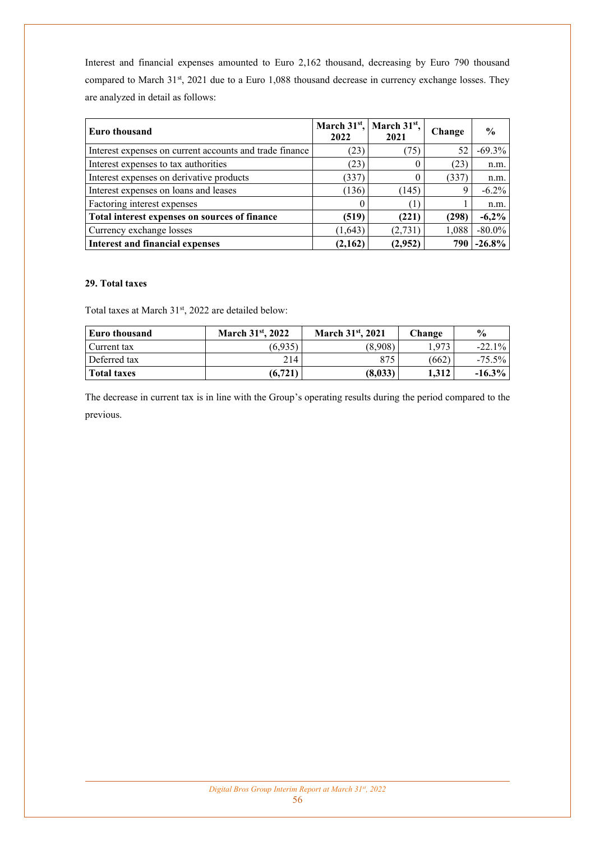Interest and financial expenses amounted to Euro 2,162 thousand, decreasing by Euro 790 thousand compared to March 31st, 2021 due to a Euro 1,088 thousand decrease in currency exchange losses. They are analyzed in detail as follows:

| Euro thousand                                           | March $31st$ ,<br>2022 | March $31st$ ,<br>2021 | Change | $\frac{0}{0}$ |
|---------------------------------------------------------|------------------------|------------------------|--------|---------------|
| Interest expenses on current accounts and trade finance | (23)                   | (75)                   | 52     | $-69.3\%$     |
| Interest expenses to tax authorities                    | (23)                   | 0                      | (23)   | n.m.          |
| Interest expenses on derivative products                | (337)                  | $\theta$               | (337)  | n.m.          |
| Interest expenses on loans and leases                   | (136)                  | (145)                  |        | $-6.2\%$      |
| Factoring interest expenses                             |                        | (1)                    |        | n.m.          |
| Total interest expenses on sources of finance           | (519)                  | (221)                  | (298)  | $-6,2%$       |
| Currency exchange losses                                | (1,643)                | (2,731)                | 1,088  | $-80.0\%$     |
| <b>Interest and financial expenses</b>                  | (2,162)                | (2,952)                | 790    | $-26.8\%$     |

### **29. Total taxes**

Total taxes at March 31st, 2022 are detailed below:

| Euro thousand      | March 31 <sup>st</sup> , 2022 | March $31^{st}$ , 2021 | Change | $\frac{0}{0}$ |
|--------------------|-------------------------------|------------------------|--------|---------------|
| Current tax        | (6.935)                       | (8,908)                | .973   | $-22.1%$      |
| Deferred tax       | 214                           | 875                    | (662)  | $-75.5\%$     |
| <b>Total taxes</b> | (6, 721)                      | (8,033)                | 1.312  | $-16.3\%$     |

The decrease in current tax is in line with the Group's operating results during the period compared to the previous.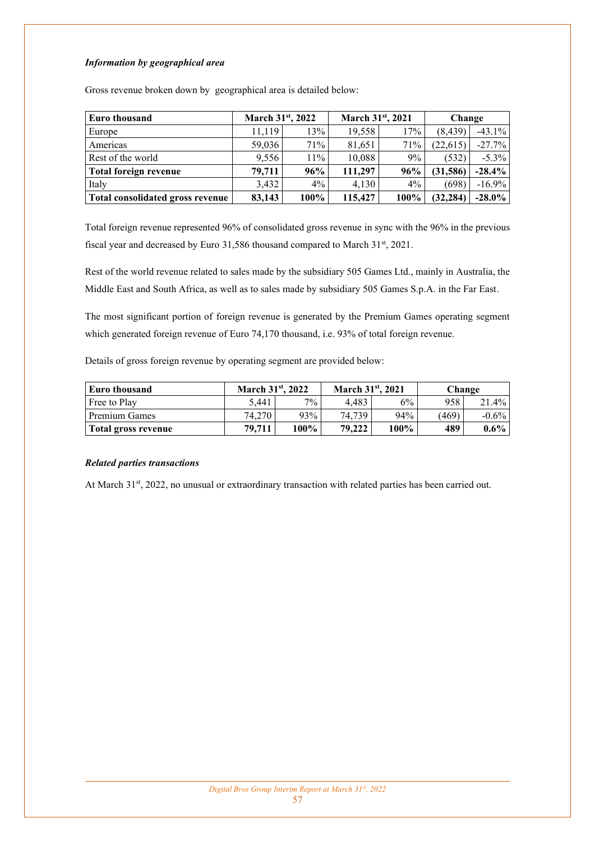## *Information by geographical area*

| Euro thousand                    | March 31 <sup>st</sup> , 2022 |         |         | March 31 <sup>st</sup> , 2021 |           | Change    |
|----------------------------------|-------------------------------|---------|---------|-------------------------------|-----------|-----------|
| Europe                           | 11.119                        | 13%     | 19,558  | 17%                           | (8, 439)  | $-43.1\%$ |
| Americas                         | 59,036                        | 71%     | 81.651  | 71%                           | (22, 615) | $-27.7%$  |
| Rest of the world                | 9,556                         | $11\%$  | 10,088  | 9%                            | (532)     | $-5.3\%$  |
| Total foreign revenue            | 79,711                        | 96%     | 111,297 | 96%                           | (31, 586) | $-28.4\%$ |
| Italy                            | 3,432                         | $4\%$   | 4.130   | $4\%$                         | (698)     | $-16.9\%$ |
| Total consolidated gross revenue | 83,143                        | $100\%$ | 115,427 | 100%                          | (32, 284) | $-28.0\%$ |

Gross revenue broken down by geographical area is detailed below:

Total foreign revenue represented 96% of consolidated gross revenue in sync with the 96% in the previous fiscal year and decreased by Euro 31,586 thousand compared to March 31st, 2021.

Rest of the world revenue related to sales made by the subsidiary 505 Games Ltd., mainly in Australia, the Middle East and South Africa, as well as to sales made by subsidiary 505 Games S.p.A. in the Far East.

The most significant portion of foreign revenue is generated by the Premium Games operating segment which generated foreign revenue of Euro 74,170 thousand, i.e. 93% of total foreign revenue.

Details of gross foreign revenue by operating segment are provided below:

| <b>Euro thousand</b>       | March $31st$ , 2022 |       | March $31^{st}$ , 2021 |      | Change |          |
|----------------------------|---------------------|-------|------------------------|------|--------|----------|
| Free to Play               | 5.441               | $7\%$ | 4.483                  | 6%   | 958    | 21.4%    |
| l Premium Games            | 74.270 <sub>1</sub> | 93%   | 74,739                 | 94%  | (469)  | $-0.6\%$ |
| <b>Total gross revenue</b> | 79.711              | 100%  | 79,222                 | 100% | 489    | $0.6\%$  |

### *Related parties transactions*

At March 31<sup>st</sup>, 2022, no unusual or extraordinary transaction with related parties has been carried out.